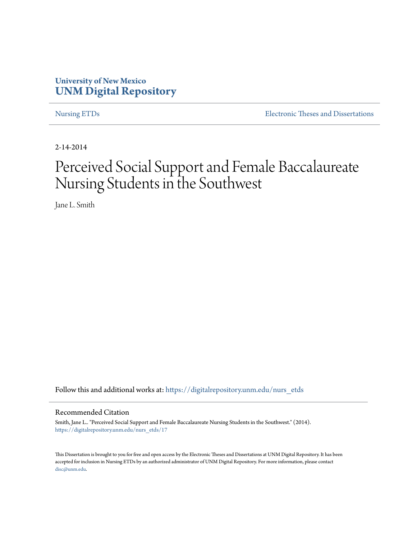# **University of New Mexico [UNM Digital Repository](https://digitalrepository.unm.edu?utm_source=digitalrepository.unm.edu%2Fnurs_etds%2F17&utm_medium=PDF&utm_campaign=PDFCoverPages)**

[Nursing ETDs](https://digitalrepository.unm.edu/nurs_etds?utm_source=digitalrepository.unm.edu%2Fnurs_etds%2F17&utm_medium=PDF&utm_campaign=PDFCoverPages) [Electronic Theses and Dissertations](https://digitalrepository.unm.edu/etds?utm_source=digitalrepository.unm.edu%2Fnurs_etds%2F17&utm_medium=PDF&utm_campaign=PDFCoverPages)

2-14-2014

# Perceived Social Support and Female Baccalaureate Nursing Students in the Southwest

Jane L. Smith

Follow this and additional works at: [https://digitalrepository.unm.edu/nurs\\_etds](https://digitalrepository.unm.edu/nurs_etds?utm_source=digitalrepository.unm.edu%2Fnurs_etds%2F17&utm_medium=PDF&utm_campaign=PDFCoverPages)

#### Recommended Citation

Smith, Jane L.. "Perceived Social Support and Female Baccalaureate Nursing Students in the Southwest." (2014). [https://digitalrepository.unm.edu/nurs\\_etds/17](https://digitalrepository.unm.edu/nurs_etds/17?utm_source=digitalrepository.unm.edu%2Fnurs_etds%2F17&utm_medium=PDF&utm_campaign=PDFCoverPages)

This Dissertation is brought to you for free and open access by the Electronic Theses and Dissertations at UNM Digital Repository. It has been accepted for inclusion in Nursing ETDs by an authorized administrator of UNM Digital Repository. For more information, please contact [disc@unm.edu](mailto:disc@unm.edu).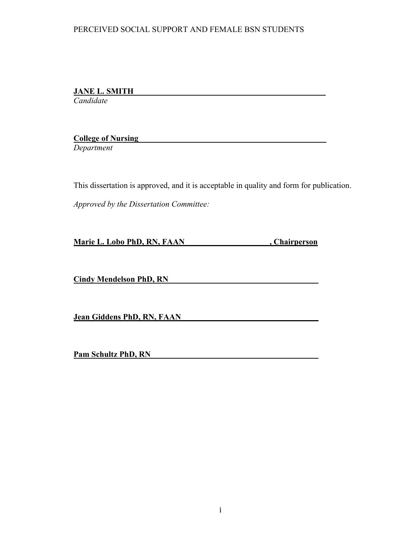**JANE L. SMITH\_\_\_\_\_\_\_\_\_\_\_\_\_\_\_\_\_\_\_\_\_\_\_\_\_\_\_\_\_\_\_\_\_\_\_\_\_\_\_\_\_\_\_\_\_\_\_**

*Candidate*

**College of Nursing** 

*Department*

This dissertation is approved, and it is acceptable in quality and form for publication.

*Approved by the Dissertation Committee:*

**Marie L. Lobo PhD, RN, FAAN** , Chairperson

**Cindy Mendelson PhD, RN**

**Jean Giddens PhD, RN, FAAN**

**Pam Schultz PhD, RN**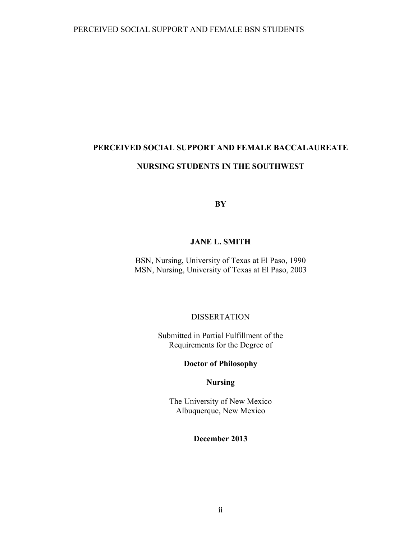# **PERCEIVED SOCIAL SUPPORT AND FEMALE BACCALAUREATE NURSING STUDENTS IN THE SOUTHWEST**

**BY**

### **JANE L. SMITH**

BSN, Nursing, University of Texas at El Paso, 1990 MSN, Nursing, University of Texas at El Paso, 2003

### DISSERTATION

Submitted in Partial Fulfillment of the Requirements for the Degree of

## **Doctor of Philosophy**

#### **Nursing**

The University of New Mexico Albuquerque, New Mexico

## **December 2013**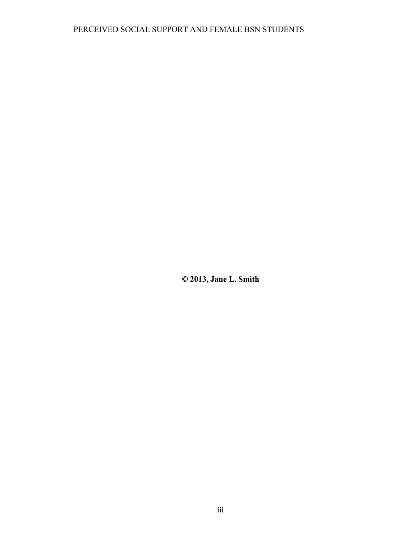**© 2013, Jane L. Smith**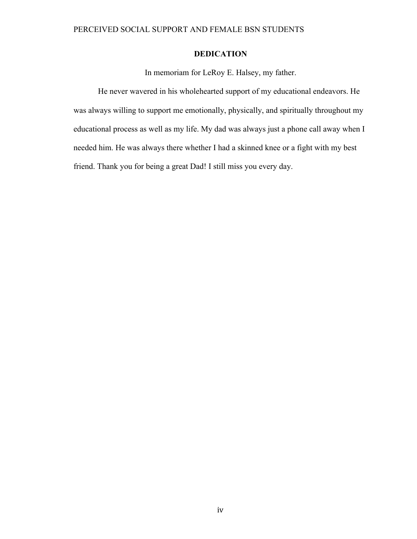## **DEDICATION**

In memoriam for LeRoy E. Halsey, my father.

He never wavered in his wholehearted support of my educational endeavors. He was always willing to support me emotionally, physically, and spiritually throughout my educational process as well as my life. My dad was always just a phone call away when I needed him. He was always there whether I had a skinned knee or a fight with my best friend. Thank you for being a great Dad! I still miss you every day.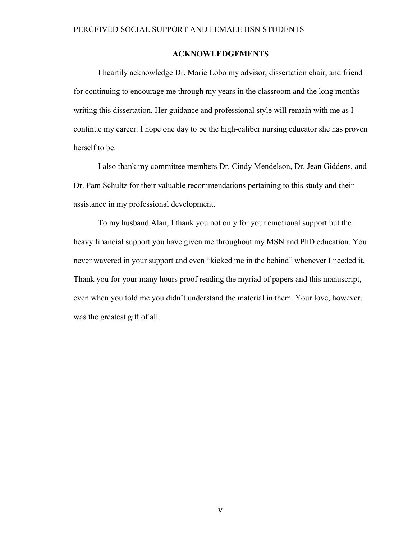#### **ACKNOWLEDGEMENTS**

I heartily acknowledge Dr. Marie Lobo my advisor, dissertation chair, and friend for continuing to encourage me through my years in the classroom and the long months writing this dissertation. Her guidance and professional style will remain with me as I continue my career. I hope one day to be the high-caliber nursing educator she has proven herself to be.

I also thank my committee members Dr. Cindy Mendelson, Dr. Jean Giddens, and Dr. Pam Schultz for their valuable recommendations pertaining to this study and their assistance in my professional development.

To my husband Alan, I thank you not only for your emotional support but the heavy financial support you have given me throughout my MSN and PhD education. You never wavered in your support and even "kicked me in the behind" whenever I needed it. Thank you for your many hours proof reading the myriad of papers and this manuscript, even when you told me you didn't understand the material in them. Your love, however, was the greatest gift of all.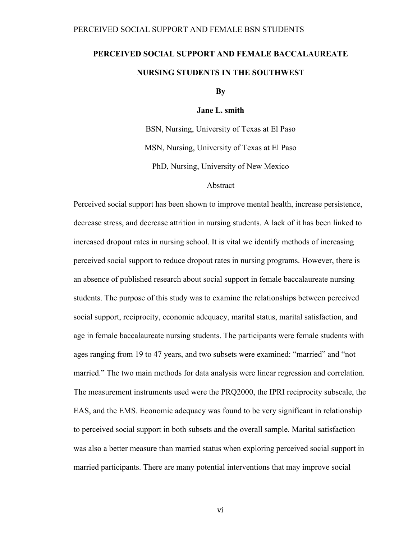# **PERCEIVED SOCIAL SUPPORT AND FEMALE BACCALAUREATE NURSING STUDENTS IN THE SOUTHWEST**

**By**

**Jane L. smith**

BSN, Nursing, University of Texas at El Paso MSN, Nursing, University of Texas at El Paso PhD, Nursing, University of New Mexico

#### Abstract

Perceived social support has been shown to improve mental health, increase persistence, decrease stress, and decrease attrition in nursing students. A lack of it has been linked to increased dropout rates in nursing school. It is vital we identify methods of increasing perceived social support to reduce dropout rates in nursing programs. However, there is an absence of published research about social support in female baccalaureate nursing students. The purpose of this study was to examine the relationships between perceived social support, reciprocity, economic adequacy, marital status, marital satisfaction, and age in female baccalaureate nursing students. The participants were female students with ages ranging from 19 to 47 years, and two subsets were examined: "married" and "not married." The two main methods for data analysis were linear regression and correlation. The measurement instruments used were the PRQ2000, the IPRI reciprocity subscale, the EAS, and the EMS. Economic adequacy was found to be very significant in relationship to perceived social support in both subsets and the overall sample. Marital satisfaction was also a better measure than married status when exploring perceived social support in married participants. There are many potential interventions that may improve social

vi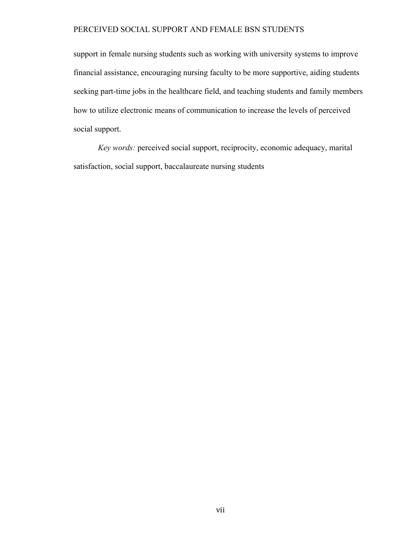support in female nursing students such as working with university systems to improve financial assistance, encouraging nursing faculty to be more supportive, aiding students seeking part-time jobs in the healthcare field, and teaching students and family members how to utilize electronic means of communication to increase the levels of perceived social support.

*Key words:* perceived social support, reciprocity, economic adequacy, marital satisfaction, social support, baccalaureate nursing students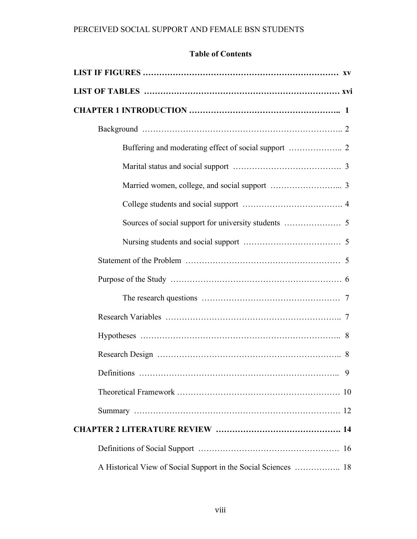# **Table of Contents**

| 9                                                              |  |
|----------------------------------------------------------------|--|
|                                                                |  |
|                                                                |  |
|                                                                |  |
|                                                                |  |
| A Historical View of Social Support in the Social Sciences  18 |  |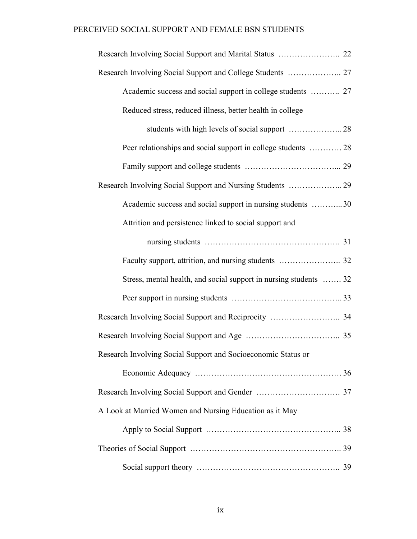| Reduced stress, reduced illness, better health in college         |  |
|-------------------------------------------------------------------|--|
|                                                                   |  |
| Peer relationships and social support in college students  28     |  |
|                                                                   |  |
|                                                                   |  |
| Academic success and social support in nursing students 30        |  |
| Attrition and persistence linked to social support and            |  |
|                                                                   |  |
|                                                                   |  |
| Stress, mental health, and social support in nursing students  32 |  |
|                                                                   |  |
|                                                                   |  |
|                                                                   |  |
| Research Involving Social Support and Socioeconomic Status or     |  |
|                                                                   |  |
|                                                                   |  |
| A Look at Married Women and Nursing Education as it May           |  |
|                                                                   |  |
|                                                                   |  |
|                                                                   |  |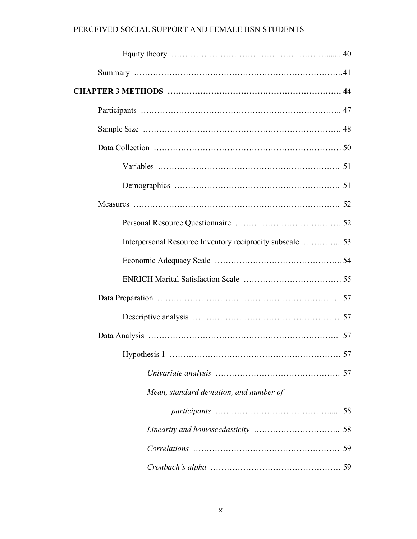| Mean, standard deviation, and number of |  |
|-----------------------------------------|--|
|                                         |  |
|                                         |  |
|                                         |  |
|                                         |  |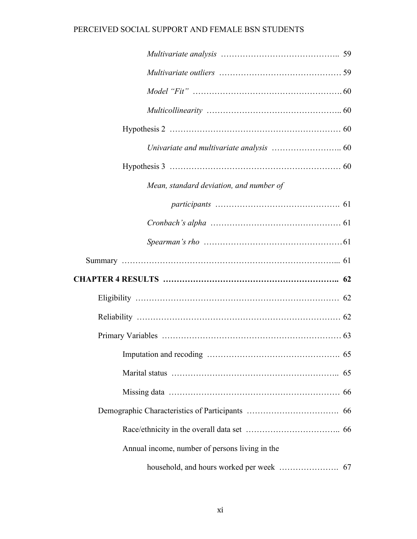| Mean, standard deviation, and number of        |  |
|------------------------------------------------|--|
|                                                |  |
|                                                |  |
|                                                |  |
|                                                |  |
|                                                |  |
|                                                |  |
|                                                |  |
|                                                |  |
|                                                |  |
|                                                |  |
|                                                |  |
|                                                |  |
|                                                |  |
| Annual income, number of persons living in the |  |
|                                                |  |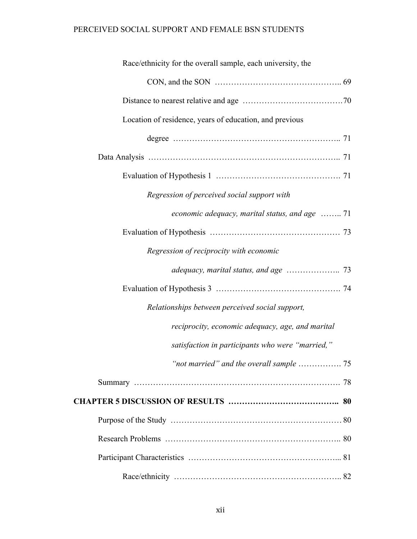| Race/ethnicity for the overall sample, each university, the |
|-------------------------------------------------------------|
|                                                             |
|                                                             |
| Location of residence, years of education, and previous     |
|                                                             |
|                                                             |
|                                                             |
| Regression of perceived social support with                 |
| economic adequacy, marital status, and age  71              |
|                                                             |
| Regression of reciprocity with economic                     |
|                                                             |
|                                                             |
| Relationships between perceived social support,             |
| reciprocity, economic adequacy, age, and marital            |
| satisfaction in participants who were "married,"            |
|                                                             |
|                                                             |
|                                                             |
|                                                             |
|                                                             |
|                                                             |
|                                                             |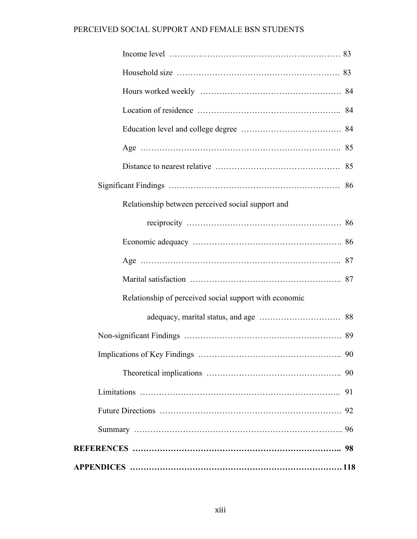| Relationship between perceived social support and      |
|--------------------------------------------------------|
|                                                        |
|                                                        |
|                                                        |
|                                                        |
| Relationship of perceived social support with economic |
|                                                        |
|                                                        |
| 90                                                     |
|                                                        |
|                                                        |
|                                                        |
|                                                        |
|                                                        |
|                                                        |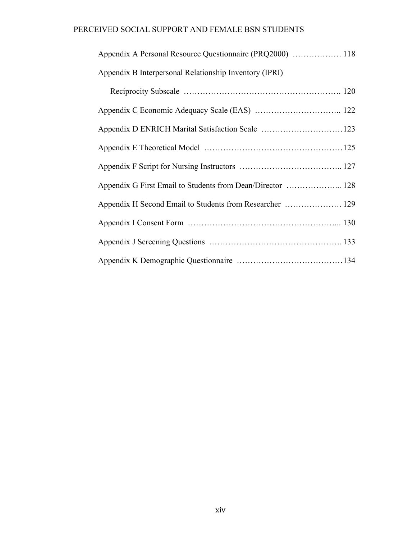| Appendix B Interpersonal Relationship Inventory (IPRI)     |
|------------------------------------------------------------|
|                                                            |
|                                                            |
|                                                            |
|                                                            |
|                                                            |
| Appendix G First Email to Students from Dean/Director  128 |
| Appendix H Second Email to Students from Researcher  129   |
|                                                            |
|                                                            |
|                                                            |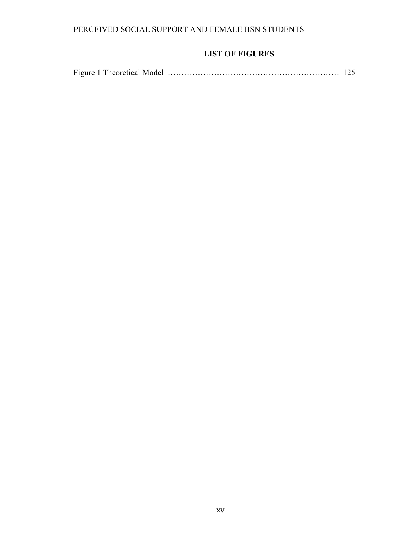# **LIST OF FIGURES**

|--|--|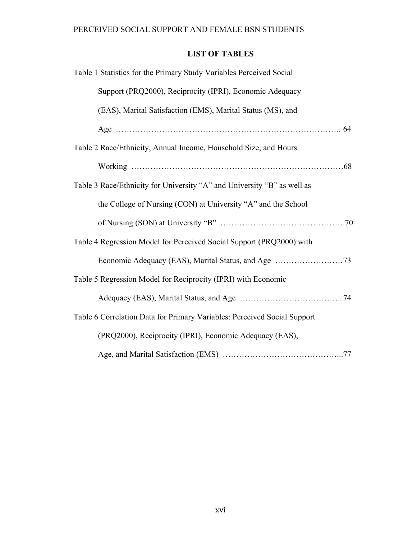# **LIST OF TABLES**

| Table 1 Statistics for the Primary Study Variables Perceived Social      |  |
|--------------------------------------------------------------------------|--|
| Support (PRQ2000), Reciprocity (IPRI), Economic Adequacy                 |  |
| (EAS), Marital Satisfaction (EMS), Marital Status (MS), and              |  |
|                                                                          |  |
| Table 2 Race/Ethnicity, Annual Income, Household Size, and Hours         |  |
|                                                                          |  |
| Table 3 Race/Ethnicity for University "A" and University "B" as well as  |  |
| the College of Nursing (CON) at University "A" and the School            |  |
|                                                                          |  |
| Table 4 Regression Model for Perceived Social Support (PRQ2000) with     |  |
|                                                                          |  |
| Table 5 Regression Model for Reciprocity (IPRI) with Economic            |  |
|                                                                          |  |
| Table 6 Correlation Data for Primary Variables: Perceived Social Support |  |
| (PRQ2000), Reciprocity (IPRI), Economic Adequacy (EAS),                  |  |
|                                                                          |  |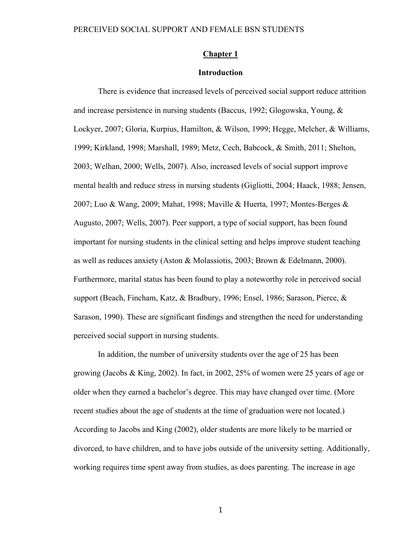#### **Chapter 1**

#### **Introduction**

There is evidence that increased levels of perceived social support reduce attrition and increase persistence in nursing students (Baccus, 1992; Glogowska, Young, & Lockyer, 2007; Gloria, Kurpius, Hamilton, & Wilson, 1999; Hegge, Melcher, & Williams, 1999; Kirkland, 1998; Marshall, 1989; Metz, Cech, Babcock, & Smith, 2011; Shelton, 2003; Welhan, 2000; Wells, 2007). Also, increased levels of social support improve mental health and reduce stress in nursing students (Gigliotti, 2004; Haack, 1988; Jensen, 2007; Luo & Wang, 2009; Mahat, 1998; Maville & Huerta, 1997; Montes-Berges & Augusto, 2007; Wells, 2007). Peer support, a type of social support, has been found important for nursing students in the clinical setting and helps improve student teaching as well as reduces anxiety (Aston & Molassiotis, 2003; Brown & Edelmann, 2000). Furthermore, marital status has been found to play a noteworthy role in perceived social support (Beach, Fincham, Katz, & Bradbury, 1996; Ensel, 1986; Sarason, Pierce, & Sarason, 1990). These are significant findings and strengthen the need for understanding perceived social support in nursing students.

In addition, the number of university students over the age of 25 has been growing (Jacobs & King, 2002). In fact, in 2002, 25% of women were 25 years of age or older when they earned a bachelor's degree. This may have changed over time. (More recent studies about the age of students at the time of graduation were not located.) According to Jacobs and King (2002), older students are more likely to be married or divorced, to have children, and to have jobs outside of the university setting. Additionally, working requires time spent away from studies, as does parenting. The increase in age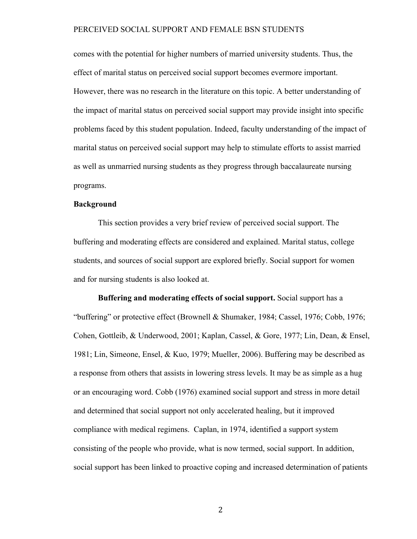comes with the potential for higher numbers of married university students. Thus, the effect of marital status on perceived social support becomes evermore important. However, there was no research in the literature on this topic. A better understanding of the impact of marital status on perceived social support may provide insight into specific problems faced by this student population. Indeed, faculty understanding of the impact of marital status on perceived social support may help to stimulate efforts to assist married as well as unmarried nursing students as they progress through baccalaureate nursing programs.

#### **Background**

This section provides a very brief review of perceived social support. The buffering and moderating effects are considered and explained. Marital status, college students, and sources of social support are explored briefly. Social support for women and for nursing students is also looked at.

**Buffering and moderating effects of social support.** Social support has a "buffering" or protective effect (Brownell & Shumaker, 1984; Cassel, 1976; Cobb, 1976; Cohen, Gottleib, & Underwood, 2001; Kaplan, Cassel, & Gore, 1977; Lin, Dean, & Ensel, 1981; Lin, Simeone, Ensel, & Kuo, 1979; Mueller, 2006). Buffering may be described as a response from others that assists in lowering stress levels. It may be as simple as a hug or an encouraging word. Cobb (1976) examined social support and stress in more detail and determined that social support not only accelerated healing, but it improved compliance with medical regimens. Caplan, in 1974, identified a support system consisting of the people who provide, what is now termed, social support. In addition, social support has been linked to proactive coping and increased determination of patients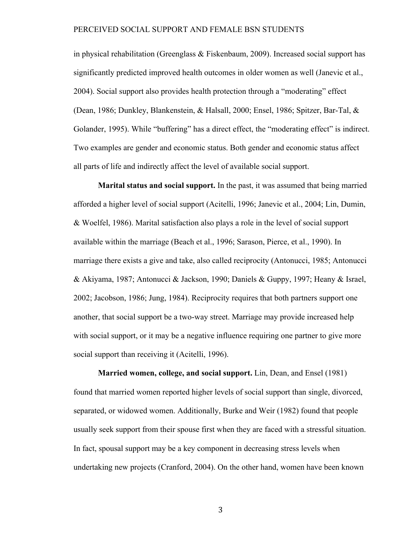in physical rehabilitation (Greenglass  $\&$  Fiskenbaum, 2009). Increased social support has significantly predicted improved health outcomes in older women as well (Janevic et al., 2004). Social support also provides health protection through a "moderating" effect (Dean, 1986; Dunkley, Blankenstein, & Halsall, 2000; Ensel, 1986; Spitzer, Bar-Tal, & Golander, 1995). While "buffering" has a direct effect, the "moderating effect" is indirect. Two examples are gender and economic status. Both gender and economic status affect all parts of life and indirectly affect the level of available social support.

**Marital status and social support.** In the past, it was assumed that being married afforded a higher level of social support (Acitelli, 1996; Janevic et al., 2004; Lin, Dumin, & Woelfel, 1986). Marital satisfaction also plays a role in the level of social support available within the marriage (Beach et al., 1996; Sarason, Pierce, et al., 1990). In marriage there exists a give and take, also called reciprocity (Antonucci, 1985; Antonucci & Akiyama, 1987; Antonucci & Jackson, 1990; Daniels & Guppy, 1997; Heany & Israel, 2002; Jacobson, 1986; Jung, 1984). Reciprocity requires that both partners support one another, that social support be a two-way street. Marriage may provide increased help with social support, or it may be a negative influence requiring one partner to give more social support than receiving it (Acitelli, 1996).

**Married women, college, and social support.** Lin, Dean, and Ensel (1981) found that married women reported higher levels of social support than single, divorced, separated, or widowed women. Additionally, Burke and Weir (1982) found that people usually seek support from their spouse first when they are faced with a stressful situation. In fact, spousal support may be a key component in decreasing stress levels when undertaking new projects (Cranford, 2004). On the other hand, women have been known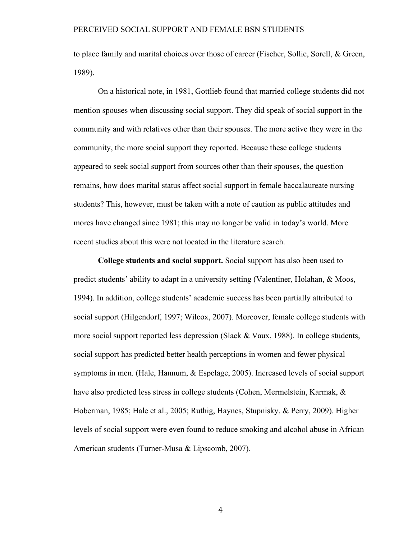to place family and marital choices over those of career (Fischer, Sollie, Sorell, & Green, 1989).

On a historical note, in 1981, Gottlieb found that married college students did not mention spouses when discussing social support. They did speak of social support in the community and with relatives other than their spouses. The more active they were in the community, the more social support they reported. Because these college students appeared to seek social support from sources other than their spouses, the question remains, how does marital status affect social support in female baccalaureate nursing students? This, however, must be taken with a note of caution as public attitudes and mores have changed since 1981; this may no longer be valid in today's world. More recent studies about this were not located in the literature search.

**College students and social support.** Social support has also been used to predict students' ability to adapt in a university setting (Valentiner, Holahan, & Moos, 1994). In addition, college students' academic success has been partially attributed to social support (Hilgendorf, 1997; Wilcox, 2007). Moreover, female college students with more social support reported less depression (Slack & Vaux, 1988). In college students, social support has predicted better health perceptions in women and fewer physical symptoms in men. (Hale, Hannum, & Espelage, 2005). Increased levels of social support have also predicted less stress in college students (Cohen, Mermelstein, Karmak, & Hoberman, 1985; Hale et al., 2005; Ruthig, Haynes, Stupnisky, & Perry, 2009). Higher levels of social support were even found to reduce smoking and alcohol abuse in African American students (Turner-Musa & Lipscomb, 2007).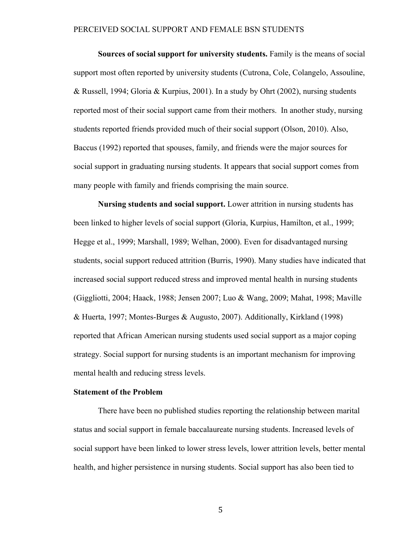**Sources of social support for university students.** Family is the means of social support most often reported by university students (Cutrona, Cole, Colangelo, Assouline, & Russell, 1994; Gloria & Kurpius, 2001). In a study by Ohrt (2002), nursing students reported most of their social support came from their mothers. In another study, nursing students reported friends provided much of their social support (Olson, 2010). Also, Baccus (1992) reported that spouses, family, and friends were the major sources for social support in graduating nursing students. It appears that social support comes from many people with family and friends comprising the main source.

**Nursing students and social support.** Lower attrition in nursing students has been linked to higher levels of social support (Gloria, Kurpius, Hamilton, et al., 1999; Hegge et al., 1999; Marshall, 1989; Welhan, 2000). Even for disadvantaged nursing students, social support reduced attrition (Burris, 1990). Many studies have indicated that increased social support reduced stress and improved mental health in nursing students (Giggliotti, 2004; Haack, 1988; Jensen 2007; Luo & Wang, 2009; Mahat, 1998; Maville & Huerta, 1997; Montes-Burges & Augusto, 2007). Additionally, Kirkland (1998) reported that African American nursing students used social support as a major coping strategy. Social support for nursing students is an important mechanism for improving mental health and reducing stress levels.

#### **Statement of the Problem**

There have been no published studies reporting the relationship between marital status and social support in female baccalaureate nursing students. Increased levels of social support have been linked to lower stress levels, lower attrition levels, better mental health, and higher persistence in nursing students. Social support has also been tied to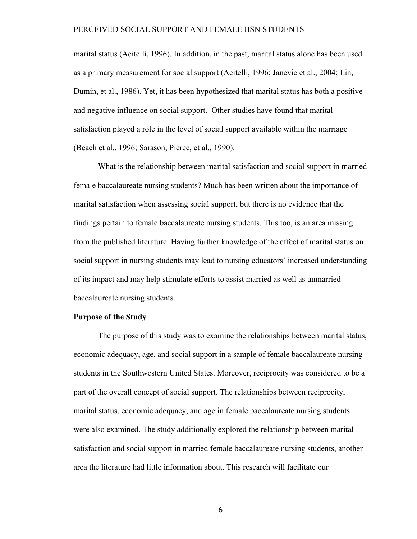marital status (Acitelli, 1996). In addition, in the past, marital status alone has been used as a primary measurement for social support (Acitelli, 1996; Janevic et al., 2004; Lin, Dumin, et al., 1986). Yet, it has been hypothesized that marital status has both a positive and negative influence on social support. Other studies have found that marital satisfaction played a role in the level of social support available within the marriage (Beach et al., 1996; Sarason, Pierce, et al., 1990).

What is the relationship between marital satisfaction and social support in married female baccalaureate nursing students? Much has been written about the importance of marital satisfaction when assessing social support, but there is no evidence that the findings pertain to female baccalaureate nursing students. This too, is an area missing from the published literature. Having further knowledge of the effect of marital status on social support in nursing students may lead to nursing educators' increased understanding of its impact and may help stimulate efforts to assist married as well as unmarried baccalaureate nursing students.

#### **Purpose of the Study**

The purpose of this study was to examine the relationships between marital status, economic adequacy, age, and social support in a sample of female baccalaureate nursing students in the Southwestern United States. Moreover, reciprocity was considered to be a part of the overall concept of social support. The relationships between reciprocity, marital status, economic adequacy, and age in female baccalaureate nursing students were also examined. The study additionally explored the relationship between marital satisfaction and social support in married female baccalaureate nursing students, another area the literature had little information about. This research will facilitate our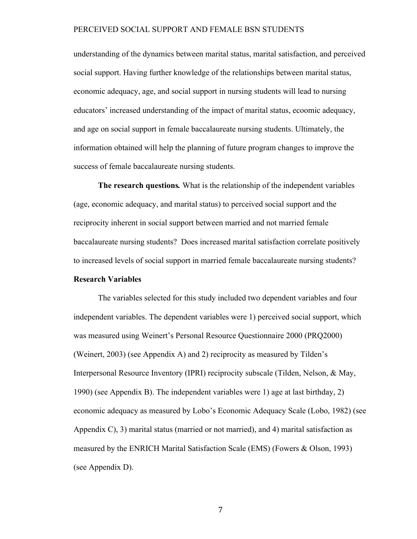understanding of the dynamics between marital status, marital satisfaction, and perceived social support. Having further knowledge of the relationships between marital status, economic adequacy, age, and social support in nursing students will lead to nursing educators' increased understanding of the impact of marital status, ecoomic adequacy, and age on social support in female baccalaureate nursing students. Ultimately, the information obtained will help the planning of future program changes to improve the success of female baccalaureate nursing students.

**The research questions***.* What is the relationship of the independent variables (age, economic adequacy, and marital status) to perceived social support and the reciprocity inherent in social support between married and not married female baccalaureate nursing students? Does increased marital satisfaction correlate positively to increased levels of social support in married female baccalaureate nursing students?

## **Research Variables**

The variables selected for this study included two dependent variables and four independent variables. The dependent variables were 1) perceived social support, which was measured using Weinert's Personal Resource Questionnaire 2000 (PRQ2000) (Weinert, 2003) (see Appendix A) and 2) reciprocity as measured by Tilden's Interpersonal Resource Inventory (IPRI) reciprocity subscale (Tilden, Nelson, & May, 1990) (see Appendix B). The independent variables were 1) age at last birthday, 2) economic adequacy as measured by Lobo's Economic Adequacy Scale (Lobo, 1982) (see Appendix C), 3) marital status (married or not married), and 4) marital satisfaction as measured by the ENRICH Marital Satisfaction Scale (EMS) (Fowers & Olson, 1993) (see Appendix D).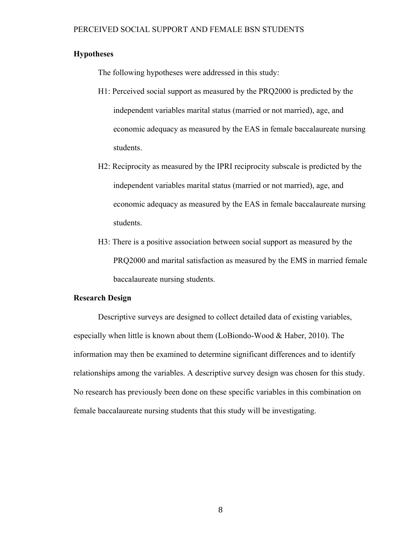#### **Hypotheses**

The following hypotheses were addressed in this study:

- H1: Perceived social support as measured by the PRQ2000 is predicted by the independent variables marital status (married or not married), age, and economic adequacy as measured by the EAS in female baccalaureate nursing students.
- H2: Reciprocity as measured by the IPRI reciprocity subscale is predicted by the independent variables marital status (married or not married), age, and economic adequacy as measured by the EAS in female baccalaureate nursing students.
- H3: There is a positive association between social support as measured by the PRQ2000 and marital satisfaction as measured by the EMS in married female baccalaureate nursing students.

#### **Research Design**

Descriptive surveys are designed to collect detailed data of existing variables, especially when little is known about them (LoBiondo-Wood & Haber, 2010). The information may then be examined to determine significant differences and to identify relationships among the variables. A descriptive survey design was chosen for this study. No research has previously been done on these specific variables in this combination on female baccalaureate nursing students that this study will be investigating.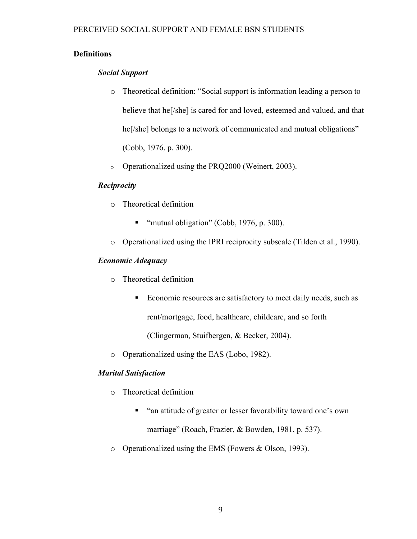## **Definitions**

## *Social Support*

- o Theoretical definition: "Social support is information leading a person to believe that he[/she] is cared for and loved, esteemed and valued, and that he<sup>[/she]</sup> belongs to a network of communicated and mutual obligations" (Cobb, 1976, p. 300).
- o Operationalized using the PRQ2000 (Weinert, 2003).

## *Reciprocity*

- o Theoretical definition
	- " "mutual obligation" (Cobb, 1976, p. 300).
- o Operationalized using the IPRI reciprocity subscale (Tilden et al., 1990).

## *Economic Adequacy*

- o Theoretical definition
	- Economic resources are satisfactory to meet daily needs, such as rent/mortgage, food, healthcare, childcare, and so forth

(Clingerman, Stuifbergen, & Becker, 2004).

o Operationalized using the EAS (Lobo, 1982).

## *Marital Satisfaction*

- o Theoretical definition
	- "an attitude of greater or lesser favorability toward one's own marriage" (Roach, Frazier, & Bowden, 1981, p. 537).
- o Operationalized using the EMS (Fowers & Olson, 1993).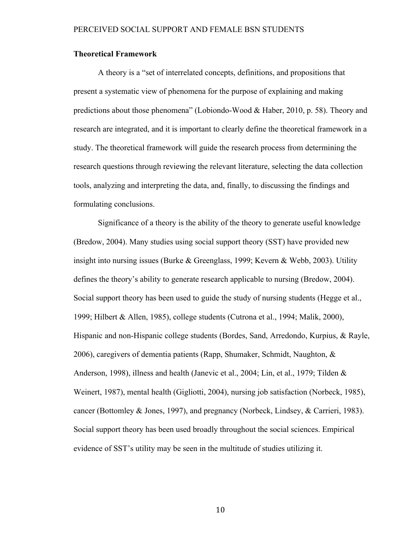#### **Theoretical Framework**

A theory is a "set of interrelated concepts, definitions, and propositions that present a systematic view of phenomena for the purpose of explaining and making predictions about those phenomena" (Lobiondo-Wood & Haber, 2010, p. 58). Theory and research are integrated, and it is important to clearly define the theoretical framework in a study. The theoretical framework will guide the research process from determining the research questions through reviewing the relevant literature, selecting the data collection tools, analyzing and interpreting the data, and, finally, to discussing the findings and formulating conclusions.

Significance of a theory is the ability of the theory to generate useful knowledge (Bredow, 2004). Many studies using social support theory (SST) have provided new insight into nursing issues (Burke & Greenglass, 1999; Kevern & Webb, 2003). Utility defines the theory's ability to generate research applicable to nursing (Bredow, 2004). Social support theory has been used to guide the study of nursing students (Hegge et al., 1999; Hilbert & Allen, 1985), college students (Cutrona et al., 1994; Malik, 2000), Hispanic and non-Hispanic college students (Bordes, Sand, Arredondo, Kurpius, & Rayle, 2006), caregivers of dementia patients (Rapp, Shumaker, Schmidt, Naughton, & Anderson, 1998), illness and health (Janevic et al., 2004; Lin, et al., 1979; Tilden & Weinert, 1987), mental health (Gigliotti, 2004), nursing job satisfaction (Norbeck, 1985), cancer (Bottomley & Jones, 1997), and pregnancy (Norbeck, Lindsey, & Carrieri, 1983). Social support theory has been used broadly throughout the social sciences. Empirical evidence of SST's utility may be seen in the multitude of studies utilizing it.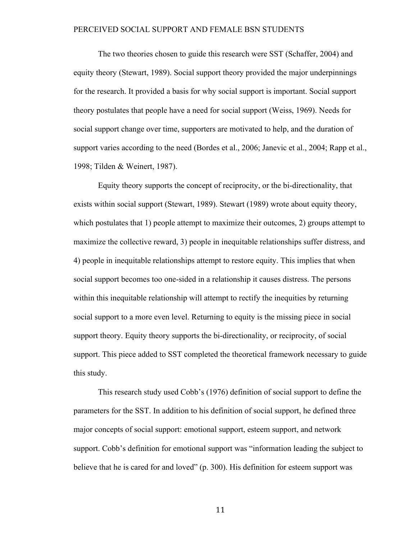The two theories chosen to guide this research were SST (Schaffer, 2004) and equity theory (Stewart, 1989). Social support theory provided the major underpinnings for the research. It provided a basis for why social support is important. Social support theory postulates that people have a need for social support (Weiss, 1969). Needs for social support change over time, supporters are motivated to help, and the duration of support varies according to the need (Bordes et al., 2006; Janevic et al., 2004; Rapp et al., 1998; Tilden & Weinert, 1987).

Equity theory supports the concept of reciprocity, or the bi-directionality, that exists within social support (Stewart, 1989). Stewart (1989) wrote about equity theory, which postulates that 1) people attempt to maximize their outcomes, 2) groups attempt to maximize the collective reward, 3) people in inequitable relationships suffer distress, and 4) people in inequitable relationships attempt to restore equity. This implies that when social support becomes too one-sided in a relationship it causes distress. The persons within this inequitable relationship will attempt to rectify the inequities by returning social support to a more even level. Returning to equity is the missing piece in social support theory. Equity theory supports the bi-directionality, or reciprocity, of social support. This piece added to SST completed the theoretical framework necessary to guide this study.

This research study used Cobb's (1976) definition of social support to define the parameters for the SST. In addition to his definition of social support, he defined three major concepts of social support: emotional support, esteem support, and network support. Cobb's definition for emotional support was "information leading the subject to believe that he is cared for and loved" (p. 300). His definition for esteem support was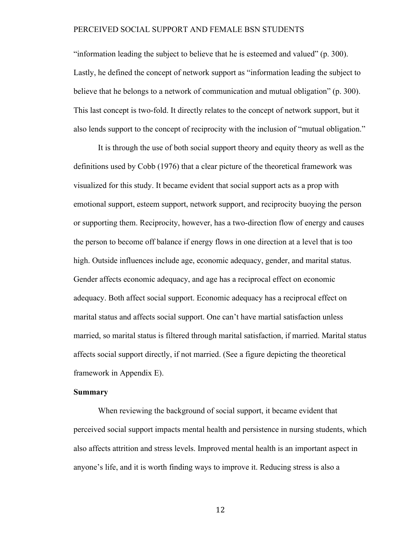"information leading the subject to believe that he is esteemed and valued" (p. 300). Lastly, he defined the concept of network support as "information leading the subject to believe that he belongs to a network of communication and mutual obligation" (p. 300). This last concept is two-fold. It directly relates to the concept of network support, but it also lends support to the concept of reciprocity with the inclusion of "mutual obligation."

It is through the use of both social support theory and equity theory as well as the definitions used by Cobb (1976) that a clear picture of the theoretical framework was visualized for this study. It became evident that social support acts as a prop with emotional support, esteem support, network support, and reciprocity buoying the person or supporting them. Reciprocity, however, has a two-direction flow of energy and causes the person to become off balance if energy flows in one direction at a level that is too high. Outside influences include age, economic adequacy, gender, and marital status. Gender affects economic adequacy, and age has a reciprocal effect on economic adequacy. Both affect social support. Economic adequacy has a reciprocal effect on marital status and affects social support. One can't have martial satisfaction unless married, so marital status is filtered through marital satisfaction, if married. Marital status affects social support directly, if not married. (See a figure depicting the theoretical framework in Appendix E).

### **Summary**

When reviewing the background of social support, it became evident that perceived social support impacts mental health and persistence in nursing students, which also affects attrition and stress levels. Improved mental health is an important aspect in anyone's life, and it is worth finding ways to improve it. Reducing stress is also a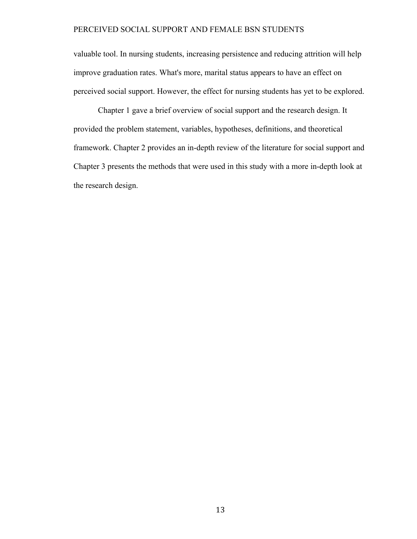valuable tool. In nursing students, increasing persistence and reducing attrition will help improve graduation rates. What's more, marital status appears to have an effect on perceived social support. However, the effect for nursing students has yet to be explored.

Chapter 1 gave a brief overview of social support and the research design. It provided the problem statement, variables, hypotheses, definitions, and theoretical framework. Chapter 2 provides an in-depth review of the literature for social support and Chapter 3 presents the methods that were used in this study with a more in-depth look at the research design.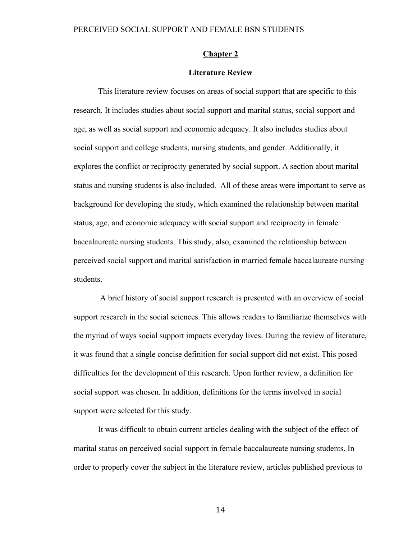#### **Chapter 2**

#### **Literature Review**

This literature review focuses on areas of social support that are specific to this research. It includes studies about social support and marital status, social support and age, as well as social support and economic adequacy. It also includes studies about social support and college students, nursing students, and gender. Additionally, it explores the conflict or reciprocity generated by social support. A section about marital status and nursing students is also included. All of these areas were important to serve as background for developing the study, which examined the relationship between marital status, age, and economic adequacy with social support and reciprocity in female baccalaureate nursing students. This study, also, examined the relationship between perceived social support and marital satisfaction in married female baccalaureate nursing students.

 A brief history of social support research is presented with an overview of social support research in the social sciences. This allows readers to familiarize themselves with the myriad of ways social support impacts everyday lives. During the review of literature, it was found that a single concise definition for social support did not exist. This posed difficulties for the development of this research. Upon further review, a definition for social support was chosen. In addition, definitions for the terms involved in social support were selected for this study.

It was difficult to obtain current articles dealing with the subject of the effect of marital status on perceived social support in female baccalaureate nursing students. In order to properly cover the subject in the literature review, articles published previous to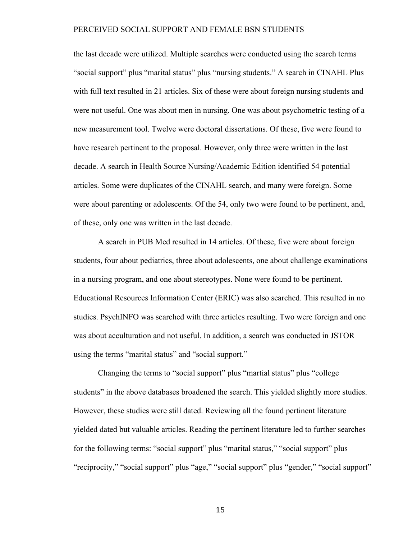the last decade were utilized. Multiple searches were conducted using the search terms "social support" plus "marital status" plus "nursing students." A search in CINAHL Plus with full text resulted in 21 articles. Six of these were about foreign nursing students and were not useful. One was about men in nursing. One was about psychometric testing of a new measurement tool. Twelve were doctoral dissertations. Of these, five were found to have research pertinent to the proposal. However, only three were written in the last decade. A search in Health Source Nursing/Academic Edition identified 54 potential articles. Some were duplicates of the CINAHL search, and many were foreign. Some were about parenting or adolescents. Of the 54, only two were found to be pertinent, and, of these, only one was written in the last decade.

A search in PUB Med resulted in 14 articles. Of these, five were about foreign students, four about pediatrics, three about adolescents, one about challenge examinations in a nursing program, and one about stereotypes. None were found to be pertinent. Educational Resources Information Center (ERIC) was also searched. This resulted in no studies. PsychINFO was searched with three articles resulting. Two were foreign and one was about acculturation and not useful. In addition, a search was conducted in JSTOR using the terms "marital status" and "social support."

Changing the terms to "social support" plus "martial status" plus "college students" in the above databases broadened the search. This yielded slightly more studies. However, these studies were still dated. Reviewing all the found pertinent literature yielded dated but valuable articles. Reading the pertinent literature led to further searches for the following terms: "social support" plus "marital status," "social support" plus "reciprocity," "social support" plus "age," "social support" plus "gender," "social support"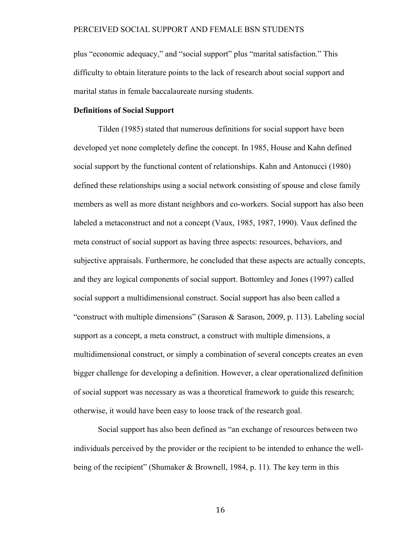plus "economic adequacy," and "social support" plus "marital satisfaction." This difficulty to obtain literature points to the lack of research about social support and marital status in female baccalaureate nursing students.

#### **Definitions of Social Support**

Tilden (1985) stated that numerous definitions for social support have been developed yet none completely define the concept. In 1985, House and Kahn defined social support by the functional content of relationships. Kahn and Antonucci (1980) defined these relationships using a social network consisting of spouse and close family members as well as more distant neighbors and co-workers. Social support has also been labeled a metaconstruct and not a concept (Vaux, 1985, 1987, 1990). Vaux defined the meta construct of social support as having three aspects: resources, behaviors, and subjective appraisals. Furthermore, he concluded that these aspects are actually concepts, and they are logical components of social support. Bottomley and Jones (1997) called social support a multidimensional construct. Social support has also been called a "construct with multiple dimensions" (Sarason & Sarason, 2009, p. 113). Labeling social support as a concept, a meta construct, a construct with multiple dimensions, a multidimensional construct, or simply a combination of several concepts creates an even bigger challenge for developing a definition. However, a clear operationalized definition of social support was necessary as was a theoretical framework to guide this research; otherwise, it would have been easy to loose track of the research goal.

Social support has also been defined as "an exchange of resources between two individuals perceived by the provider or the recipient to be intended to enhance the wellbeing of the recipient" (Shumaker & Brownell, 1984, p. 11). The key term in this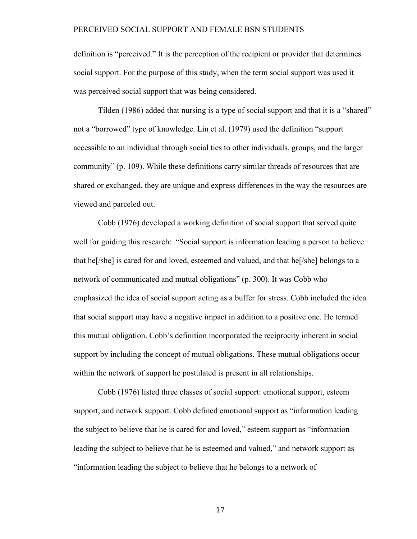definition is "perceived." It is the perception of the recipient or provider that determines social support. For the purpose of this study, when the term social support was used it was perceived social support that was being considered.

Tilden (1986) added that nursing is a type of social support and that it is a "shared" not a "borrowed" type of knowledge. Lin et al. (1979) used the definition "support accessible to an individual through social ties to other individuals, groups, and the larger community" (p. 109). While these definitions carry similar threads of resources that are shared or exchanged, they are unique and express differences in the way the resources are viewed and parceled out.

Cobb (1976) developed a working definition of social support that served quite well for guiding this research: "Social support is information leading a person to believe that he[/she] is cared for and loved, esteemed and valued, and that he[/she] belongs to a network of communicated and mutual obligations" (p. 300). It was Cobb who emphasized the idea of social support acting as a buffer for stress. Cobb included the idea that social support may have a negative impact in addition to a positive one. He termed this mutual obligation. Cobb's definition incorporated the reciprocity inherent in social support by including the concept of mutual obligations. These mutual obligations occur within the network of support he postulated is present in all relationships.

Cobb (1976) listed three classes of social support: emotional support, esteem support, and network support. Cobb defined emotional support as "information leading the subject to believe that he is cared for and loved," esteem support as "information leading the subject to believe that he is esteemed and valued," and network support as "information leading the subject to believe that he belongs to a network of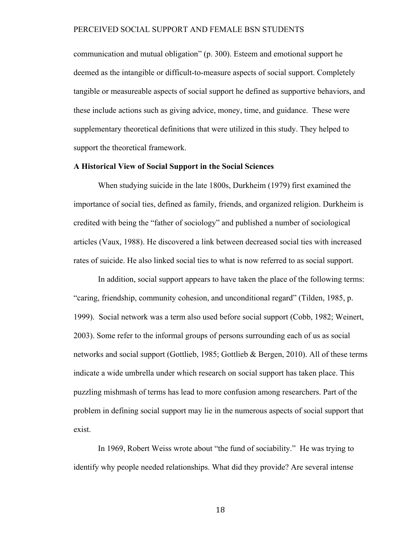communication and mutual obligation" (p. 300). Esteem and emotional support he deemed as the intangible or difficult-to-measure aspects of social support. Completely tangible or measureable aspects of social support he defined as supportive behaviors, and these include actions such as giving advice, money, time, and guidance. These were supplementary theoretical definitions that were utilized in this study. They helped to support the theoretical framework.

#### **A Historical View of Social Support in the Social Sciences**

When studying suicide in the late 1800s, Durkheim (1979) first examined the importance of social ties, defined as family, friends, and organized religion. Durkheim is credited with being the "father of sociology" and published a number of sociological articles (Vaux, 1988). He discovered a link between decreased social ties with increased rates of suicide. He also linked social ties to what is now referred to as social support.

In addition, social support appears to have taken the place of the following terms: "caring, friendship, community cohesion, and unconditional regard" (Tilden, 1985, p. 1999). Social network was a term also used before social support (Cobb, 1982; Weinert, 2003). Some refer to the informal groups of persons surrounding each of us as social networks and social support (Gottlieb, 1985; Gottlieb & Bergen, 2010). All of these terms indicate a wide umbrella under which research on social support has taken place. This puzzling mishmash of terms has lead to more confusion among researchers. Part of the problem in defining social support may lie in the numerous aspects of social support that exist.

In 1969, Robert Weiss wrote about "the fund of sociability." He was trying to identify why people needed relationships. What did they provide? Are several intense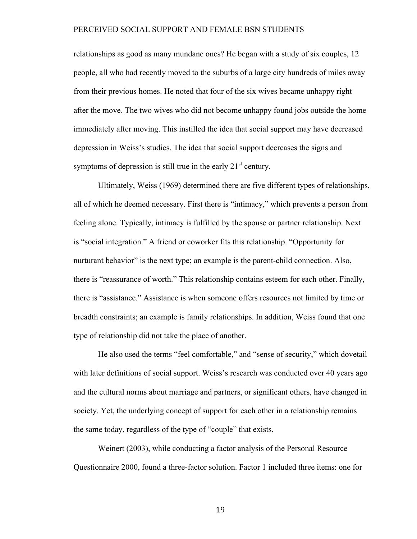relationships as good as many mundane ones? He began with a study of six couples, 12 people, all who had recently moved to the suburbs of a large city hundreds of miles away from their previous homes. He noted that four of the six wives became unhappy right after the move. The two wives who did not become unhappy found jobs outside the home immediately after moving. This instilled the idea that social support may have decreased depression in Weiss's studies. The idea that social support decreases the signs and symptoms of depression is still true in the early  $21<sup>st</sup>$  century.

Ultimately, Weiss (1969) determined there are five different types of relationships, all of which he deemed necessary. First there is "intimacy," which prevents a person from feeling alone. Typically, intimacy is fulfilled by the spouse or partner relationship. Next is "social integration." A friend or coworker fits this relationship. "Opportunity for nurturant behavior" is the next type; an example is the parent-child connection. Also, there is "reassurance of worth." This relationship contains esteem for each other. Finally, there is "assistance." Assistance is when someone offers resources not limited by time or breadth constraints; an example is family relationships. In addition, Weiss found that one type of relationship did not take the place of another.

He also used the terms "feel comfortable," and "sense of security," which dovetail with later definitions of social support. Weiss's research was conducted over 40 years ago and the cultural norms about marriage and partners, or significant others, have changed in society. Yet, the underlying concept of support for each other in a relationship remains the same today, regardless of the type of "couple" that exists.

Weinert (2003), while conducting a factor analysis of the Personal Resource Questionnaire 2000, found a three-factor solution. Factor 1 included three items: one for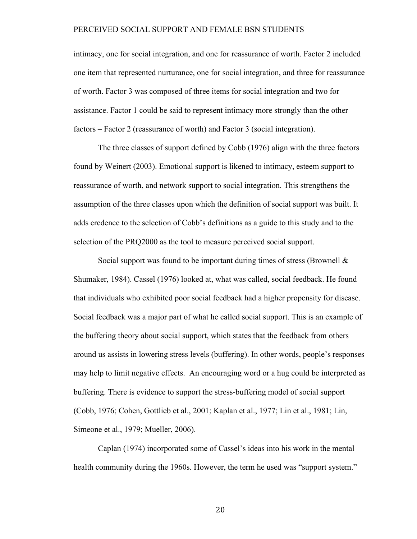intimacy, one for social integration, and one for reassurance of worth. Factor 2 included one item that represented nurturance, one for social integration, and three for reassurance of worth. Factor 3 was composed of three items for social integration and two for assistance. Factor 1 could be said to represent intimacy more strongly than the other factors – Factor 2 (reassurance of worth) and Factor 3 (social integration).

The three classes of support defined by Cobb (1976) align with the three factors found by Weinert (2003). Emotional support is likened to intimacy, esteem support to reassurance of worth, and network support to social integration. This strengthens the assumption of the three classes upon which the definition of social support was built. It adds credence to the selection of Cobb's definitions as a guide to this study and to the selection of the PRQ2000 as the tool to measure perceived social support.

Social support was found to be important during times of stress (Brownell & Shumaker, 1984). Cassel (1976) looked at, what was called, social feedback. He found that individuals who exhibited poor social feedback had a higher propensity for disease. Social feedback was a major part of what he called social support. This is an example of the buffering theory about social support, which states that the feedback from others around us assists in lowering stress levels (buffering). In other words, people's responses may help to limit negative effects. An encouraging word or a hug could be interpreted as buffering. There is evidence to support the stress-buffering model of social support (Cobb, 1976; Cohen, Gottlieb et al., 2001; Kaplan et al., 1977; Lin et al., 1981; Lin, Simeone et al., 1979; Mueller, 2006).

Caplan (1974) incorporated some of Cassel's ideas into his work in the mental health community during the 1960s. However, the term he used was "support system."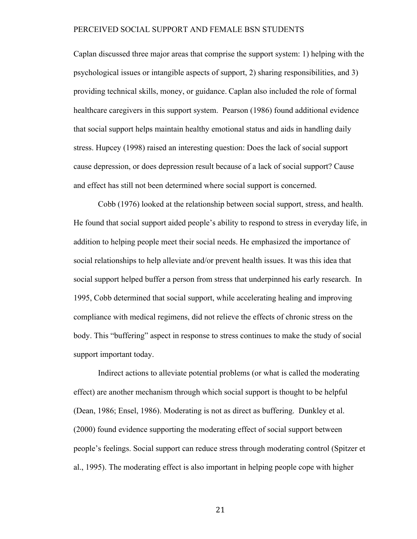Caplan discussed three major areas that comprise the support system: 1) helping with the psychological issues or intangible aspects of support, 2) sharing responsibilities, and 3) providing technical skills, money, or guidance. Caplan also included the role of formal healthcare caregivers in this support system. Pearson (1986) found additional evidence that social support helps maintain healthy emotional status and aids in handling daily stress. Hupcey (1998) raised an interesting question: Does the lack of social support cause depression, or does depression result because of a lack of social support? Cause and effect has still not been determined where social support is concerned.

Cobb (1976) looked at the relationship between social support, stress, and health. He found that social support aided people's ability to respond to stress in everyday life, in addition to helping people meet their social needs. He emphasized the importance of social relationships to help alleviate and/or prevent health issues. It was this idea that social support helped buffer a person from stress that underpinned his early research. In 1995, Cobb determined that social support, while accelerating healing and improving compliance with medical regimens, did not relieve the effects of chronic stress on the body. This "buffering" aspect in response to stress continues to make the study of social support important today.

Indirect actions to alleviate potential problems (or what is called the moderating effect) are another mechanism through which social support is thought to be helpful (Dean, 1986; Ensel, 1986). Moderating is not as direct as buffering. Dunkley et al. (2000) found evidence supporting the moderating effect of social support between people's feelings. Social support can reduce stress through moderating control (Spitzer et al., 1995). The moderating effect is also important in helping people cope with higher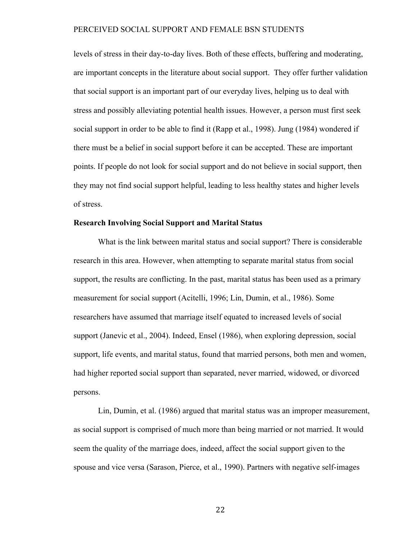levels of stress in their day-to-day lives. Both of these effects, buffering and moderating, are important concepts in the literature about social support. They offer further validation that social support is an important part of our everyday lives, helping us to deal with stress and possibly alleviating potential health issues. However, a person must first seek social support in order to be able to find it (Rapp et al., 1998). Jung (1984) wondered if there must be a belief in social support before it can be accepted. These are important points. If people do not look for social support and do not believe in social support, then they may not find social support helpful, leading to less healthy states and higher levels of stress.

### **Research Involving Social Support and Marital Status**

What is the link between marital status and social support? There is considerable research in this area. However, when attempting to separate marital status from social support, the results are conflicting. In the past, marital status has been used as a primary measurement for social support (Acitelli, 1996; Lin, Dumin, et al., 1986). Some researchers have assumed that marriage itself equated to increased levels of social support (Janevic et al., 2004). Indeed, Ensel (1986), when exploring depression, social support, life events, and marital status, found that married persons, both men and women, had higher reported social support than separated, never married, widowed, or divorced persons.

Lin, Dumin, et al. (1986) argued that marital status was an improper measurement, as social support is comprised of much more than being married or not married. It would seem the quality of the marriage does, indeed, affect the social support given to the spouse and vice versa (Sarason, Pierce, et al., 1990). Partners with negative self-images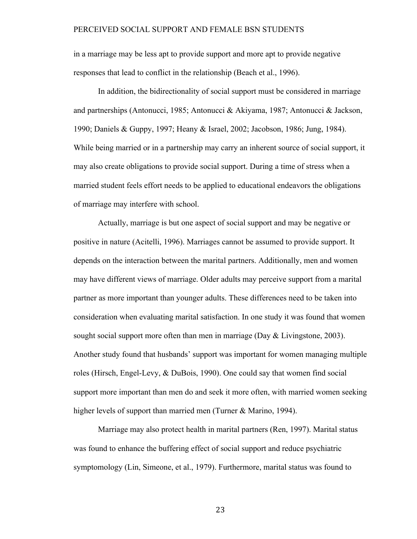in a marriage may be less apt to provide support and more apt to provide negative responses that lead to conflict in the relationship (Beach et al., 1996).

In addition, the bidirectionality of social support must be considered in marriage and partnerships (Antonucci, 1985; Antonucci & Akiyama, 1987; Antonucci & Jackson, 1990; Daniels & Guppy, 1997; Heany & Israel, 2002; Jacobson, 1986; Jung, 1984). While being married or in a partnership may carry an inherent source of social support, it may also create obligations to provide social support. During a time of stress when a married student feels effort needs to be applied to educational endeavors the obligations of marriage may interfere with school.

Actually, marriage is but one aspect of social support and may be negative or positive in nature (Acitelli, 1996). Marriages cannot be assumed to provide support. It depends on the interaction between the marital partners. Additionally, men and women may have different views of marriage. Older adults may perceive support from a marital partner as more important than younger adults. These differences need to be taken into consideration when evaluating marital satisfaction. In one study it was found that women sought social support more often than men in marriage (Day  $&$  Livingstone, 2003). Another study found that husbands' support was important for women managing multiple roles (Hirsch, Engel-Levy, & DuBois, 1990). One could say that women find social support more important than men do and seek it more often, with married women seeking higher levels of support than married men (Turner & Marino, 1994).

Marriage may also protect health in marital partners (Ren, 1997). Marital status was found to enhance the buffering effect of social support and reduce psychiatric symptomology (Lin, Simeone, et al., 1979). Furthermore, marital status was found to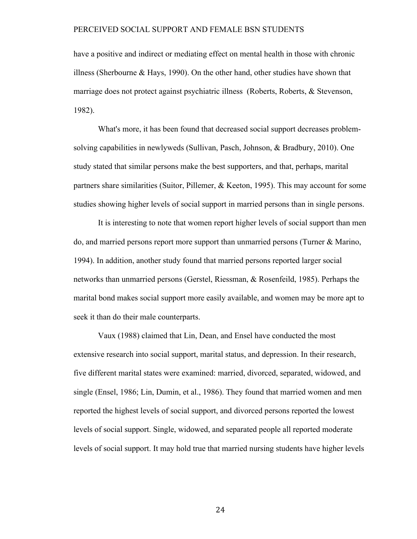have a positive and indirect or mediating effect on mental health in those with chronic illness (Sherbourne & Hays, 1990). On the other hand, other studies have shown that marriage does not protect against psychiatric illness (Roberts, Roberts, & Stevenson, 1982).

What's more, it has been found that decreased social support decreases problemsolving capabilities in newlyweds (Sullivan, Pasch, Johnson, & Bradbury, 2010). One study stated that similar persons make the best supporters, and that, perhaps, marital partners share similarities (Suitor, Pillemer, & Keeton, 1995). This may account for some studies showing higher levels of social support in married persons than in single persons.

It is interesting to note that women report higher levels of social support than men do, and married persons report more support than unmarried persons (Turner & Marino, 1994). In addition, another study found that married persons reported larger social networks than unmarried persons (Gerstel, Riessman, & Rosenfeild, 1985). Perhaps the marital bond makes social support more easily available, and women may be more apt to seek it than do their male counterparts.

Vaux (1988) claimed that Lin, Dean, and Ensel have conducted the most extensive research into social support, marital status, and depression. In their research, five different marital states were examined: married, divorced, separated, widowed, and single (Ensel, 1986; Lin, Dumin, et al., 1986). They found that married women and men reported the highest levels of social support, and divorced persons reported the lowest levels of social support. Single, widowed, and separated people all reported moderate levels of social support. It may hold true that married nursing students have higher levels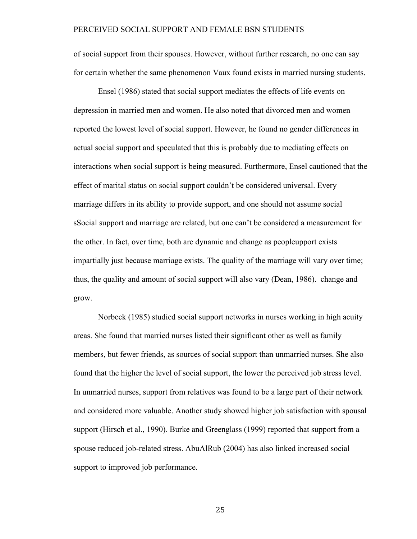of social support from their spouses. However, without further research, no one can say for certain whether the same phenomenon Vaux found exists in married nursing students.

Ensel (1986) stated that social support mediates the effects of life events on depression in married men and women. He also noted that divorced men and women reported the lowest level of social support. However, he found no gender differences in actual social support and speculated that this is probably due to mediating effects on interactions when social support is being measured. Furthermore, Ensel cautioned that the effect of marital status on social support couldn't be considered universal. Every marriage differs in its ability to provide support, and one should not assume social sSocial support and marriage are related, but one can't be considered a measurement for the other. In fact, over time, both are dynamic and change as peopleupport exists impartially just because marriage exists. The quality of the marriage will vary over time; thus, the quality and amount of social support will also vary (Dean, 1986). change and grow.

Norbeck (1985) studied social support networks in nurses working in high acuity areas. She found that married nurses listed their significant other as well as family members, but fewer friends, as sources of social support than unmarried nurses. She also found that the higher the level of social support, the lower the perceived job stress level. In unmarried nurses, support from relatives was found to be a large part of their network and considered more valuable. Another study showed higher job satisfaction with spousal support (Hirsch et al., 1990). Burke and Greenglass (1999) reported that support from a spouse reduced job-related stress. AbuAlRub (2004) has also linked increased social support to improved job performance.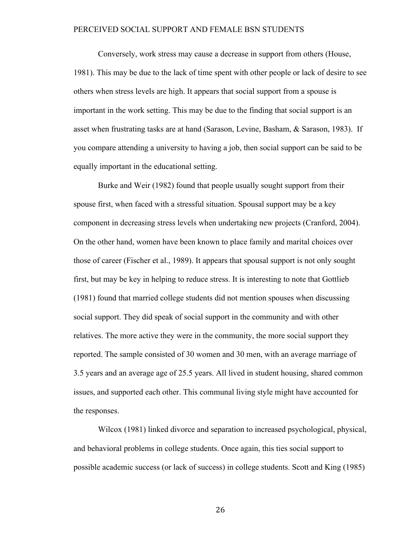Conversely, work stress may cause a decrease in support from others (House, 1981). This may be due to the lack of time spent with other people or lack of desire to see others when stress levels are high. It appears that social support from a spouse is important in the work setting. This may be due to the finding that social support is an asset when frustrating tasks are at hand (Sarason, Levine, Basham, & Sarason, 1983). If you compare attending a university to having a job, then social support can be said to be equally important in the educational setting.

Burke and Weir (1982) found that people usually sought support from their spouse first, when faced with a stressful situation. Spousal support may be a key component in decreasing stress levels when undertaking new projects (Cranford, 2004). On the other hand, women have been known to place family and marital choices over those of career (Fischer et al., 1989). It appears that spousal support is not only sought first, but may be key in helping to reduce stress. It is interesting to note that Gottlieb (1981) found that married college students did not mention spouses when discussing social support. They did speak of social support in the community and with other relatives. The more active they were in the community, the more social support they reported. The sample consisted of 30 women and 30 men, with an average marriage of 3.5 years and an average age of 25.5 years. All lived in student housing, shared common issues, and supported each other. This communal living style might have accounted for the responses.

Wilcox (1981) linked divorce and separation to increased psychological, physical, and behavioral problems in college students. Once again, this ties social support to possible academic success (or lack of success) in college students. Scott and King (1985)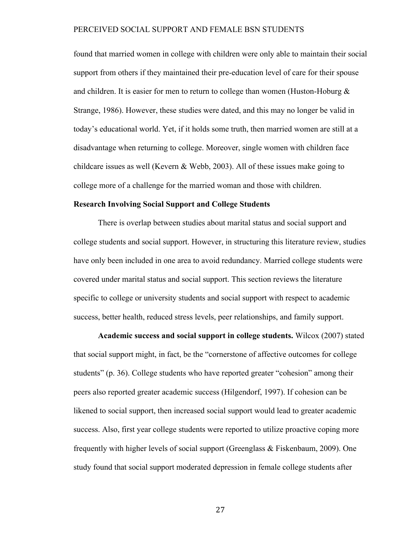found that married women in college with children were only able to maintain their social support from others if they maintained their pre-education level of care for their spouse and children. It is easier for men to return to college than women (Huston-Hoburg  $\&$ Strange, 1986). However, these studies were dated, and this may no longer be valid in today's educational world. Yet, if it holds some truth, then married women are still at a disadvantage when returning to college. Moreover, single women with children face childcare issues as well (Kevern  $&$  Webb, 2003). All of these issues make going to college more of a challenge for the married woman and those with children.

#### **Research Involving Social Support and College Students**

There is overlap between studies about marital status and social support and college students and social support. However, in structuring this literature review, studies have only been included in one area to avoid redundancy. Married college students were covered under marital status and social support. This section reviews the literature specific to college or university students and social support with respect to academic success, better health, reduced stress levels, peer relationships, and family support.

**Academic success and social support in college students.** Wilcox (2007) stated that social support might, in fact, be the "cornerstone of affective outcomes for college students" (p. 36). College students who have reported greater "cohesion" among their peers also reported greater academic success (Hilgendorf, 1997). If cohesion can be likened to social support, then increased social support would lead to greater academic success. Also, first year college students were reported to utilize proactive coping more frequently with higher levels of social support (Greenglass & Fiskenbaum, 2009). One study found that social support moderated depression in female college students after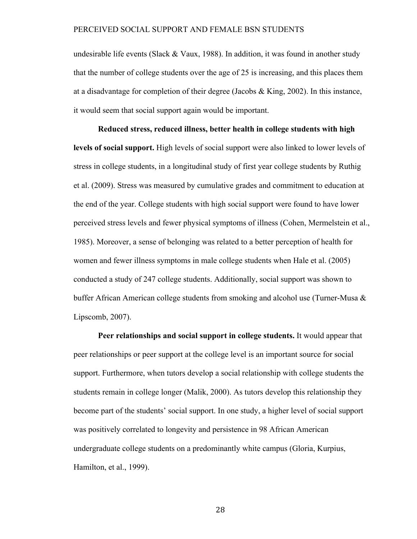undesirable life events (Slack & Vaux, 1988). In addition, it was found in another study that the number of college students over the age of 25 is increasing, and this places them at a disadvantage for completion of their degree (Jacobs  $\&$  King, 2002). In this instance, it would seem that social support again would be important.

**Reduced stress, reduced illness, better health in college students with high levels of social support.** High levels of social support were also linked to lower levels of stress in college students, in a longitudinal study of first year college students by Ruthig et al. (2009). Stress was measured by cumulative grades and commitment to education at the end of the year. College students with high social support were found to have lower perceived stress levels and fewer physical symptoms of illness (Cohen, Mermelstein et al., 1985). Moreover, a sense of belonging was related to a better perception of health for women and fewer illness symptoms in male college students when Hale et al. (2005) conducted a study of 247 college students. Additionally, social support was shown to buffer African American college students from smoking and alcohol use (Turner-Musa  $\&$ Lipscomb, 2007).

**Peer relationships and social support in college students.** It would appear that peer relationships or peer support at the college level is an important source for social support. Furthermore, when tutors develop a social relationship with college students the students remain in college longer (Malik, 2000). As tutors develop this relationship they become part of the students' social support. In one study, a higher level of social support was positively correlated to longevity and persistence in 98 African American undergraduate college students on a predominantly white campus (Gloria, Kurpius, Hamilton, et al., 1999).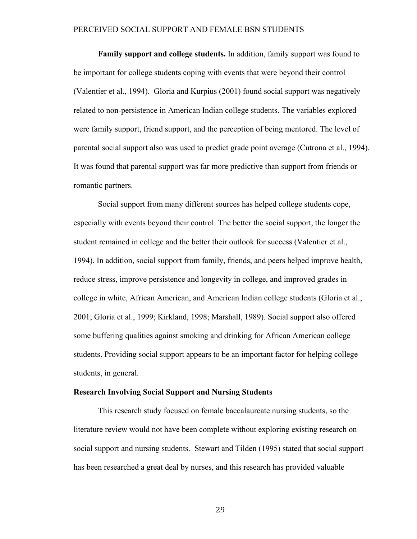**Family support and college students.** In addition, family support was found to be important for college students coping with events that were beyond their control (Valentier et al., 1994). Gloria and Kurpius (2001) found social support was negatively related to non-persistence in American Indian college students. The variables explored were family support, friend support, and the perception of being mentored. The level of parental social support also was used to predict grade point average (Cutrona et al., 1994). It was found that parental support was far more predictive than support from friends or romantic partners.

Social support from many different sources has helped college students cope, especially with events beyond their control. The better the social support, the longer the student remained in college and the better their outlook for success (Valentier et al., 1994). In addition, social support from family, friends, and peers helped improve health, reduce stress, improve persistence and longevity in college, and improved grades in college in white, African American, and American Indian college students (Gloria et al., 2001; Gloria et al., 1999; Kirkland, 1998; Marshall, 1989). Social support also offered some buffering qualities against smoking and drinking for African American college students. Providing social support appears to be an important factor for helping college students, in general.

#### **Research Involving Social Support and Nursing Students**

This research study focused on female baccalaureate nursing students, so the literature review would not have been complete without exploring existing research on social support and nursing students. Stewart and Tilden (1995) stated that social support has been researched a great deal by nurses, and this research has provided valuable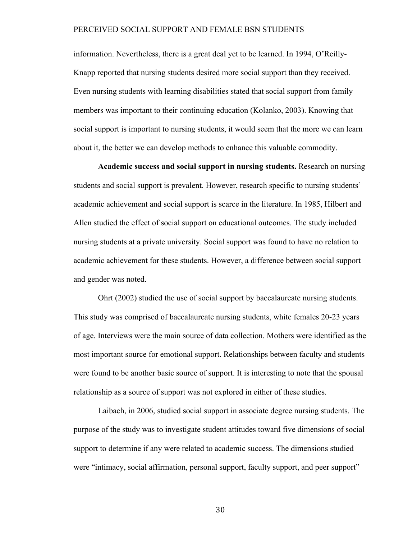information. Nevertheless, there is a great deal yet to be learned. In 1994, O'Reilly-Knapp reported that nursing students desired more social support than they received. Even nursing students with learning disabilities stated that social support from family members was important to their continuing education (Kolanko, 2003). Knowing that social support is important to nursing students, it would seem that the more we can learn about it, the better we can develop methods to enhance this valuable commodity.

**Academic success and social support in nursing students.** Research on nursing students and social support is prevalent. However, research specific to nursing students' academic achievement and social support is scarce in the literature. In 1985, Hilbert and Allen studied the effect of social support on educational outcomes. The study included nursing students at a private university. Social support was found to have no relation to academic achievement for these students. However, a difference between social support and gender was noted.

Ohrt (2002) studied the use of social support by baccalaureate nursing students. This study was comprised of baccalaureate nursing students, white females 20-23 years of age. Interviews were the main source of data collection. Mothers were identified as the most important source for emotional support. Relationships between faculty and students were found to be another basic source of support. It is interesting to note that the spousal relationship as a source of support was not explored in either of these studies.

Laibach, in 2006, studied social support in associate degree nursing students. The purpose of the study was to investigate student attitudes toward five dimensions of social support to determine if any were related to academic success. The dimensions studied were "intimacy, social affirmation, personal support, faculty support, and peer support"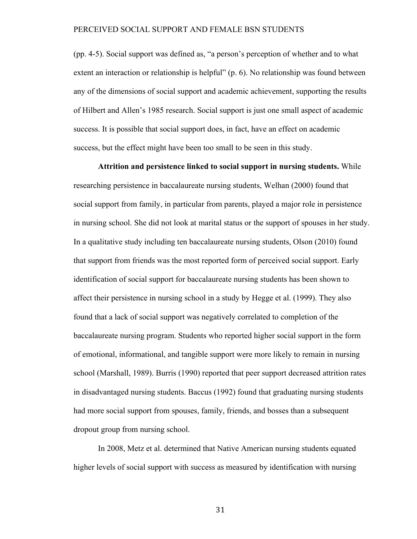(pp. 4-5). Social support was defined as, "a person's perception of whether and to what extent an interaction or relationship is helpful" (p. 6). No relationship was found between any of the dimensions of social support and academic achievement, supporting the results of Hilbert and Allen's 1985 research. Social support is just one small aspect of academic success. It is possible that social support does, in fact, have an effect on academic success, but the effect might have been too small to be seen in this study.

**Attrition and persistence linked to social support in nursing students.** While researching persistence in baccalaureate nursing students, Welhan (2000) found that social support from family, in particular from parents, played a major role in persistence in nursing school. She did not look at marital status or the support of spouses in her study. In a qualitative study including ten baccalaureate nursing students, Olson (2010) found that support from friends was the most reported form of perceived social support. Early identification of social support for baccalaureate nursing students has been shown to affect their persistence in nursing school in a study by Hegge et al. (1999). They also found that a lack of social support was negatively correlated to completion of the baccalaureate nursing program. Students who reported higher social support in the form of emotional, informational, and tangible support were more likely to remain in nursing school (Marshall, 1989). Burris (1990) reported that peer support decreased attrition rates in disadvantaged nursing students. Baccus (1992) found that graduating nursing students had more social support from spouses, family, friends, and bosses than a subsequent dropout group from nursing school.

In 2008, Metz et al. determined that Native American nursing students equated higher levels of social support with success as measured by identification with nursing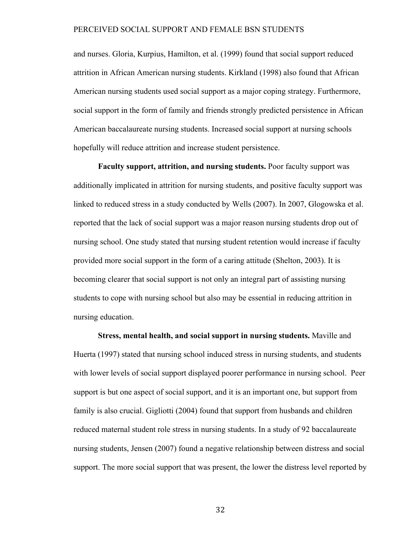and nurses. Gloria, Kurpius, Hamilton, et al. (1999) found that social support reduced attrition in African American nursing students. Kirkland (1998) also found that African American nursing students used social support as a major coping strategy. Furthermore, social support in the form of family and friends strongly predicted persistence in African American baccalaureate nursing students. Increased social support at nursing schools hopefully will reduce attrition and increase student persistence.

**Faculty support, attrition, and nursing students.** Poor faculty support was additionally implicated in attrition for nursing students, and positive faculty support was linked to reduced stress in a study conducted by Wells (2007). In 2007, Glogowska et al. reported that the lack of social support was a major reason nursing students drop out of nursing school. One study stated that nursing student retention would increase if faculty provided more social support in the form of a caring attitude (Shelton, 2003). It is becoming clearer that social support is not only an integral part of assisting nursing students to cope with nursing school but also may be essential in reducing attrition in nursing education.

**Stress, mental health, and social support in nursing students.** Maville and Huerta (1997) stated that nursing school induced stress in nursing students, and students with lower levels of social support displayed poorer performance in nursing school. Peer support is but one aspect of social support, and it is an important one, but support from family is also crucial. Gigliotti (2004) found that support from husbands and children reduced maternal student role stress in nursing students. In a study of 92 baccalaureate nursing students, Jensen (2007) found a negative relationship between distress and social support. The more social support that was present, the lower the distress level reported by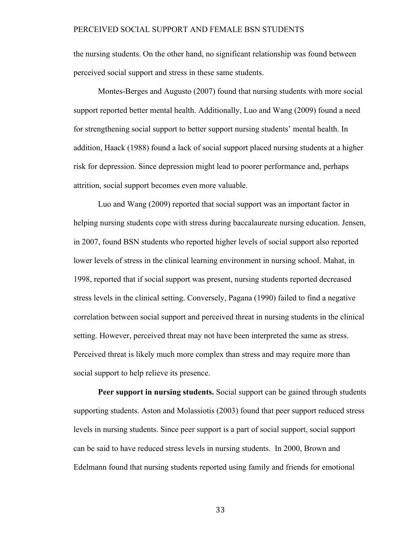the nursing students. On the other hand, no significant relationship was found between perceived social support and stress in these same students.

Montes-Berges and Augusto (2007) found that nursing students with more social support reported better mental health. Additionally, Luo and Wang (2009) found a need for strengthening social support to better support nursing students' mental health. In addition, Haack (1988) found a lack of social support placed nursing students at a higher risk for depression. Since depression might lead to poorer performance and, perhaps attrition, social support becomes even more valuable.

Luo and Wang (2009) reported that social support was an important factor in helping nursing students cope with stress during baccalaureate nursing education. Jensen, in 2007, found BSN students who reported higher levels of social support also reported lower levels of stress in the clinical learning environment in nursing school. Mahat, in 1998, reported that if social support was present, nursing students reported decreased stress levels in the clinical setting. Conversely, Pagana (1990) failed to find a negative correlation between social support and perceived threat in nursing students in the clinical setting. However, perceived threat may not have been interpreted the same as stress. Perceived threat is likely much more complex than stress and may require more than social support to help relieve its presence.

**Peer support in nursing students.** Social support can be gained through students supporting students. Aston and Molassiotis (2003) found that peer support reduced stress levels in nursing students. Since peer support is a part of social support, social support can be said to have reduced stress levels in nursing students. In 2000, Brown and Edelmann found that nursing students reported using family and friends for emotional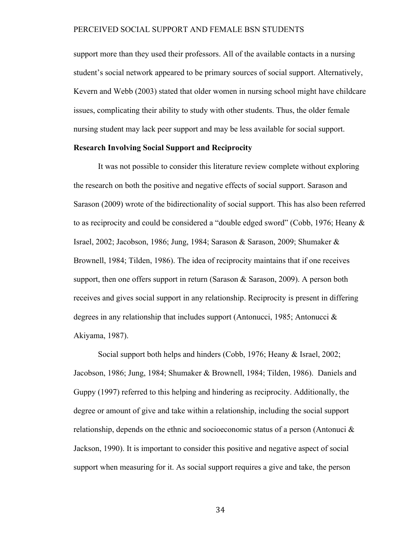support more than they used their professors. All of the available contacts in a nursing student's social network appeared to be primary sources of social support. Alternatively, Kevern and Webb (2003) stated that older women in nursing school might have childcare issues, complicating their ability to study with other students. Thus, the older female nursing student may lack peer support and may be less available for social support.

## **Research Involving Social Support and Reciprocity**

It was not possible to consider this literature review complete without exploring the research on both the positive and negative effects of social support. Sarason and Sarason (2009) wrote of the bidirectionality of social support. This has also been referred to as reciprocity and could be considered a "double edged sword" (Cobb, 1976; Heany & Israel, 2002; Jacobson, 1986; Jung, 1984; Sarason & Sarason, 2009; Shumaker & Brownell, 1984; Tilden, 1986). The idea of reciprocity maintains that if one receives support, then one offers support in return (Sarason  $\&$  Sarason, 2009). A person both receives and gives social support in any relationship. Reciprocity is present in differing degrees in any relationship that includes support (Antonucci, 1985; Antonucci & Akiyama, 1987).

Social support both helps and hinders (Cobb, 1976; Heany & Israel, 2002; Jacobson, 1986; Jung, 1984; Shumaker & Brownell, 1984; Tilden, 1986). Daniels and Guppy (1997) referred to this helping and hindering as reciprocity. Additionally, the degree or amount of give and take within a relationship, including the social support relationship, depends on the ethnic and socioeconomic status of a person (Antonuci  $\&$ Jackson, 1990). It is important to consider this positive and negative aspect of social support when measuring for it. As social support requires a give and take, the person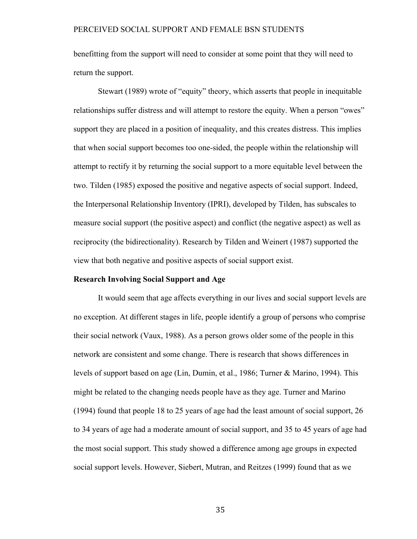benefitting from the support will need to consider at some point that they will need to return the support.

Stewart (1989) wrote of "equity" theory, which asserts that people in inequitable relationships suffer distress and will attempt to restore the equity. When a person "owes" support they are placed in a position of inequality, and this creates distress. This implies that when social support becomes too one-sided, the people within the relationship will attempt to rectify it by returning the social support to a more equitable level between the two. Tilden (1985) exposed the positive and negative aspects of social support. Indeed, the Interpersonal Relationship Inventory (IPRI), developed by Tilden, has subscales to measure social support (the positive aspect) and conflict (the negative aspect) as well as reciprocity (the bidirectionality). Research by Tilden and Weinert (1987) supported the view that both negative and positive aspects of social support exist.

#### **Research Involving Social Support and Age**

It would seem that age affects everything in our lives and social support levels are no exception. At different stages in life, people identify a group of persons who comprise their social network (Vaux, 1988). As a person grows older some of the people in this network are consistent and some change. There is research that shows differences in levels of support based on age (Lin, Dumin, et al., 1986; Turner & Marino, 1994). This might be related to the changing needs people have as they age. Turner and Marino (1994) found that people 18 to 25 years of age had the least amount of social support, 26 to 34 years of age had a moderate amount of social support, and 35 to 45 years of age had the most social support. This study showed a difference among age groups in expected social support levels. However, Siebert, Mutran, and Reitzes (1999) found that as we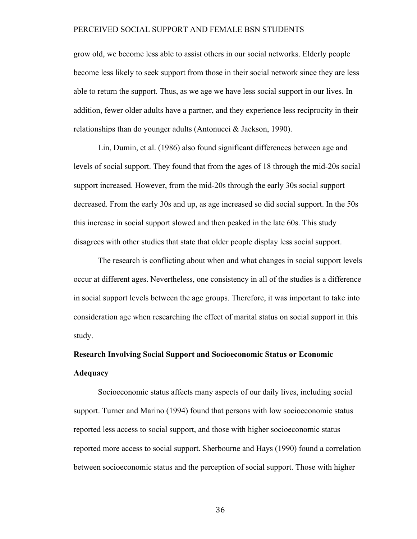grow old, we become less able to assist others in our social networks. Elderly people become less likely to seek support from those in their social network since they are less able to return the support. Thus, as we age we have less social support in our lives. In addition, fewer older adults have a partner, and they experience less reciprocity in their relationships than do younger adults (Antonucci & Jackson, 1990).

Lin, Dumin, et al. (1986) also found significant differences between age and levels of social support. They found that from the ages of 18 through the mid-20s social support increased. However, from the mid-20s through the early 30s social support decreased. From the early 30s and up, as age increased so did social support. In the 50s this increase in social support slowed and then peaked in the late 60s. This study disagrees with other studies that state that older people display less social support.

The research is conflicting about when and what changes in social support levels occur at different ages. Nevertheless, one consistency in all of the studies is a difference in social support levels between the age groups. Therefore, it was important to take into consideration age when researching the effect of marital status on social support in this study.

# **Research Involving Social Support and Socioeconomic Status or Economic Adequacy**

Socioeconomic status affects many aspects of our daily lives, including social support. Turner and Marino (1994) found that persons with low socioeconomic status reported less access to social support, and those with higher socioeconomic status reported more access to social support. Sherbourne and Hays (1990) found a correlation between socioeconomic status and the perception of social support. Those with higher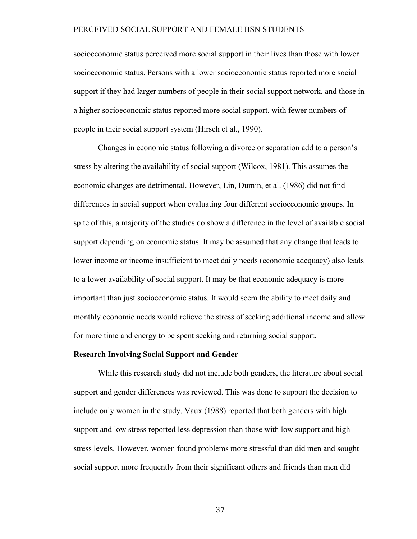socioeconomic status perceived more social support in their lives than those with lower socioeconomic status. Persons with a lower socioeconomic status reported more social support if they had larger numbers of people in their social support network, and those in a higher socioeconomic status reported more social support, with fewer numbers of people in their social support system (Hirsch et al., 1990).

Changes in economic status following a divorce or separation add to a person's stress by altering the availability of social support (Wilcox, 1981). This assumes the economic changes are detrimental. However, Lin, Dumin, et al. (1986) did not find differences in social support when evaluating four different socioeconomic groups. In spite of this, a majority of the studies do show a difference in the level of available social support depending on economic status. It may be assumed that any change that leads to lower income or income insufficient to meet daily needs (economic adequacy) also leads to a lower availability of social support. It may be that economic adequacy is more important than just socioeconomic status. It would seem the ability to meet daily and monthly economic needs would relieve the stress of seeking additional income and allow for more time and energy to be spent seeking and returning social support.

#### **Research Involving Social Support and Gender**

While this research study did not include both genders, the literature about social support and gender differences was reviewed. This was done to support the decision to include only women in the study. Vaux (1988) reported that both genders with high support and low stress reported less depression than those with low support and high stress levels. However, women found problems more stressful than did men and sought social support more frequently from their significant others and friends than men did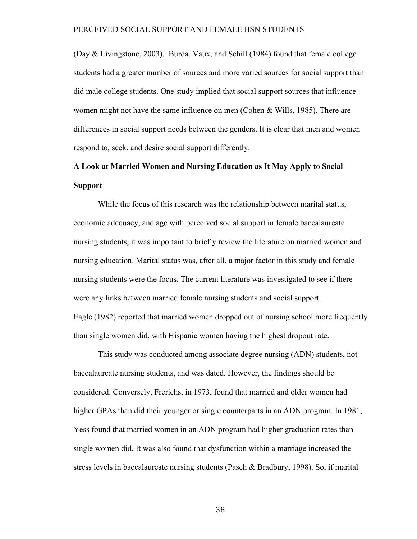(Day & Livingstone, 2003). Burda, Vaux, and Schill (1984) found that female college students had a greater number of sources and more varied sources for social support than did male college students. One study implied that social support sources that influence women might not have the same influence on men (Cohen & Wills, 1985). There are differences in social support needs between the genders. It is clear that men and women respond to, seek, and desire social support differently.

# **A Look at Married Women and Nursing Education as It May Apply to Social Support**

While the focus of this research was the relationship between marital status, economic adequacy, and age with perceived social support in female baccalaureate nursing students, it was important to briefly review the literature on married women and nursing education. Marital status was, after all, a major factor in this study and female nursing students were the focus. The current literature was investigated to see if there were any links between married female nursing students and social support. Eagle (1982) reported that married women dropped out of nursing school more frequently than single women did, with Hispanic women having the highest dropout rate.

This study was conducted among associate degree nursing (ADN) students, not baccalaureate nursing students, and was dated. However, the findings should be considered. Conversely, Frerichs, in 1973, found that married and older women had higher GPAs than did their younger or single counterparts in an ADN program. In 1981, Yess found that married women in an ADN program had higher graduation rates than single women did. It was also found that dysfunction within a marriage increased the stress levels in baccalaureate nursing students (Pasch & Bradbury, 1998). So, if marital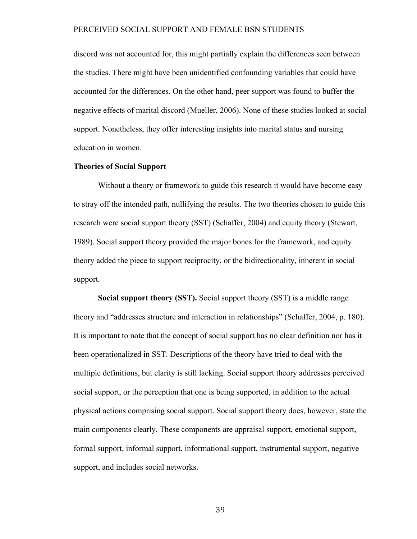discord was not accounted for, this might partially explain the differences seen between the studies. There might have been unidentified confounding variables that could have accounted for the differences. On the other hand, peer support was found to buffer the negative effects of marital discord (Mueller, 2006). None of these studies looked at social support. Nonetheless, they offer interesting insights into marital status and nursing education in women.

#### **Theories of Social Support**

Without a theory or framework to guide this research it would have become easy to stray off the intended path, nullifying the results. The two theories chosen to guide this research were social support theory (SST) (Schaffer, 2004) and equity theory (Stewart, 1989). Social support theory provided the major bones for the framework, and equity theory added the piece to support reciprocity, or the bidirectionality, inherent in social support.

**Social support theory (SST).** Social support theory (SST) is a middle range theory and "addresses structure and interaction in relationships" (Schaffer, 2004, p. 180). It is important to note that the concept of social support has no clear definition nor has it been operationalized in SST. Descriptions of the theory have tried to deal with the multiple definitions, but clarity is still lacking. Social support theory addresses perceived social support, or the perception that one is being supported, in addition to the actual physical actions comprising social support. Social support theory does, however, state the main components clearly. These components are appraisal support, emotional support, formal support, informal support, informational support, instrumental support, negative support, and includes social networks.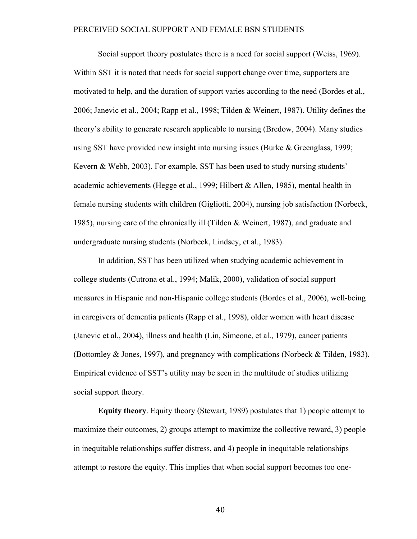Social support theory postulates there is a need for social support (Weiss, 1969). Within SST it is noted that needs for social support change over time, supporters are motivated to help, and the duration of support varies according to the need (Bordes et al., 2006; Janevic et al., 2004; Rapp et al., 1998; Tilden & Weinert, 1987). Utility defines the theory's ability to generate research applicable to nursing (Bredow, 2004). Many studies using SST have provided new insight into nursing issues (Burke & Greenglass, 1999; Kevern & Webb, 2003). For example, SST has been used to study nursing students' academic achievements (Hegge et al., 1999; Hilbert & Allen, 1985), mental health in female nursing students with children (Gigliotti, 2004), nursing job satisfaction (Norbeck, 1985), nursing care of the chronically ill (Tilden & Weinert, 1987), and graduate and undergraduate nursing students (Norbeck, Lindsey, et al., 1983).

In addition, SST has been utilized when studying academic achievement in college students (Cutrona et al., 1994; Malik, 2000), validation of social support measures in Hispanic and non-Hispanic college students (Bordes et al., 2006), well-being in caregivers of dementia patients (Rapp et al., 1998), older women with heart disease (Janevic et al., 2004), illness and health (Lin, Simeone, et al., 1979), cancer patients (Bottomley & Jones, 1997), and pregnancy with complications (Norbeck & Tilden, 1983). Empirical evidence of SST's utility may be seen in the multitude of studies utilizing social support theory.

**Equity theory**. Equity theory (Stewart, 1989) postulates that 1) people attempt to maximize their outcomes, 2) groups attempt to maximize the collective reward, 3) people in inequitable relationships suffer distress, and 4) people in inequitable relationships attempt to restore the equity. This implies that when social support becomes too one-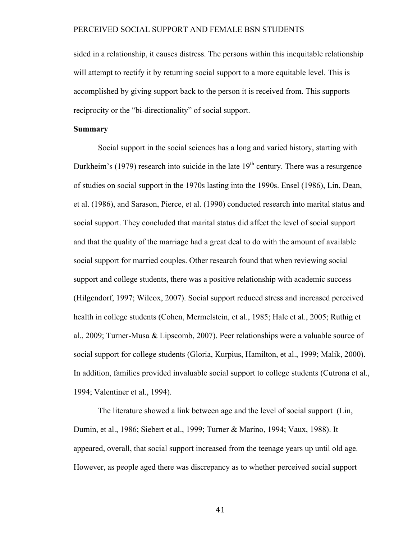sided in a relationship, it causes distress. The persons within this inequitable relationship will attempt to rectify it by returning social support to a more equitable level. This is accomplished by giving support back to the person it is received from. This supports reciprocity or the "bi-directionality" of social support.

## **Summary**

Social support in the social sciences has a long and varied history, starting with Durkheim's (1979) research into suicide in the late  $19<sup>th</sup>$  century. There was a resurgence of studies on social support in the 1970s lasting into the 1990s. Ensel (1986), Lin, Dean, et al. (1986), and Sarason, Pierce, et al. (1990) conducted research into marital status and social support. They concluded that marital status did affect the level of social support and that the quality of the marriage had a great deal to do with the amount of available social support for married couples. Other research found that when reviewing social support and college students, there was a positive relationship with academic success (Hilgendorf, 1997; Wilcox, 2007). Social support reduced stress and increased perceived health in college students (Cohen, Mermelstein, et al., 1985; Hale et al., 2005; Ruthig et al., 2009; Turner-Musa & Lipscomb, 2007). Peer relationships were a valuable source of social support for college students (Gloria, Kurpius, Hamilton, et al., 1999; Malik, 2000). In addition, families provided invaluable social support to college students (Cutrona et al., 1994; Valentiner et al., 1994).

The literature showed a link between age and the level of social support (Lin, Dumin, et al., 1986; Siebert et al., 1999; Turner & Marino, 1994; Vaux, 1988). It appeared, overall, that social support increased from the teenage years up until old age. However, as people aged there was discrepancy as to whether perceived social support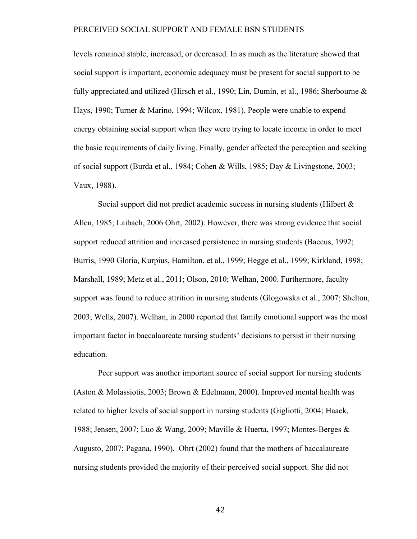levels remained stable, increased, or decreased. In as much as the literature showed that social support is important, economic adequacy must be present for social support to be fully appreciated and utilized (Hirsch et al., 1990; Lin, Dumin, et al., 1986; Sherbourne & Hays, 1990; Turner & Marino, 1994; Wilcox, 1981). People were unable to expend energy obtaining social support when they were trying to locate income in order to meet the basic requirements of daily living. Finally, gender affected the perception and seeking of social support (Burda et al., 1984; Cohen & Wills, 1985; Day & Livingstone, 2003; Vaux, 1988).

Social support did not predict academic success in nursing students (Hilbert & Allen, 1985; Laibach, 2006 Ohrt, 2002). However, there was strong evidence that social support reduced attrition and increased persistence in nursing students (Baccus, 1992; Burris, 1990 Gloria, Kurpius, Hamilton, et al., 1999; Hegge et al., 1999; Kirkland, 1998; Marshall, 1989; Metz et al., 2011; Olson, 2010; Welhan, 2000. Furthermore, faculty support was found to reduce attrition in nursing students (Glogowska et al., 2007; Shelton, 2003; Wells, 2007). Welhan, in 2000 reported that family emotional support was the most important factor in baccalaureate nursing students' decisions to persist in their nursing education.

Peer support was another important source of social support for nursing students (Aston & Molassiotis, 2003; Brown & Edelmann, 2000). Improved mental health was related to higher levels of social support in nursing students (Gigliotti, 2004; Haack, 1988; Jensen, 2007; Luo & Wang, 2009; Maville & Huerta, 1997; Montes-Berges & Augusto, 2007; Pagana, 1990). Ohrt (2002) found that the mothers of baccalaureate nursing students provided the majority of their perceived social support. She did not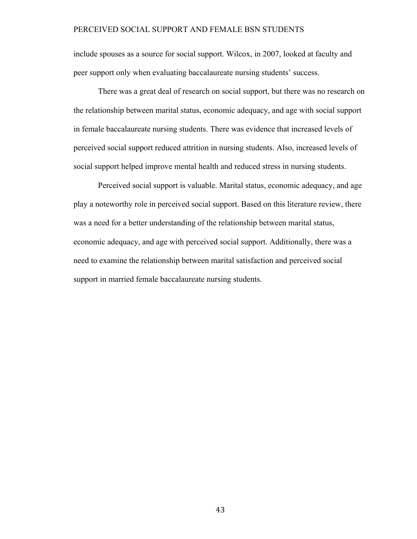include spouses as a source for social support. Wilcox, in 2007, looked at faculty and peer support only when evaluating baccalaureate nursing students' success.

There was a great deal of research on social support, but there was no research on the relationship between marital status, economic adequacy, and age with social support in female baccalaureate nursing students. There was evidence that increased levels of perceived social support reduced attrition in nursing students. Also, increased levels of social support helped improve mental health and reduced stress in nursing students.

Perceived social support is valuable. Marital status, economic adequacy, and age play a noteworthy role in perceived social support. Based on this literature review, there was a need for a better understanding of the relationship between marital status, economic adequacy, and age with perceived social support. Additionally, there was a need to examine the relationship between marital satisfaction and perceived social support in married female baccalaureate nursing students.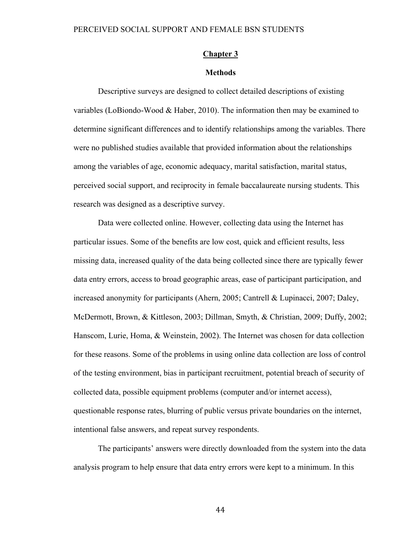## **Chapter 3**

# **Methods**

Descriptive surveys are designed to collect detailed descriptions of existing variables (LoBiondo-Wood & Haber, 2010). The information then may be examined to determine significant differences and to identify relationships among the variables. There were no published studies available that provided information about the relationships among the variables of age, economic adequacy, marital satisfaction, marital status, perceived social support, and reciprocity in female baccalaureate nursing students. This research was designed as a descriptive survey.

Data were collected online. However, collecting data using the Internet has particular issues. Some of the benefits are low cost, quick and efficient results, less missing data, increased quality of the data being collected since there are typically fewer data entry errors, access to broad geographic areas, ease of participant participation, and increased anonymity for participants (Ahern, 2005; Cantrell & Lupinacci, 2007; Daley, McDermott, Brown, & Kittleson, 2003; Dillman, Smyth, & Christian, 2009; Duffy, 2002; Hanscom, Lurie, Homa, & Weinstein, 2002). The Internet was chosen for data collection for these reasons. Some of the problems in using online data collection are loss of control of the testing environment, bias in participant recruitment, potential breach of security of collected data, possible equipment problems (computer and/or internet access), questionable response rates, blurring of public versus private boundaries on the internet, intentional false answers, and repeat survey respondents.

The participants' answers were directly downloaded from the system into the data analysis program to help ensure that data entry errors were kept to a minimum. In this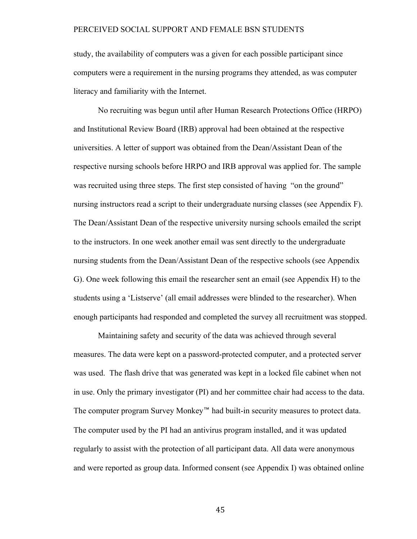study, the availability of computers was a given for each possible participant since computers were a requirement in the nursing programs they attended, as was computer literacy and familiarity with the Internet.

No recruiting was begun until after Human Research Protections Office (HRPO) and Institutional Review Board (IRB) approval had been obtained at the respective universities. A letter of support was obtained from the Dean/Assistant Dean of the respective nursing schools before HRPO and IRB approval was applied for. The sample was recruited using three steps. The first step consisted of having "on the ground" nursing instructors read a script to their undergraduate nursing classes (see Appendix F). The Dean/Assistant Dean of the respective university nursing schools emailed the script to the instructors. In one week another email was sent directly to the undergraduate nursing students from the Dean/Assistant Dean of the respective schools (see Appendix G). One week following this email the researcher sent an email (see Appendix H) to the students using a 'Listserve' (all email addresses were blinded to the researcher). When enough participants had responded and completed the survey all recruitment was stopped.

Maintaining safety and security of the data was achieved through several measures. The data were kept on a password-protected computer, and a protected server was used. The flash drive that was generated was kept in a locked file cabinet when not in use. Only the primary investigator (PI) and her committee chair had access to the data. The computer program Survey Monkey™ had built-in security measures to protect data. The computer used by the PI had an antivirus program installed, and it was updated regularly to assist with the protection of all participant data. All data were anonymous and were reported as group data. Informed consent (see Appendix I) was obtained online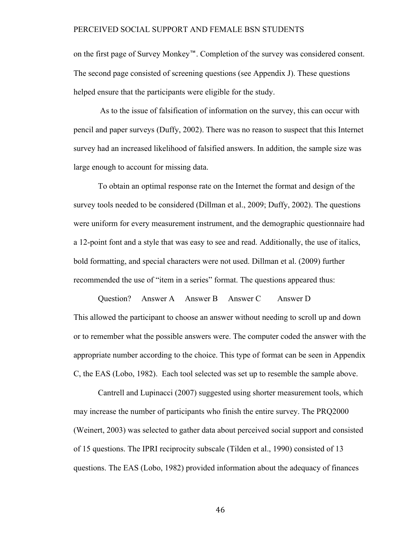on the first page of Survey Monkey™. Completion of the survey was considered consent. The second page consisted of screening questions (see Appendix J). These questions helped ensure that the participants were eligible for the study.

 As to the issue of falsification of information on the survey, this can occur with pencil and paper surveys (Duffy, 2002). There was no reason to suspect that this Internet survey had an increased likelihood of falsified answers. In addition, the sample size was large enough to account for missing data.

To obtain an optimal response rate on the Internet the format and design of the survey tools needed to be considered (Dillman et al., 2009; Duffy, 2002). The questions were uniform for every measurement instrument, and the demographic questionnaire had a 12-point font and a style that was easy to see and read. Additionally, the use of italics, bold formatting, and special characters were not used. Dillman et al. (2009) further recommended the use of "item in a series" format. The questions appeared thus:

Question? Answer A Answer B Answer C Answer D This allowed the participant to choose an answer without needing to scroll up and down or to remember what the possible answers were. The computer coded the answer with the appropriate number according to the choice. This type of format can be seen in Appendix C, the EAS (Lobo, 1982). Each tool selected was set up to resemble the sample above.

Cantrell and Lupinacci (2007) suggested using shorter measurement tools, which may increase the number of participants who finish the entire survey. The PRQ2000 (Weinert, 2003) was selected to gather data about perceived social support and consisted of 15 questions. The IPRI reciprocity subscale (Tilden et al., 1990) consisted of 13 questions. The EAS (Lobo, 1982) provided information about the adequacy of finances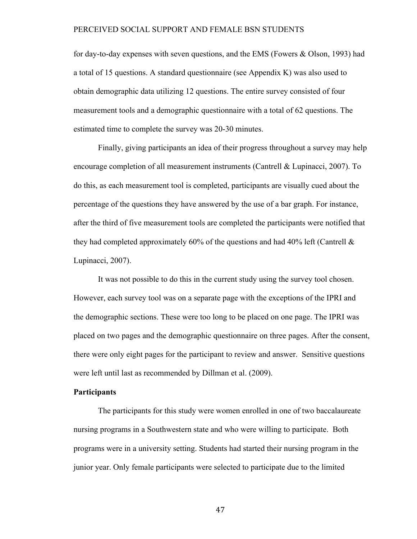for day-to-day expenses with seven questions, and the EMS (Fowers & Olson, 1993) had a total of 15 questions. A standard questionnaire (see Appendix K) was also used to obtain demographic data utilizing 12 questions. The entire survey consisted of four measurement tools and a demographic questionnaire with a total of 62 questions. The estimated time to complete the survey was 20-30 minutes.

Finally, giving participants an idea of their progress throughout a survey may help encourage completion of all measurement instruments (Cantrell & Lupinacci, 2007). To do this, as each measurement tool is completed, participants are visually cued about the percentage of the questions they have answered by the use of a bar graph. For instance, after the third of five measurement tools are completed the participants were notified that they had completed approximately 60% of the questions and had 40% left (Cantrell  $\&$ Lupinacci, 2007).

It was not possible to do this in the current study using the survey tool chosen. However, each survey tool was on a separate page with the exceptions of the IPRI and the demographic sections. These were too long to be placed on one page. The IPRI was placed on two pages and the demographic questionnaire on three pages. After the consent, there were only eight pages for the participant to review and answer. Sensitive questions were left until last as recommended by Dillman et al. (2009).

### **Participants**

The participants for this study were women enrolled in one of two baccalaureate nursing programs in a Southwestern state and who were willing to participate. Both programs were in a university setting. Students had started their nursing program in the junior year. Only female participants were selected to participate due to the limited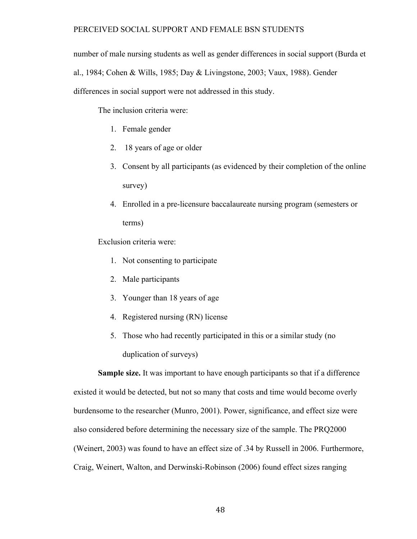number of male nursing students as well as gender differences in social support (Burda et al., 1984; Cohen & Wills, 1985; Day & Livingstone, 2003; Vaux, 1988). Gender differences in social support were not addressed in this study.

The inclusion criteria were:

- 1. Female gender
- 2. 18 years of age or older
- 3. Consent by all participants (as evidenced by their completion of the online survey)
- 4. Enrolled in a pre-licensure baccalaureate nursing program (semesters or terms)

Exclusion criteria were:

- 1. Not consenting to participate
- 2. Male participants
- 3. Younger than 18 years of age
- 4. Registered nursing (RN) license
- 5. Those who had recently participated in this or a similar study (no duplication of surveys)

**Sample size.** It was important to have enough participants so that if a difference existed it would be detected, but not so many that costs and time would become overly burdensome to the researcher (Munro, 2001). Power, significance, and effect size were also considered before determining the necessary size of the sample. The PRQ2000 (Weinert, 2003) was found to have an effect size of .34 by Russell in 2006. Furthermore, Craig, Weinert, Walton, and Derwinski-Robinson (2006) found effect sizes ranging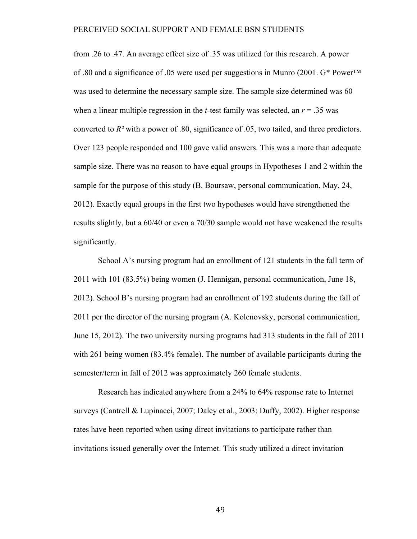from .26 to .47. An average effect size of .35 was utilized for this research. A power of .80 and a significance of .05 were used per suggestions in Munro (2001. G\* Power™ was used to determine the necessary sample size. The sample size determined was 60 when a linear multiple regression in the *t*-test family was selected, an  $r = .35$  was converted to *R²* with a power of .80, significance of .05, two tailed, and three predictors. Over 123 people responded and 100 gave valid answers. This was a more than adequate sample size. There was no reason to have equal groups in Hypotheses 1 and 2 within the sample for the purpose of this study (B. Boursaw, personal communication, May, 24, 2012). Exactly equal groups in the first two hypotheses would have strengthened the results slightly, but a 60/40 or even a 70/30 sample would not have weakened the results significantly.

School A's nursing program had an enrollment of 121 students in the fall term of 2011 with 101 (83.5%) being women (J. Hennigan, personal communication, June 18, 2012). School B's nursing program had an enrollment of 192 students during the fall of 2011 per the director of the nursing program (A. Kolenovsky, personal communication, June 15, 2012). The two university nursing programs had 313 students in the fall of 2011 with 261 being women (83.4% female). The number of available participants during the semester/term in fall of 2012 was approximately 260 female students.

Research has indicated anywhere from a 24% to 64% response rate to Internet surveys (Cantrell & Lupinacci, 2007; Daley et al., 2003; Duffy, 2002). Higher response rates have been reported when using direct invitations to participate rather than invitations issued generally over the Internet. This study utilized a direct invitation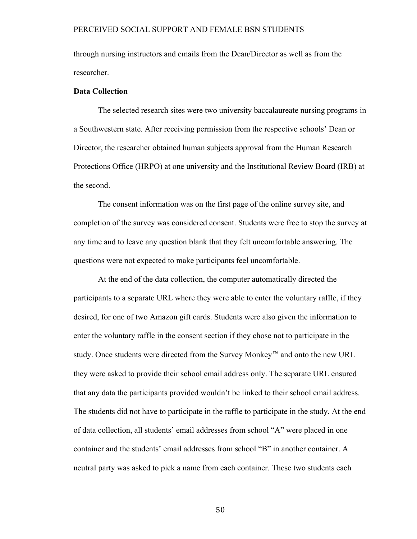through nursing instructors and emails from the Dean/Director as well as from the researcher.

# **Data Collection**

The selected research sites were two university baccalaureate nursing programs in a Southwestern state. After receiving permission from the respective schools' Dean or Director, the researcher obtained human subjects approval from the Human Research Protections Office (HRPO) at one university and the Institutional Review Board (IRB) at the second.

The consent information was on the first page of the online survey site, and completion of the survey was considered consent. Students were free to stop the survey at any time and to leave any question blank that they felt uncomfortable answering. The questions were not expected to make participants feel uncomfortable.

At the end of the data collection, the computer automatically directed the participants to a separate URL where they were able to enter the voluntary raffle, if they desired, for one of two Amazon gift cards. Students were also given the information to enter the voluntary raffle in the consent section if they chose not to participate in the study. Once students were directed from the Survey Monkey™ and onto the new URL they were asked to provide their school email address only. The separate URL ensured that any data the participants provided wouldn't be linked to their school email address. The students did not have to participate in the raffle to participate in the study. At the end of data collection, all students' email addresses from school "A" were placed in one container and the students' email addresses from school "B" in another container. A neutral party was asked to pick a name from each container. These two students each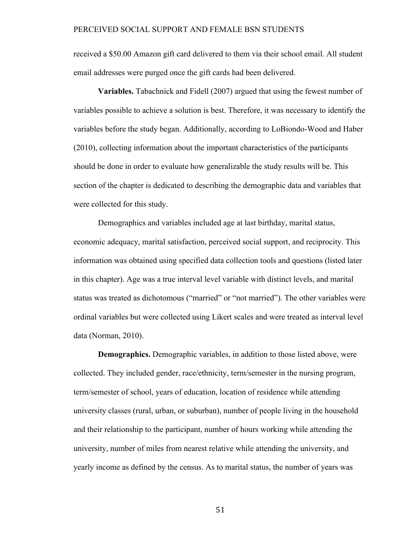received a \$50.00 Amazon gift card delivered to them via their school email. All student email addresses were purged once the gift cards had been delivered.

**Variables.** Tabachnick and Fidell (2007) argued that using the fewest number of variables possible to achieve a solution is best. Therefore, it was necessary to identify the variables before the study began. Additionally, according to LoBiondo-Wood and Haber (2010), collecting information about the important characteristics of the participants should be done in order to evaluate how generalizable the study results will be. This section of the chapter is dedicated to describing the demographic data and variables that were collected for this study.

Demographics and variables included age at last birthday, marital status, economic adequacy, marital satisfaction, perceived social support, and reciprocity. This information was obtained using specified data collection tools and questions (listed later in this chapter). Age was a true interval level variable with distinct levels, and marital status was treated as dichotomous ("married" or "not married"). The other variables were ordinal variables but were collected using Likert scales and were treated as interval level data (Norman, 2010).

**Demographics.** Demographic variables, in addition to those listed above, were collected. They included gender, race/ethnicity, term/semester in the nursing program, term/semester of school, years of education, location of residence while attending university classes (rural, urban, or suburban), number of people living in the household and their relationship to the participant, number of hours working while attending the university, number of miles from nearest relative while attending the university, and yearly income as defined by the census. As to marital status, the number of years was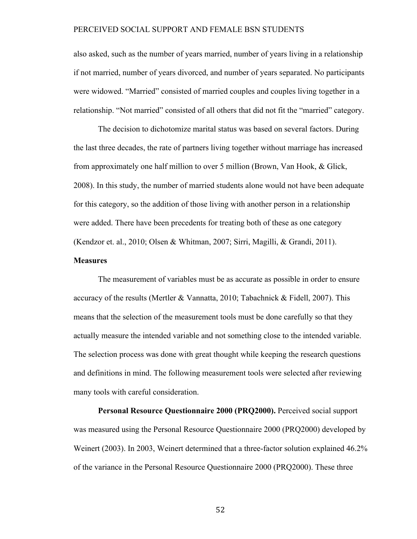also asked, such as the number of years married, number of years living in a relationship if not married, number of years divorced, and number of years separated. No participants were widowed. "Married" consisted of married couples and couples living together in a relationship. "Not married" consisted of all others that did not fit the "married" category.

The decision to dichotomize marital status was based on several factors. During the last three decades, the rate of partners living together without marriage has increased from approximately one half million to over 5 million (Brown, Van Hook, & Glick, 2008). In this study, the number of married students alone would not have been adequate for this category, so the addition of those living with another person in a relationship were added. There have been precedents for treating both of these as one category (Kendzor et. al., 2010; Olsen & Whitman, 2007; Sirri, Magilli, & Grandi, 2011).

# **Measures**

The measurement of variables must be as accurate as possible in order to ensure accuracy of the results (Mertler & Vannatta, 2010; Tabachnick & Fidell, 2007). This means that the selection of the measurement tools must be done carefully so that they actually measure the intended variable and not something close to the intended variable. The selection process was done with great thought while keeping the research questions and definitions in mind. The following measurement tools were selected after reviewing many tools with careful consideration.

**Personal Resource Questionnaire 2000 (PRQ2000).** Perceived social support was measured using the Personal Resource Questionnaire 2000 (PRQ2000) developed by Weinert (2003). In 2003, Weinert determined that a three-factor solution explained 46.2% of the variance in the Personal Resource Questionnaire 2000 (PRQ2000). These three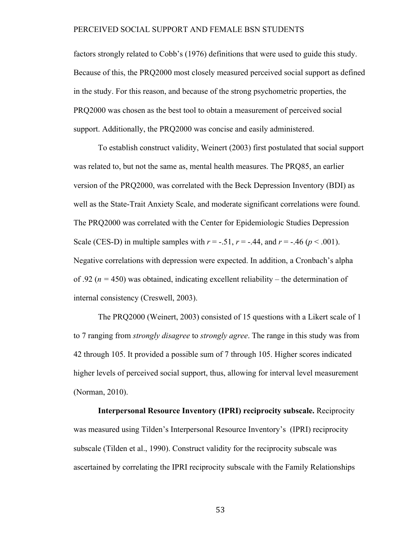factors strongly related to Cobb's (1976) definitions that were used to guide this study. Because of this, the PRQ2000 most closely measured perceived social support as defined in the study. For this reason, and because of the strong psychometric properties, the PRQ2000 was chosen as the best tool to obtain a measurement of perceived social support. Additionally, the PRQ2000 was concise and easily administered.

To establish construct validity, Weinert (2003) first postulated that social support was related to, but not the same as, mental health measures. The PRQ85, an earlier version of the PRQ2000, was correlated with the Beck Depression Inventory (BDI) as well as the State-Trait Anxiety Scale, and moderate significant correlations were found. The PRQ2000 was correlated with the Center for Epidemiologic Studies Depression Scale (CES-D) in multiple samples with  $r = -.51$ ,  $r = -.44$ , and  $r = -.46$  ( $p < .001$ ). Negative correlations with depression were expected. In addition, a Cronbach's alpha of .92 ( $n = 450$ ) was obtained, indicating excellent reliability – the determination of internal consistency (Creswell, 2003).

The PRQ2000 (Weinert, 2003) consisted of 15 questions with a Likert scale of 1 to 7 ranging from *strongly disagree* to *strongly agree*. The range in this study was from 42 through 105. It provided a possible sum of 7 through 105. Higher scores indicated higher levels of perceived social support, thus, allowing for interval level measurement (Norman, 2010).

**Interpersonal Resource Inventory (IPRI) reciprocity subscale.** Reciprocity was measured using Tilden's Interpersonal Resource Inventory's (IPRI) reciprocity subscale (Tilden et al., 1990). Construct validity for the reciprocity subscale was ascertained by correlating the IPRI reciprocity subscale with the Family Relationships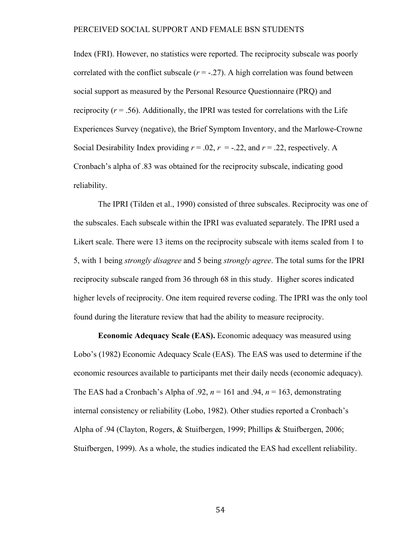Index (FRI). However, no statistics were reported. The reciprocity subscale was poorly correlated with the conflict subscale  $(r = -.27)$ . A high correlation was found between social support as measured by the Personal Resource Questionnaire (PRQ) and reciprocity  $(r = .56)$ . Additionally, the IPRI was tested for correlations with the Life Experiences Survey (negative), the Brief Symptom Inventory, and the Marlowe-Crowne Social Desirability Index providing  $r = .02$ ,  $r = -.22$ , and  $r = .22$ , respectively. A Cronbach's alpha of .83 was obtained for the reciprocity subscale, indicating good reliability.

The IPRI (Tilden et al., 1990) consisted of three subscales. Reciprocity was one of the subscales. Each subscale within the IPRI was evaluated separately. The IPRI used a Likert scale. There were 13 items on the reciprocity subscale with items scaled from 1 to 5, with 1 being *strongly disagree* and 5 being *strongly agree*. The total sums for the IPRI reciprocity subscale ranged from 36 through 68 in this study. Higher scores indicated higher levels of reciprocity. One item required reverse coding. The IPRI was the only tool found during the literature review that had the ability to measure reciprocity.

**Economic Adequacy Scale (EAS).** Economic adequacy was measured using Lobo's (1982) Economic Adequacy Scale (EAS). The EAS was used to determine if the economic resources available to participants met their daily needs (economic adequacy). The EAS had a Cronbach's Alpha of .92,  $n = 161$  and .94,  $n = 163$ , demonstrating internal consistency or reliability (Lobo, 1982). Other studies reported a Cronbach's Alpha of .94 (Clayton, Rogers, & Stuifbergen, 1999; Phillips & Stuifbergen, 2006; Stuifbergen, 1999). As a whole, the studies indicated the EAS had excellent reliability.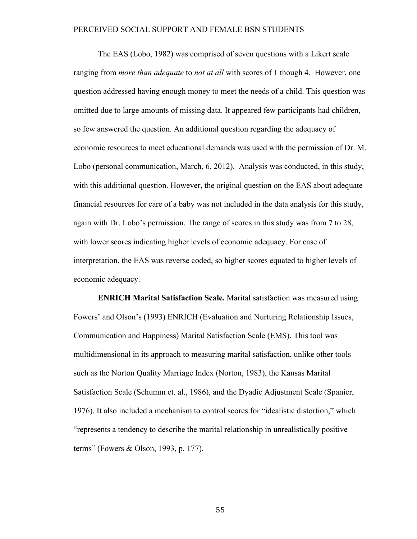The EAS (Lobo, 1982) was comprised of seven questions with a Likert scale ranging from *more than adequate* to *not at all* with scores of 1 though 4. However, one question addressed having enough money to meet the needs of a child. This question was omitted due to large amounts of missing data. It appeared few participants had children, so few answered the question. An additional question regarding the adequacy of economic resources to meet educational demands was used with the permission of Dr. M. Lobo (personal communication, March, 6, 2012). Analysis was conducted, in this study, with this additional question. However, the original question on the EAS about adequate financial resources for care of a baby was not included in the data analysis for this study, again with Dr. Lobo's permission. The range of scores in this study was from 7 to 28, with lower scores indicating higher levels of economic adequacy. For ease of interpretation, the EAS was reverse coded, so higher scores equated to higher levels of economic adequacy.

**ENRICH Marital Satisfaction Scale***.* Marital satisfaction was measured using Fowers' and Olson's (1993) ENRICH (Evaluation and Nurturing Relationship Issues, Communication and Happiness) Marital Satisfaction Scale (EMS). This tool was multidimensional in its approach to measuring marital satisfaction, unlike other tools such as the Norton Quality Marriage Index (Norton, 1983), the Kansas Marital Satisfaction Scale (Schumm et. al., 1986), and the Dyadic Adjustment Scale (Spanier, 1976). It also included a mechanism to control scores for "idealistic distortion," which "represents a tendency to describe the marital relationship in unrealistically positive terms" (Fowers & Olson, 1993, p. 177).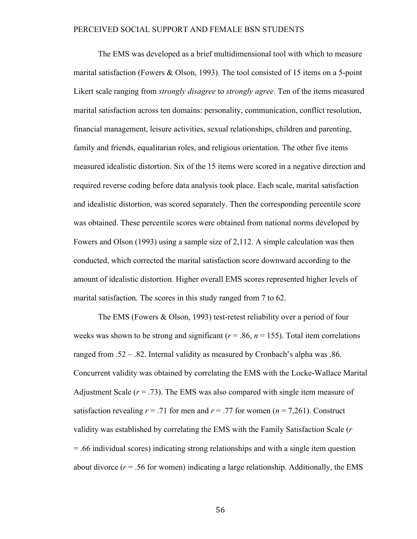The EMS was developed as a brief multidimensional tool with which to measure marital satisfaction (Fowers & Olson, 1993). The tool consisted of 15 items on a 5-point Likert scale ranging from *strongly disagree* to *strongly agree*. Ten of the items measured marital satisfaction across ten domains: personality, communication, conflict resolution, financial management, leisure activities, sexual relationships, children and parenting, family and friends, equalitarian roles, and religious orientation. The other five items measured idealistic distortion. Six of the 15 items were scored in a negative direction and required reverse coding before data analysis took place. Each scale, marital satisfaction and idealistic distortion, was scored separately. Then the corresponding percentile score was obtained. These percentile scores were obtained from national norms developed by Fowers and Olson (1993) using a sample size of 2,112. A simple calculation was then conducted, which corrected the marital satisfaction score downward according to the amount of idealistic distortion. Higher overall EMS scores represented higher levels of marital satisfaction. The scores in this study ranged from 7 to 62.

The EMS (Fowers & Olson, 1993) test-retest reliability over a period of four weeks was shown to be strong and significant ( $r = .86$ ,  $n = 155$ ). Total item correlations ranged from .52 – .82. Internal validity as measured by Cronbach's alpha was .86. Concurrent validity was obtained by correlating the EMS with the Locke-Wallace Marital Adjustment Scale  $(r = .73)$ . The EMS was also compared with single item measure of satisfaction revealing  $r = .71$  for men and  $r = .77$  for women ( $n = 7,261$ ). Construct validity was established by correlating the EMS with the Family Satisfaction Scale (*r* = .66 individual scores) indicating strong relationships and with a single item question about divorce  $(r = .56$  for women) indicating a large relationship. Additionally, the EMS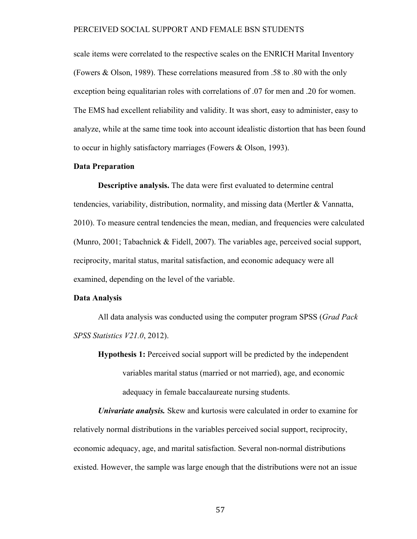scale items were correlated to the respective scales on the ENRICH Marital Inventory (Fowers & Olson, 1989). These correlations measured from .58 to .80 with the only exception being equalitarian roles with correlations of .07 for men and .20 for women. The EMS had excellent reliability and validity. It was short, easy to administer, easy to analyze, while at the same time took into account idealistic distortion that has been found to occur in highly satisfactory marriages (Fowers & Olson, 1993).

#### **Data Preparation**

**Descriptive analysis.** The data were first evaluated to determine central tendencies, variability, distribution, normality, and missing data (Mertler & Vannatta, 2010). To measure central tendencies the mean, median, and frequencies were calculated (Munro, 2001; Tabachnick & Fidell, 2007). The variables age, perceived social support, reciprocity, marital status, marital satisfaction, and economic adequacy were all examined, depending on the level of the variable.

#### **Data Analysis**

All data analysis was conducted using the computer program SPSS (*Grad Pack SPSS Statistics V21.0*, 2012).

**Hypothesis 1:** Perceived social support will be predicted by the independent variables marital status (married or not married), age, and economic adequacy in female baccalaureate nursing students.

*Univariate analysis.* Skew and kurtosis were calculated in order to examine for relatively normal distributions in the variables perceived social support, reciprocity, economic adequacy, age, and marital satisfaction. Several non-normal distributions existed. However, the sample was large enough that the distributions were not an issue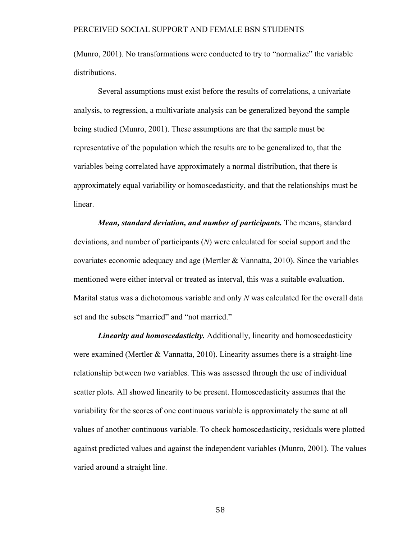(Munro, 2001). No transformations were conducted to try to "normalize" the variable distributions.

Several assumptions must exist before the results of correlations, a univariate analysis, to regression, a multivariate analysis can be generalized beyond the sample being studied (Munro, 2001). These assumptions are that the sample must be representative of the population which the results are to be generalized to, that the variables being correlated have approximately a normal distribution, that there is approximately equal variability or homoscedasticity, and that the relationships must be linear.

*Mean, standard deviation, and number of participants.* The means, standard deviations, and number of participants (*N*) were calculated for social support and the covariates economic adequacy and age (Mertler & Vannatta, 2010). Since the variables mentioned were either interval or treated as interval, this was a suitable evaluation. Marital status was a dichotomous variable and only *N* was calculated for the overall data set and the subsets "married" and "not married."

*Linearity and homoscedasticity.* Additionally, linearity and homoscedasticity were examined (Mertler & Vannatta, 2010). Linearity assumes there is a straight-line relationship between two variables. This was assessed through the use of individual scatter plots. All showed linearity to be present. Homoscedasticity assumes that the variability for the scores of one continuous variable is approximately the same at all values of another continuous variable. To check homoscedasticity, residuals were plotted against predicted values and against the independent variables (Munro, 2001). The values varied around a straight line.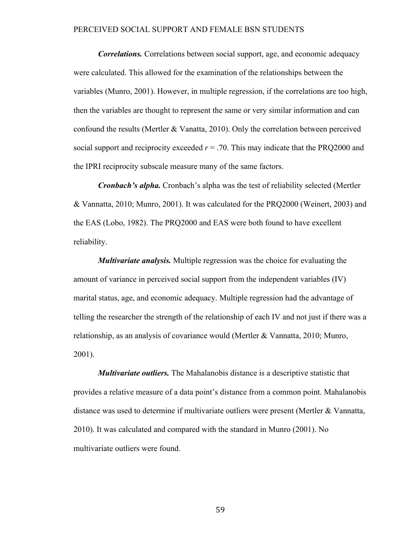*Correlations.* Correlations between social support, age, and economic adequacy were calculated. This allowed for the examination of the relationships between the variables (Munro, 2001). However, in multiple regression, if the correlations are too high, then the variables are thought to represent the same or very similar information and can confound the results (Mertler & Vanatta, 2010). Only the correlation between perceived social support and reciprocity exceeded  $r = .70$ . This may indicate that the PRQ2000 and the IPRI reciprocity subscale measure many of the same factors.

*Cronbach's alpha.* Cronbach's alpha was the test of reliability selected (Mertler & Vannatta, 2010; Munro, 2001). It was calculated for the PRQ2000 (Weinert, 2003) and the EAS (Lobo, 1982). The PRQ2000 and EAS were both found to have excellent reliability.

*Multivariate analysis.* Multiple regression was the choice for evaluating the amount of variance in perceived social support from the independent variables (IV) marital status, age, and economic adequacy. Multiple regression had the advantage of telling the researcher the strength of the relationship of each IV and not just if there was a relationship, as an analysis of covariance would (Mertler & Vannatta, 2010; Munro, 2001).

*Multivariate outliers.* The Mahalanobis distance is a descriptive statistic that provides a relative measure of a data point's distance from a common point. Mahalanobis distance was used to determine if multivariate outliers were present (Mertler & Vannatta, 2010). It was calculated and compared with the standard in Munro (2001). No multivariate outliers were found.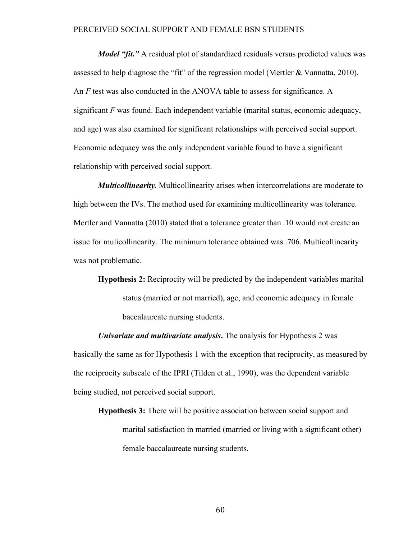*Model "fit."* A residual plot of standardized residuals versus predicted values was assessed to help diagnose the "fit" of the regression model (Mertler  $&$  Vannatta, 2010). An *F* test was also conducted in the ANOVA table to assess for significance. A significant *F* was found. Each independent variable (marital status, economic adequacy, and age) was also examined for significant relationships with perceived social support. Economic adequacy was the only independent variable found to have a significant relationship with perceived social support.

*Multicollinearity.* Multicollinearity arises when intercorrelations are moderate to high between the IVs. The method used for examining multicollinearity was tolerance. Mertler and Vannatta (2010) stated that a tolerance greater than .10 would not create an issue for mulicollinearity. The minimum tolerance obtained was .706. Multicollinearity was not problematic.

**Hypothesis 2:** Reciprocity will be predicted by the independent variables marital status (married or not married), age, and economic adequacy in female baccalaureate nursing students.

*Univariate and multivariate analysis***.** The analysis for Hypothesis 2 was basically the same as for Hypothesis 1 with the exception that reciprocity, as measured by the reciprocity subscale of the IPRI (Tilden et al., 1990), was the dependent variable being studied, not perceived social support.

**Hypothesis 3:** There will be positive association between social support and marital satisfaction in married (married or living with a significant other) female baccalaureate nursing students.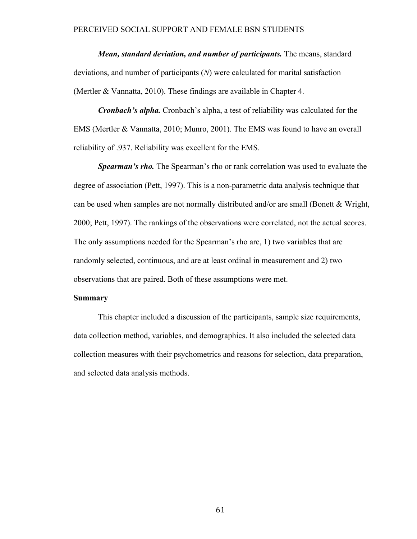*Mean, standard deviation, and number of participants.* The means, standard deviations, and number of participants (*N*) were calculated for marital satisfaction (Mertler & Vannatta, 2010). These findings are available in Chapter 4.

*Cronbach's alpha.* Cronbach's alpha, a test of reliability was calculated for the EMS (Mertler & Vannatta, 2010; Munro, 2001). The EMS was found to have an overall reliability of .937. Reliability was excellent for the EMS.

*Spearman's rho.* The Spearman's rho or rank correlation was used to evaluate the degree of association (Pett, 1997). This is a non-parametric data analysis technique that can be used when samples are not normally distributed and/or are small (Bonett & Wright, 2000; Pett, 1997). The rankings of the observations were correlated, not the actual scores. The only assumptions needed for the Spearman's rho are, 1) two variables that are randomly selected, continuous, and are at least ordinal in measurement and 2) two observations that are paired. Both of these assumptions were met.

#### **Summary**

This chapter included a discussion of the participants, sample size requirements, data collection method, variables, and demographics. It also included the selected data collection measures with their psychometrics and reasons for selection, data preparation, and selected data analysis methods.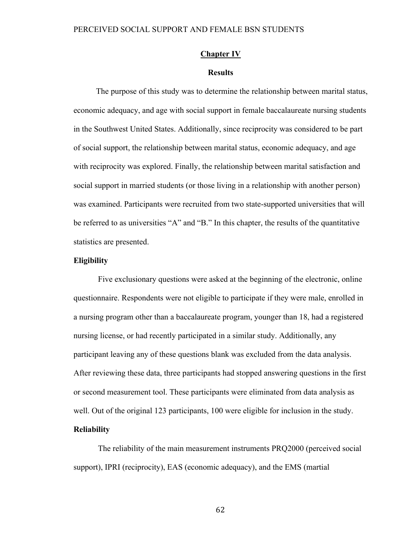#### **Chapter IV**

#### **Results**

The purpose of this study was to determine the relationship between marital status, economic adequacy, and age with social support in female baccalaureate nursing students in the Southwest United States. Additionally, since reciprocity was considered to be part of social support, the relationship between marital status, economic adequacy, and age with reciprocity was explored. Finally, the relationship between marital satisfaction and social support in married students (or those living in a relationship with another person) was examined. Participants were recruited from two state-supported universities that will be referred to as universities "A" and "B." In this chapter, the results of the quantitative statistics are presented.

#### **Eligibility**

Five exclusionary questions were asked at the beginning of the electronic, online questionnaire. Respondents were not eligible to participate if they were male, enrolled in a nursing program other than a baccalaureate program, younger than 18, had a registered nursing license, or had recently participated in a similar study. Additionally, any participant leaving any of these questions blank was excluded from the data analysis. After reviewing these data, three participants had stopped answering questions in the first or second measurement tool. These participants were eliminated from data analysis as well. Out of the original 123 participants, 100 were eligible for inclusion in the study. **Reliability** 

The reliability of the main measurement instruments PRQ2000 (perceived social support), IPRI (reciprocity), EAS (economic adequacy), and the EMS (martial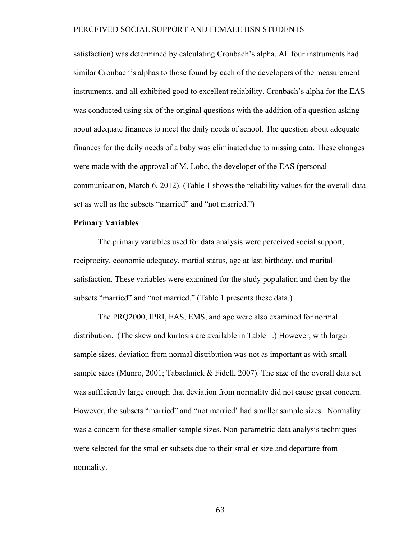satisfaction) was determined by calculating Cronbach's alpha. All four instruments had similar Cronbach's alphas to those found by each of the developers of the measurement instruments, and all exhibited good to excellent reliability. Cronbach's alpha for the EAS was conducted using six of the original questions with the addition of a question asking about adequate finances to meet the daily needs of school. The question about adequate finances for the daily needs of a baby was eliminated due to missing data. These changes were made with the approval of M. Lobo, the developer of the EAS (personal communication, March 6, 2012). (Table 1 shows the reliability values for the overall data set as well as the subsets "married" and "not married.")

#### **Primary Variables**

The primary variables used for data analysis were perceived social support, reciprocity, economic adequacy, martial status, age at last birthday, and marital satisfaction. These variables were examined for the study population and then by the subsets "married" and "not married." (Table 1 presents these data.)

The PRQ2000, IPRI, EAS, EMS, and age were also examined for normal distribution. (The skew and kurtosis are available in Table 1.) However, with larger sample sizes, deviation from normal distribution was not as important as with small sample sizes (Munro, 2001; Tabachnick & Fidell, 2007). The size of the overall data set was sufficiently large enough that deviation from normality did not cause great concern. However, the subsets "married" and "not married' had smaller sample sizes. Normality was a concern for these smaller sample sizes. Non-parametric data analysis techniques were selected for the smaller subsets due to their smaller size and departure from normality.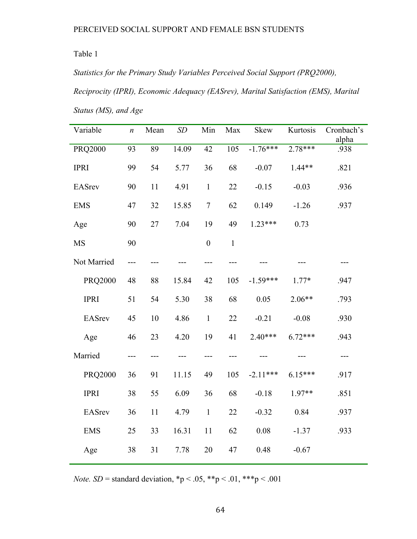Table 1

*Statistics for the Primary Study Variables Perceived Social Support (PRQ2000), Reciprocity (IPRI), Economic Adequacy (EASrev), Marital Satisfaction (EMS), Marital Status (MS), and Age*

| Variable       | $\boldsymbol{n}$ | Mean | SD    | Min              | Max              | <b>Skew</b> | Kurtosis  | Cronbach's<br>alpha |
|----------------|------------------|------|-------|------------------|------------------|-------------|-----------|---------------------|
| <b>PRQ2000</b> | 93               | 89   | 14.09 | $\overline{42}$  | $\overline{105}$ | $-1.76***$  | $2.78***$ | .938                |
| <b>IPRI</b>    | 99               | 54   | 5.77  | 36               | 68               | $-0.07$     | $1.44**$  | .821                |
| <b>EASrev</b>  | 90               | 11   | 4.91  | $\mathbf{1}$     | 22               | $-0.15$     | $-0.03$   | .936                |
| <b>EMS</b>     | 47               | 32   | 15.85 | $\overline{7}$   | 62               | 0.149       | $-1.26$   | .937                |
| Age            | 90               | 27   | 7.04  | 19               | 49               | $1.23***$   | 0.73      |                     |
| <b>MS</b>      | 90               |      |       | $\boldsymbol{0}$ | $\mathbf{1}$     |             |           |                     |
| Not Married    | ---              |      |       |                  |                  |             |           |                     |
| <b>PRQ2000</b> | 48               | 88   | 15.84 | 42               | 105              | $-1.59***$  | $1.77*$   | .947                |
| <b>IPRI</b>    | 51               | 54   | 5.30  | 38               | 68               | 0.05        | $2.06**$  | .793                |
| <b>EASrev</b>  | 45               | 10   | 4.86  | $\mathbf{1}$     | 22               | $-0.21$     | $-0.08$   | .930                |
| Age            | 46               | 23   | 4.20  | 19               | 41               | $2.40***$   | $6.72***$ | .943                |
| Married        | ---              |      |       |                  |                  |             |           |                     |
| <b>PRQ2000</b> | 36               | 91   | 11.15 | 49               | 105              | $-2.11***$  | $6.15***$ | .917                |
| <b>IPRI</b>    | 38               | 55   | 6.09  | 36               | 68               | $-0.18$     | $1.97**$  | .851                |
| <b>EASrev</b>  | 36               | 11   | 4.79  | $\mathbf{1}$     | 22               | $-0.32$     | 0.84      | .937                |
| <b>EMS</b>     | 25               | 33   | 16.31 | 11               | 62               | 0.08        | $-1.37$   | .933                |
| Age            | 38               | 31   | 7.78  | 20               | 47               | 0.48        | $-0.67$   |                     |

*Note.*  $SD =$  standard deviation, \*p < .05, \*\*p < .01, \*\*\*p < .001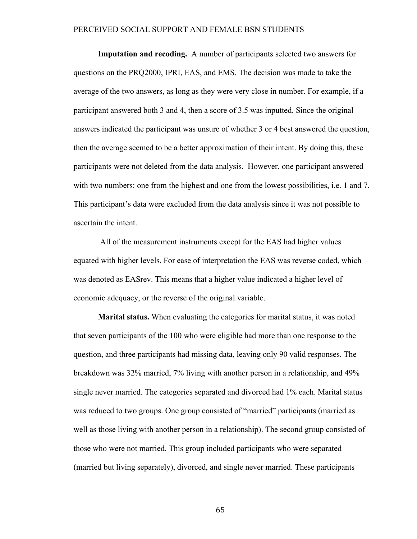**Imputation and recoding.** A number of participants selected two answers for questions on the PRQ2000, IPRI, EAS, and EMS. The decision was made to take the average of the two answers, as long as they were very close in number. For example, if a participant answered both 3 and 4, then a score of 3.5 was inputted. Since the original answers indicated the participant was unsure of whether 3 or 4 best answered the question, then the average seemed to be a better approximation of their intent. By doing this, these participants were not deleted from the data analysis. However, one participant answered with two numbers: one from the highest and one from the lowest possibilities, i.e. 1 and 7. This participant's data were excluded from the data analysis since it was not possible to ascertain the intent.

All of the measurement instruments except for the EAS had higher values equated with higher levels. For ease of interpretation the EAS was reverse coded, which was denoted as EASrev. This means that a higher value indicated a higher level of economic adequacy, or the reverse of the original variable.

**Marital status.** When evaluating the categories for marital status, it was noted that seven participants of the 100 who were eligible had more than one response to the question, and three participants had missing data, leaving only 90 valid responses. The breakdown was 32% married, 7% living with another person in a relationship, and 49% single never married. The categories separated and divorced had 1% each. Marital status was reduced to two groups. One group consisted of "married" participants (married as well as those living with another person in a relationship). The second group consisted of those who were not married. This group included participants who were separated (married but living separately), divorced, and single never married. These participants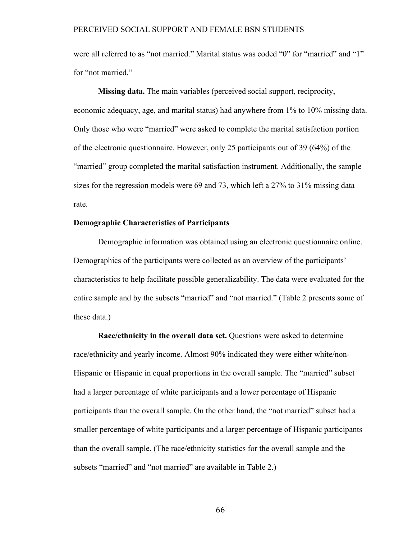were all referred to as "not married." Marital status was coded "0" for "married" and "1" for "not married."

**Missing data.** The main variables (perceived social support, reciprocity, economic adequacy, age, and marital status) had anywhere from 1% to 10% missing data. Only those who were "married" were asked to complete the marital satisfaction portion of the electronic questionnaire. However, only 25 participants out of 39 (64%) of the "married" group completed the marital satisfaction instrument. Additionally, the sample sizes for the regression models were 69 and 73, which left a 27% to 31% missing data rate.

#### **Demographic Characteristics of Participants**

Demographic information was obtained using an electronic questionnaire online. Demographics of the participants were collected as an overview of the participants' characteristics to help facilitate possible generalizability. The data were evaluated for the entire sample and by the subsets "married" and "not married." (Table 2 presents some of these data.)

**Race/ethnicity in the overall data set.** Questions were asked to determine race/ethnicity and yearly income. Almost 90% indicated they were either white/non-Hispanic or Hispanic in equal proportions in the overall sample. The "married" subset had a larger percentage of white participants and a lower percentage of Hispanic participants than the overall sample. On the other hand, the "not married" subset had a smaller percentage of white participants and a larger percentage of Hispanic participants than the overall sample. (The race/ethnicity statistics for the overall sample and the subsets "married" and "not married" are available in Table 2.)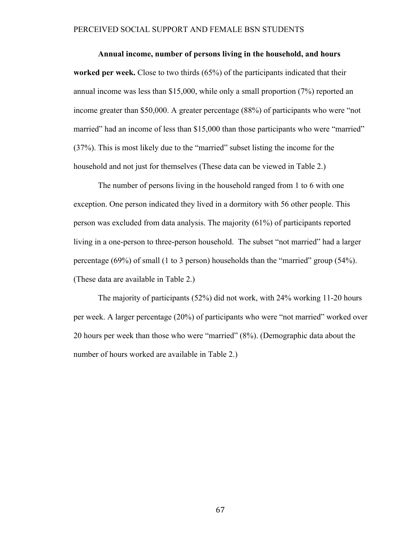**Annual income, number of persons living in the household, and hours worked per week.** Close to two thirds (65%) of the participants indicated that their annual income was less than \$15,000, while only a small proportion (7%) reported an income greater than \$50,000. A greater percentage (88%) of participants who were "not married" had an income of less than \$15,000 than those participants who were "married" (37%). This is most likely due to the "married" subset listing the income for the household and not just for themselves (These data can be viewed in Table 2.)

The number of persons living in the household ranged from 1 to 6 with one exception. One person indicated they lived in a dormitory with 56 other people. This person was excluded from data analysis. The majority (61%) of participants reported living in a one-person to three-person household. The subset "not married" had a larger percentage (69%) of small (1 to 3 person) households than the "married" group (54%). (These data are available in Table 2.)

The majority of participants (52%) did not work, with 24% working 11-20 hours per week. A larger percentage (20%) of participants who were "not married" worked over 20 hours per week than those who were "married" (8%). (Demographic data about the number of hours worked are available in Table 2.)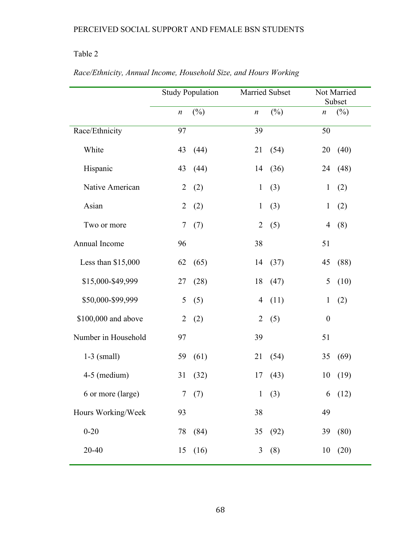# Table 2

|                     | <b>Study Population</b> |        |                  | Married Subset |                  | Not Married<br>Subset |  |
|---------------------|-------------------------|--------|------------------|----------------|------------------|-----------------------|--|
|                     | $\boldsymbol{n}$        | $(\%)$ | $\boldsymbol{n}$ | $(\%)$         | $\boldsymbol{n}$ | $(\%)$                |  |
| Race/Ethnicity      | 97                      |        | 39               |                | 50               |                       |  |
| White               | 43                      | (44)   | 21               | (54)           | 20               | (40)                  |  |
| Hispanic            | 43                      | (44)   |                  | 14 (36)        | 24               | (48)                  |  |
| Native American     | $\overline{2}$          | (2)    | $\mathbf{1}$     | (3)            | $\mathbf{1}$     | (2)                   |  |
| Asian               | $\overline{2}$          | (2)    | $\mathbf{1}$     | (3)            | $\mathbf{1}$     | (2)                   |  |
| Two or more         | $\overline{7}$          | (7)    | 2                | (5)            | $\overline{4}$   | (8)                   |  |
| Annual Income       | 96                      |        | 38               |                | 51               |                       |  |
| Less than \$15,000  | 62                      | (65)   |                  | 14 (37)        | 45               | (88)                  |  |
| \$15,000-\$49,999   | 27                      | (28)   | 18               | (47)           | 5                | (10)                  |  |
| \$50,000-\$99,999   | 5                       | (5)    | 4                | (11)           | $\mathbf{1}$     | (2)                   |  |
| \$100,000 and above | $\overline{2}$          | (2)    | $\overline{2}$   | (5)            | $\boldsymbol{0}$ |                       |  |
| Number in Household | 97                      |        | 39               |                | 51               |                       |  |
| $1-3$ (small)       | 59                      | (61)   | 21               | (54)           | 35               | (69)                  |  |
| 4-5 (medium)        | 31                      | (32)   | 17               | (43)           | 10               | (19)                  |  |
| 6 or more (large)   |                         | 7(7)   |                  | 1(3)           |                  | 6(12)                 |  |
| Hours Working/Week  | 93                      |        | 38               |                | 49               |                       |  |
| $0 - 20$            | 78                      | (84)   | 35               | (92)           |                  | 39 (80)               |  |
| 20-40               | 15                      | (16)   | 3                | (8)            | 10               | (20)                  |  |

# *Race/Ethnicity, Annual Income, Household Size, and Hours Working*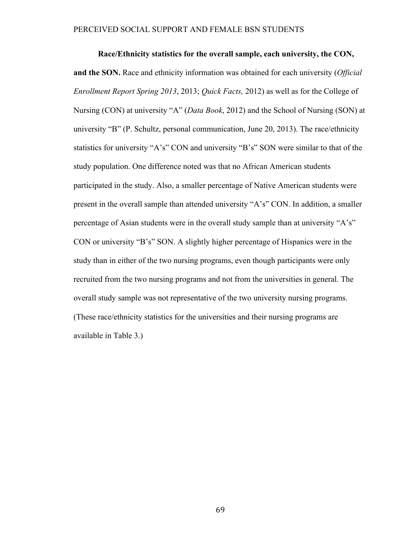**Race/Ethnicity statistics for the overall sample, each university, the CON, and the SON.** Race and ethnicity information was obtained for each university (*Official Enrollment Report Spring 2013*, 2013; *Quick Facts,* 2012) as well as for the College of Nursing (CON) at university "A" (*Data Book*, 2012) and the School of Nursing (SON) at university "B" (P. Schultz, personal communication, June 20, 2013). The race/ethnicity statistics for university "A's" CON and university "B's" SON were similar to that of the study population. One difference noted was that no African American students participated in the study. Also, a smaller percentage of Native American students were present in the overall sample than attended university "A's" CON. In addition, a smaller percentage of Asian students were in the overall study sample than at university "A's" CON or university "B's" SON. A slightly higher percentage of Hispanics were in the study than in either of the two nursing programs, even though participants were only recruited from the two nursing programs and not from the universities in general. The overall study sample was not representative of the two university nursing programs. (These race/ethnicity statistics for the universities and their nursing programs are available in Table 3.)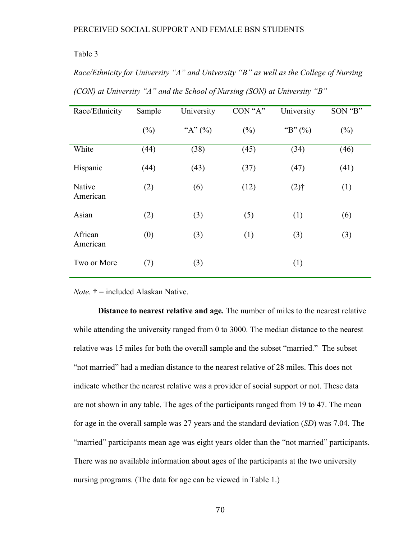#### Table 3

*Race/Ethnicity for University "A" and University "B" as well as the College of Nursing (CON) at University "A" and the School of Nursing (SON) at University "B"*

| Race/Ethnicity      | Sample | University | CON "A" | University         | SON "B" |
|---------------------|--------|------------|---------|--------------------|---------|
|                     | $(\%)$ | "A" $(%)$  | $(\%)$  | "B" $(\%)$         | $(\%)$  |
| White               | (44)   | (38)       | (45)    | (34)               | (46)    |
| Hispanic            | (44)   | (43)       | (37)    | (47)               | (41)    |
| Native<br>American  | (2)    | (6)        | (12)    | $(2)$ <sup>+</sup> | (1)     |
| Asian               | (2)    | (3)        | (5)     | (1)                | (6)     |
| African<br>American | (0)    | (3)        | (1)     | (3)                | (3)     |
| Two or More         | (7)    | (3)        |         | (1)                |         |

*Note.* † = included Alaskan Native.

**Distance to nearest relative and age***.* The number of miles to the nearest relative while attending the university ranged from 0 to 3000. The median distance to the nearest relative was 15 miles for both the overall sample and the subset "married." The subset "not married" had a median distance to the nearest relative of 28 miles. This does not indicate whether the nearest relative was a provider of social support or not. These data are not shown in any table. The ages of the participants ranged from 19 to 47. The mean for age in the overall sample was 27 years and the standard deviation (*SD*) was 7.04. The "married" participants mean age was eight years older than the "not married" participants. There was no available information about ages of the participants at the two university nursing programs. (The data for age can be viewed in Table 1.)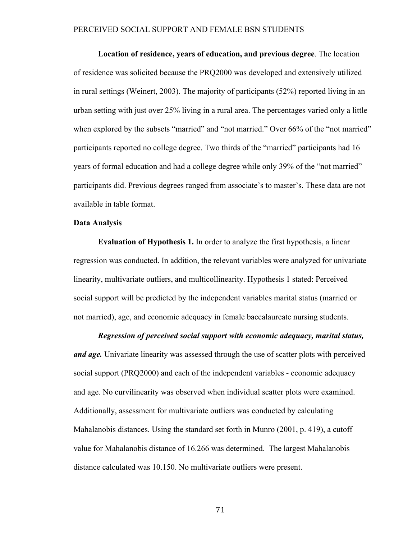**Location of residence, years of education, and previous degree**. The location of residence was solicited because the PRQ2000 was developed and extensively utilized in rural settings (Weinert, 2003). The majority of participants (52%) reported living in an urban setting with just over 25% living in a rural area. The percentages varied only a little when explored by the subsets "married" and "not married." Over 66% of the "not married" participants reported no college degree. Two thirds of the "married" participants had 16 years of formal education and had a college degree while only 39% of the "not married" participants did. Previous degrees ranged from associate's to master's. These data are not available in table format.

#### **Data Analysis**

**Evaluation of Hypothesis 1.** In order to analyze the first hypothesis, a linear regression was conducted. In addition, the relevant variables were analyzed for univariate linearity, multivariate outliers, and multicollinearity. Hypothesis 1 stated: Perceived social support will be predicted by the independent variables marital status (married or not married), age, and economic adequacy in female baccalaureate nursing students.

#### *Regression of perceived social support with economic adequacy, marital status,*

*and age.* Univariate linearity was assessed through the use of scatter plots with perceived social support (PRQ2000) and each of the independent variables - economic adequacy and age. No curvilinearity was observed when individual scatter plots were examined. Additionally, assessment for multivariate outliers was conducted by calculating Mahalanobis distances. Using the standard set forth in Munro (2001, p. 419), a cutoff value for Mahalanobis distance of 16.266 was determined. The largest Mahalanobis distance calculated was 10.150. No multivariate outliers were present.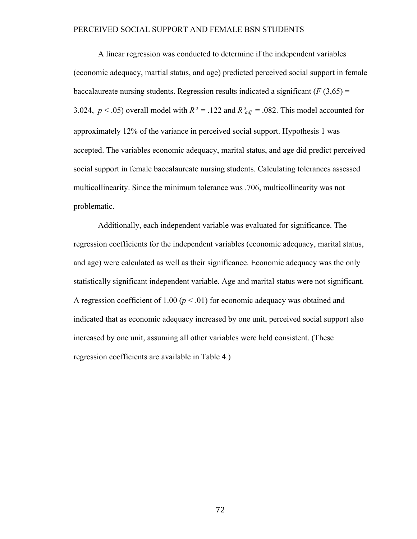A linear regression was conducted to determine if the independent variables (economic adequacy, martial status, and age) predicted perceived social support in female baccalaureate nursing students. Regression results indicated a significant  $(F(3.65)$  = 3.024,  $p < .05$ ) overall model with  $R^2 = .122$  and  $R^2_{adj} = .082$ . This model accounted for approximately 12% of the variance in perceived social support. Hypothesis 1 was accepted. The variables economic adequacy, marital status, and age did predict perceived social support in female baccalaureate nursing students. Calculating tolerances assessed multicollinearity. Since the minimum tolerance was .706, multicollinearity was not problematic.

Additionally, each independent variable was evaluated for significance. The regression coefficients for the independent variables (economic adequacy, marital status, and age) were calculated as well as their significance. Economic adequacy was the only statistically significant independent variable. Age and marital status were not significant. A regression coefficient of 1.00 ( $p < .01$ ) for economic adequacy was obtained and indicated that as economic adequacy increased by one unit, perceived social support also increased by one unit, assuming all other variables were held consistent. (These regression coefficients are available in Table 4.)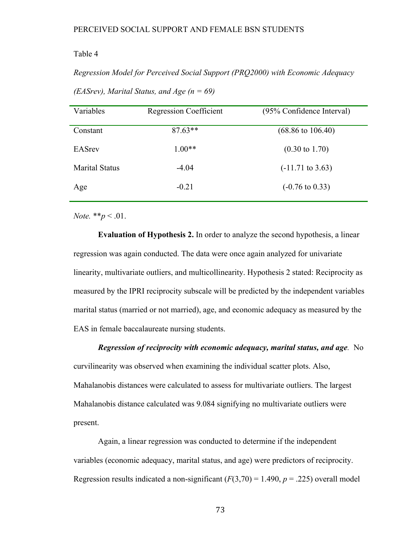#### Table 4

*Regression Model for Perceived Social Support (PRQ2000) with Economic Adequacy (EASrev), Marital Status, and Age (n = 69)*

| Variables             | <b>Regression Coefficient</b> | (95% Confidence Interval)    |  |  |
|-----------------------|-------------------------------|------------------------------|--|--|
| Constant              | $87.63**$                     | $(68.86 \text{ to } 106.40)$ |  |  |
| <b>EASrev</b>         | $1.00**$                      | $(0.30 \text{ to } 1.70)$    |  |  |
| <b>Marital Status</b> | $-4.04$                       | $(-11.71 \text{ to } 3.63)$  |  |  |
| Age                   | $-0.21$                       | $(-0.76 \text{ to } 0.33)$   |  |  |
|                       |                               |                              |  |  |

*Note.* \*\**p* < .01.

**Evaluation of Hypothesis 2.** In order to analyze the second hypothesis, a linear regression was again conducted. The data were once again analyzed for univariate linearity, multivariate outliers, and multicollinearity. Hypothesis 2 stated: Reciprocity as measured by the IPRI reciprocity subscale will be predicted by the independent variables marital status (married or not married), age, and economic adequacy as measured by the EAS in female baccalaureate nursing students.

*Regression of reciprocity with economic adequacy, marital status, and age.* No curvilinearity was observed when examining the individual scatter plots. Also, Mahalanobis distances were calculated to assess for multivariate outliers. The largest Mahalanobis distance calculated was 9.084 signifying no multivariate outliers were present.

Again, a linear regression was conducted to determine if the independent variables (economic adequacy, marital status, and age) were predictors of reciprocity. Regression results indicated a non-significant  $(F(3,70) = 1.490, p = .225)$  overall model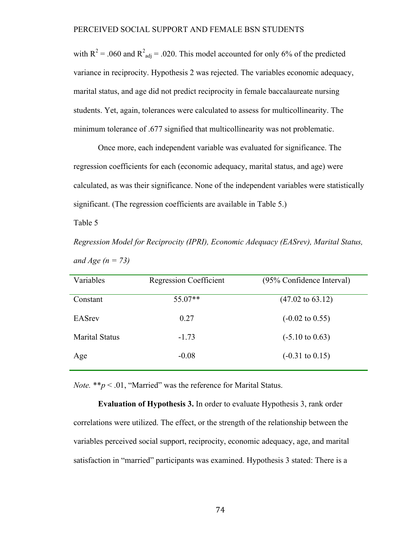with  $R^2$  = .060 and  $R^2_{\text{adj}}$  = .020. This model accounted for only 6% of the predicted variance in reciprocity. Hypothesis 2 was rejected. The variables economic adequacy, marital status, and age did not predict reciprocity in female baccalaureate nursing students. Yet, again, tolerances were calculated to assess for multicollinearity. The minimum tolerance of .677 signified that multicollinearity was not problematic.

Once more, each independent variable was evaluated for significance. The regression coefficients for each (economic adequacy, marital status, and age) were calculated, as was their significance. None of the independent variables were statistically significant. (The regression coefficients are available in Table 5.)

Table 5

*Regression Model for Reciprocity (IPRI), Economic Adequacy (EASrev), Marital Status, and Age (n = 73)*

| Variables             | <b>Regression Coefficient</b> | (95% Confidence Interval)   |
|-----------------------|-------------------------------|-----------------------------|
| Constant              | $55.07**$                     | $(47.02 \text{ to } 63.12)$ |
| <b>EASrev</b>         | 0.27                          | $(-0.02 \text{ to } 0.55)$  |
| <b>Marital Status</b> | $-1.73$                       | $(-5.10 \text{ to } 0.63)$  |
| Age                   | $-0.08$                       | $(-0.31 \text{ to } 0.15)$  |

*Note.* \*\* $p < .01$ , "Married" was the reference for Marital Status.

**Evaluation of Hypothesis 3.** In order to evaluate Hypothesis 3, rank order correlations were utilized. The effect, or the strength of the relationship between the variables perceived social support, reciprocity, economic adequacy, age, and marital satisfaction in "married" participants was examined. Hypothesis 3 stated: There is a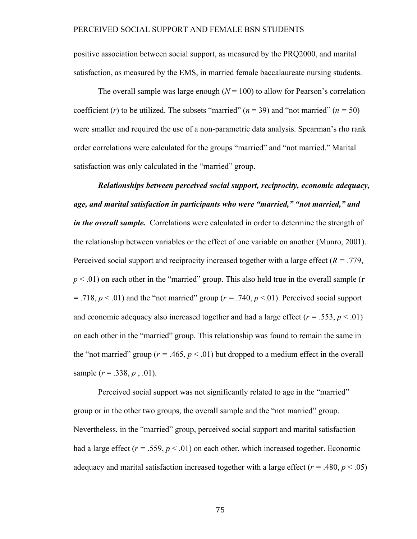positive association between social support, as measured by the PRQ2000, and marital satisfaction, as measured by the EMS, in married female baccalaureate nursing students.

The overall sample was large enough  $(N = 100)$  to allow for Pearson's correlation coefficient (*r*) to be utilized. The subsets "married" ( $n = 39$ ) and "not married" ( $n = 50$ ) were smaller and required the use of a non-parametric data analysis. Spearman's rho rank order correlations were calculated for the groups "married" and "not married." Marital satisfaction was only calculated in the "married" group.

*Relationships between perceived social support, reciprocity, economic adequacy, age, and marital satisfaction in participants who were "married," "not married," and in the overall sample.* Correlations were calculated in order to determine the strength of the relationship between variables or the effect of one variable on another (Munro, 2001). Perceived social support and reciprocity increased together with a large effect (*R =* .779, *p* < .01) on each other in the "married" group. This also held true in the overall sample (**r**   $=$  .718,  $p < 0.01$ ) and the "not married" group ( $r = .740$ ,  $p < 0.01$ ). Perceived social support and economic adequacy also increased together and had a large effect  $(r = .553, p < .01)$ on each other in the "married" group. This relationship was found to remain the same in the "not married" group ( $r = .465$ ,  $p < .01$ ) but dropped to a medium effect in the overall sample (*r* = .338, *p* , .01).

Perceived social support was not significantly related to age in the "married" group or in the other two groups, the overall sample and the "not married" group. Nevertheless, in the "married" group, perceived social support and marital satisfaction had a large effect  $(r = .559, p < .01)$  on each other, which increased together. Economic adequacy and marital satisfaction increased together with a large effect  $(r = .480, p < .05)$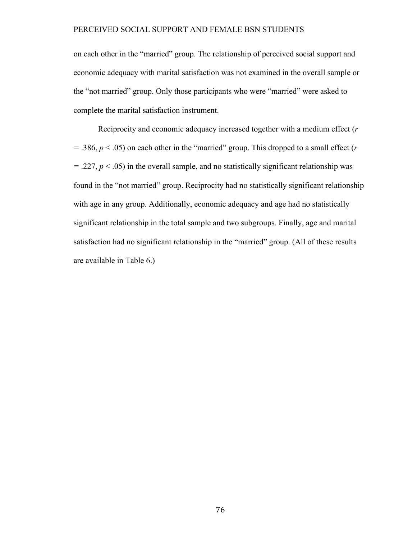on each other in the "married" group. The relationship of perceived social support and economic adequacy with marital satisfaction was not examined in the overall sample or the "not married" group. Only those participants who were "married" were asked to complete the marital satisfaction instrument.

Reciprocity and economic adequacy increased together with a medium effect (*r =* .386, *p* < .05) on each other in the "married" group. This dropped to a small effect (*r*   $=$  .227,  $p$  < .05) in the overall sample, and no statistically significant relationship was found in the "not married" group. Reciprocity had no statistically significant relationship with age in any group. Additionally, economic adequacy and age had no statistically significant relationship in the total sample and two subgroups. Finally, age and marital satisfaction had no significant relationship in the "married" group. (All of these results are available in Table 6.)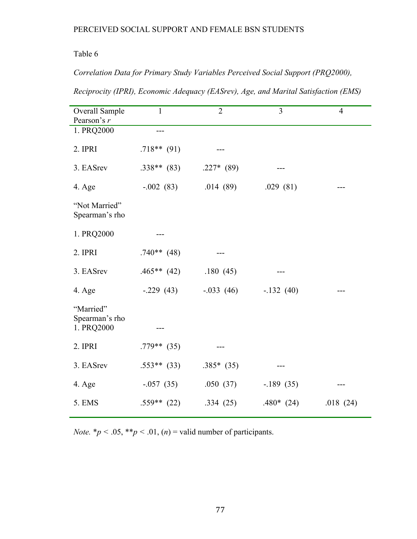# Table 6

*Correlation Data for Primary Study Variables Perceived Social Support (PRQ2000),* 

*Reciprocity (IPRI), Economic Adequacy (EASrev), Age, and Marital Satisfaction (EMS)*

| Overall Sample<br>Pearson's $r$           | $\mathbf{1}$  | $\overline{2}$ | $\overline{3}$ | $\overline{4}$ |
|-------------------------------------------|---------------|----------------|----------------|----------------|
| 1. PRQ2000                                |               |                |                |                |
| 2. IPRI                                   | $.718**$ (91) |                |                |                |
| 3. EASrev                                 | $.338**$ (83) | $.227*$ (89)   | ---            |                |
| 4. Age                                    | $-.002(83)$   | .014(89)       | .029(81)       |                |
| "Not Married"<br>Spearman's rho           |               |                |                |                |
| 1. PRQ2000                                |               |                |                |                |
| 2. IPRI                                   | $.740**$ (48) |                |                |                |
| 3. EASrev                                 | $.465**$ (42) | .180(45)       |                |                |
| 4. Age                                    | $-.229(43)$   | $-.033(46)$    | $-.132(40)$    |                |
| "Married"<br>Spearman's rho<br>1. PRQ2000 |               |                |                |                |
| 2. IPRI                                   | $.779**$ (35) |                |                |                |
| 3. EASrev                                 | $.553**$ (33) | $.385*$ (35)   |                |                |
| 4. Age                                    | $-.057(35)$   | .050(37)       | $-189(35)$     |                |
| 5. EMS                                    | $.559**$ (22) | .334(25)       | $.480*(24)$    | .018(24)       |

*Note.*  $* p < .05, ** p < .01, (n) =$  valid number of participants.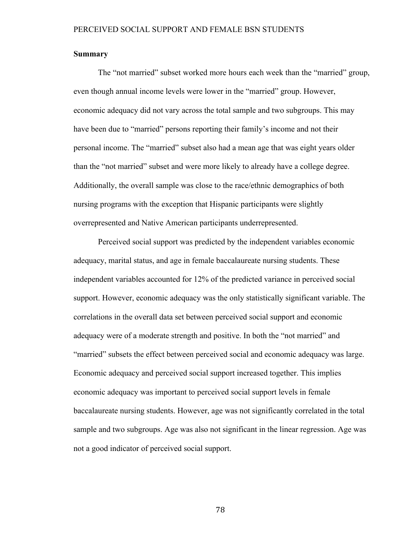#### **Summary**

The "not married" subset worked more hours each week than the "married" group, even though annual income levels were lower in the "married" group. However, economic adequacy did not vary across the total sample and two subgroups. This may have been due to "married" persons reporting their family's income and not their personal income. The "married" subset also had a mean age that was eight years older than the "not married" subset and were more likely to already have a college degree. Additionally, the overall sample was close to the race/ethnic demographics of both nursing programs with the exception that Hispanic participants were slightly overrepresented and Native American participants underrepresented.

Perceived social support was predicted by the independent variables economic adequacy, marital status, and age in female baccalaureate nursing students. These independent variables accounted for 12% of the predicted variance in perceived social support. However, economic adequacy was the only statistically significant variable. The correlations in the overall data set between perceived social support and economic adequacy were of a moderate strength and positive. In both the "not married" and "married" subsets the effect between perceived social and economic adequacy was large. Economic adequacy and perceived social support increased together. This implies economic adequacy was important to perceived social support levels in female baccalaureate nursing students. However, age was not significantly correlated in the total sample and two subgroups. Age was also not significant in the linear regression. Age was not a good indicator of perceived social support.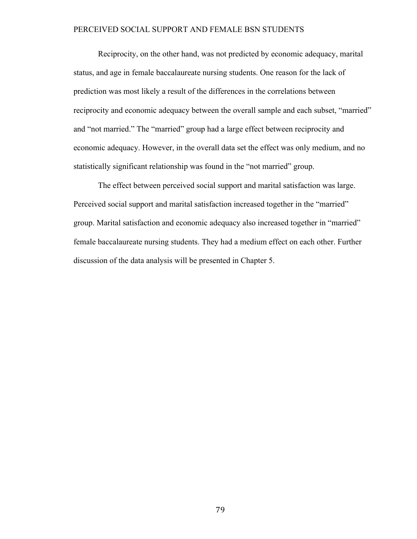Reciprocity, on the other hand, was not predicted by economic adequacy, marital status, and age in female baccalaureate nursing students. One reason for the lack of prediction was most likely a result of the differences in the correlations between reciprocity and economic adequacy between the overall sample and each subset, "married" and "not married." The "married" group had a large effect between reciprocity and economic adequacy. However, in the overall data set the effect was only medium, and no statistically significant relationship was found in the "not married" group.

The effect between perceived social support and marital satisfaction was large. Perceived social support and marital satisfaction increased together in the "married" group. Marital satisfaction and economic adequacy also increased together in "married" female baccalaureate nursing students. They had a medium effect on each other. Further discussion of the data analysis will be presented in Chapter 5.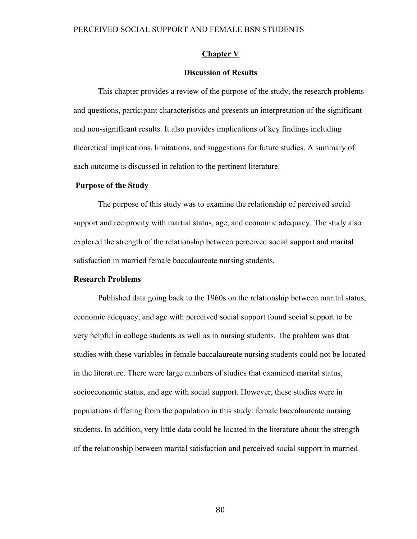#### **Chapter V**

#### **Discussion of Results**

This chapter provides a review of the purpose of the study, the research problems and questions, participant characteristics and presents an interpretation of the significant and non-significant results. It also provides implications of key findings including theoretical implications, limitations, and suggestions for future studies. A summary of each outcome is discussed in relation to the pertinent literature.

#### **Purpose of the Study**

The purpose of this study was to examine the relationship of perceived social support and reciprocity with martial status, age, and economic adequacy. The study also explored the strength of the relationship between perceived social support and marital satisfaction in married female baccalaureate nursing students.

#### **Research Problems**

Published data going back to the 1960s on the relationship between marital status, economic adequacy, and age with perceived social support found social support to be very helpful in college students as well as in nursing students. The problem was that studies with these variables in female baccalaureate nursing students could not be located in the literature. There were large numbers of studies that examined marital status, socioeconomic status, and age with social support. However, these studies were in populations differing from the population in this study: female baccalaureate nursing students. In addition, very little data could be located in the literature about the strength of the relationship between marital satisfaction and perceived social support in married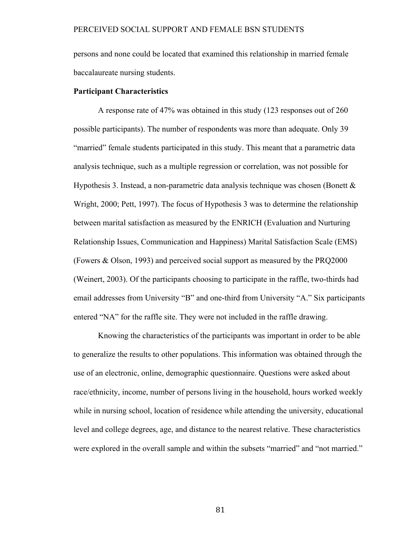persons and none could be located that examined this relationship in married female baccalaureate nursing students.

#### **Participant Characteristics**

A response rate of 47% was obtained in this study (123 responses out of 260 possible participants). The number of respondents was more than adequate. Only 39 "married" female students participated in this study. This meant that a parametric data analysis technique, such as a multiple regression or correlation, was not possible for Hypothesis 3. Instead, a non-parametric data analysis technique was chosen (Bonett & Wright, 2000; Pett, 1997). The focus of Hypothesis 3 was to determine the relationship between marital satisfaction as measured by the ENRICH (Evaluation and Nurturing Relationship Issues, Communication and Happiness) Marital Satisfaction Scale (EMS) (Fowers & Olson, 1993) and perceived social support as measured by the PRQ2000 (Weinert, 2003). Of the participants choosing to participate in the raffle, two-thirds had email addresses from University "B" and one-third from University "A." Six participants entered "NA" for the raffle site. They were not included in the raffle drawing.

Knowing the characteristics of the participants was important in order to be able to generalize the results to other populations. This information was obtained through the use of an electronic, online, demographic questionnaire. Questions were asked about race/ethnicity, income, number of persons living in the household, hours worked weekly while in nursing school, location of residence while attending the university, educational level and college degrees, age, and distance to the nearest relative. These characteristics were explored in the overall sample and within the subsets "married" and "not married."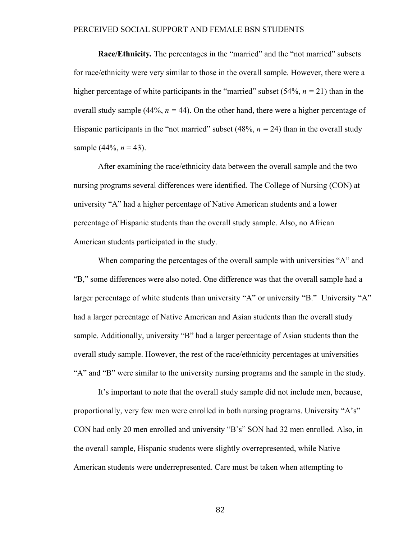**Race/Ethnicity***.* The percentages in the "married" and the "not married" subsets for race/ethnicity were very similar to those in the overall sample. However, there were a higher percentage of white participants in the "married" subset  $(54\%, n = 21)$  than in the overall study sample (44%,  $n = 44$ ). On the other hand, there were a higher percentage of Hispanic participants in the "not married" subset  $(48\%, n = 24)$  than in the overall study sample  $(44\%, n = 43)$ .

After examining the race/ethnicity data between the overall sample and the two nursing programs several differences were identified. The College of Nursing (CON) at university "A" had a higher percentage of Native American students and a lower percentage of Hispanic students than the overall study sample. Also, no African American students participated in the study.

When comparing the percentages of the overall sample with universities "A" and "B," some differences were also noted. One difference was that the overall sample had a larger percentage of white students than university "A" or university "B." University "A" had a larger percentage of Native American and Asian students than the overall study sample. Additionally, university "B" had a larger percentage of Asian students than the overall study sample. However, the rest of the race/ethnicity percentages at universities "A" and "B" were similar to the university nursing programs and the sample in the study.

It's important to note that the overall study sample did not include men, because, proportionally, very few men were enrolled in both nursing programs. University "A's" CON had only 20 men enrolled and university "B's" SON had 32 men enrolled. Also, in the overall sample, Hispanic students were slightly overrepresented, while Native American students were underrepresented. Care must be taken when attempting to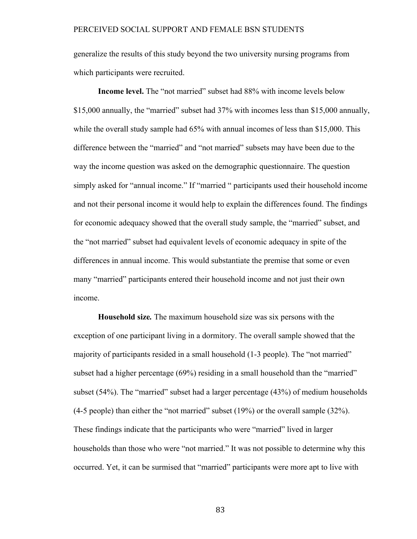generalize the results of this study beyond the two university nursing programs from which participants were recruited.

**Income level.** The "not married" subset had 88% with income levels below \$15,000 annually, the "married" subset had 37% with incomes less than \$15,000 annually, while the overall study sample had  $65\%$  with annual incomes of less than \$15,000. This difference between the "married" and "not married" subsets may have been due to the way the income question was asked on the demographic questionnaire. The question simply asked for "annual income." If "married " participants used their household income and not their personal income it would help to explain the differences found. The findings for economic adequacy showed that the overall study sample, the "married" subset, and the "not married" subset had equivalent levels of economic adequacy in spite of the differences in annual income. This would substantiate the premise that some or even many "married" participants entered their household income and not just their own income.

**Household size***.* The maximum household size was six persons with the exception of one participant living in a dormitory. The overall sample showed that the majority of participants resided in a small household (1-3 people). The "not married" subset had a higher percentage (69%) residing in a small household than the "married" subset (54%). The "married" subset had a larger percentage (43%) of medium households (4-5 people) than either the "not married" subset (19%) or the overall sample (32%). These findings indicate that the participants who were "married" lived in larger households than those who were "not married." It was not possible to determine why this occurred. Yet, it can be surmised that "married" participants were more apt to live with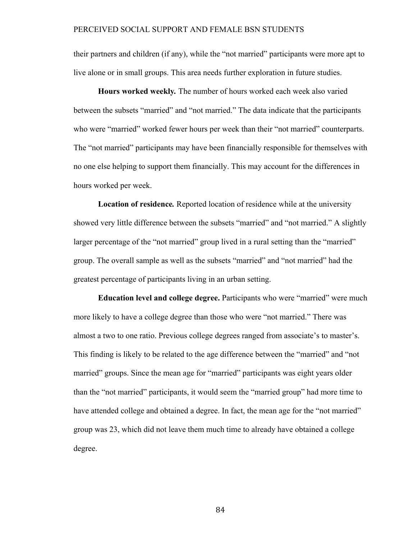their partners and children (if any), while the "not married" participants were more apt to live alone or in small groups. This area needs further exploration in future studies.

**Hours worked weekly***.* The number of hours worked each week also varied between the subsets "married" and "not married." The data indicate that the participants who were "married" worked fewer hours per week than their "not married" counterparts. The "not married" participants may have been financially responsible for themselves with no one else helping to support them financially. This may account for the differences in hours worked per week.

**Location of residence***.* Reported location of residence while at the university showed very little difference between the subsets "married" and "not married." A slightly larger percentage of the "not married" group lived in a rural setting than the "married" group. The overall sample as well as the subsets "married" and "not married" had the greatest percentage of participants living in an urban setting.

**Education level and college degree.** Participants who were "married" were much more likely to have a college degree than those who were "not married." There was almost a two to one ratio. Previous college degrees ranged from associate's to master's. This finding is likely to be related to the age difference between the "married" and "not married" groups. Since the mean age for "married" participants was eight years older than the "not married" participants, it would seem the "married group" had more time to have attended college and obtained a degree. In fact, the mean age for the "not married" group was 23, which did not leave them much time to already have obtained a college degree.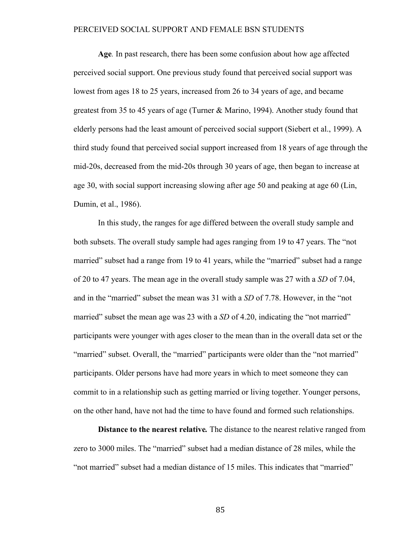**Age***.* In past research, there has been some confusion about how age affected perceived social support. One previous study found that perceived social support was lowest from ages 18 to 25 years, increased from 26 to 34 years of age, and became greatest from 35 to 45 years of age (Turner & Marino, 1994). Another study found that elderly persons had the least amount of perceived social support (Siebert et al., 1999). A third study found that perceived social support increased from 18 years of age through the mid-20s, decreased from the mid-20s through 30 years of age, then began to increase at age 30, with social support increasing slowing after age 50 and peaking at age 60 (Lin, Dumin, et al., 1986).

In this study, the ranges for age differed between the overall study sample and both subsets. The overall study sample had ages ranging from 19 to 47 years. The "not married" subset had a range from 19 to 41 years, while the "married" subset had a range of 20 to 47 years. The mean age in the overall study sample was 27 with a *SD* of 7.04, and in the "married" subset the mean was 31 with a *SD* of 7.78. However, in the "not married" subset the mean age was 23 with a *SD* of 4.20, indicating the "not married" participants were younger with ages closer to the mean than in the overall data set or the "married" subset. Overall, the "married" participants were older than the "not married" participants. Older persons have had more years in which to meet someone they can commit to in a relationship such as getting married or living together. Younger persons, on the other hand, have not had the time to have found and formed such relationships.

**Distance to the nearest relative***.* The distance to the nearest relative ranged from zero to 3000 miles. The "married" subset had a median distance of 28 miles, while the "not married" subset had a median distance of 15 miles. This indicates that "married"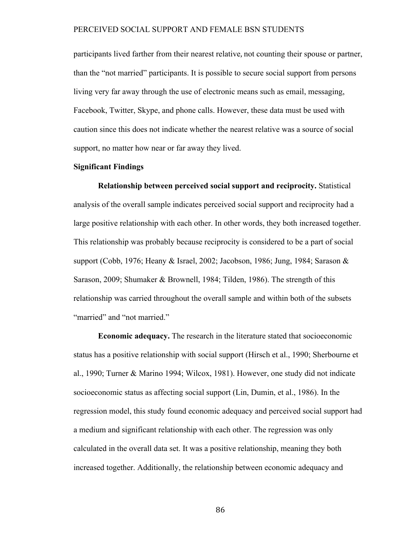participants lived farther from their nearest relative, not counting their spouse or partner, than the "not married" participants. It is possible to secure social support from persons living very far away through the use of electronic means such as email, messaging, Facebook, Twitter, Skype, and phone calls. However, these data must be used with caution since this does not indicate whether the nearest relative was a source of social support, no matter how near or far away they lived.

#### **Significant Findings**

**Relationship between perceived social support and reciprocity.** Statistical analysis of the overall sample indicates perceived social support and reciprocity had a large positive relationship with each other. In other words, they both increased together. This relationship was probably because reciprocity is considered to be a part of social support (Cobb, 1976; Heany & Israel, 2002; Jacobson, 1986; Jung, 1984; Sarason & Sarason, 2009; Shumaker & Brownell, 1984; Tilden, 1986). The strength of this relationship was carried throughout the overall sample and within both of the subsets "married" and "not married."

**Economic adequacy.** The research in the literature stated that socioeconomic status has a positive relationship with social support (Hirsch et al., 1990; Sherbourne et al., 1990; Turner & Marino 1994; Wilcox, 1981). However, one study did not indicate socioeconomic status as affecting social support (Lin, Dumin, et al., 1986). In the regression model, this study found economic adequacy and perceived social support had a medium and significant relationship with each other. The regression was only calculated in the overall data set. It was a positive relationship, meaning they both increased together. Additionally, the relationship between economic adequacy and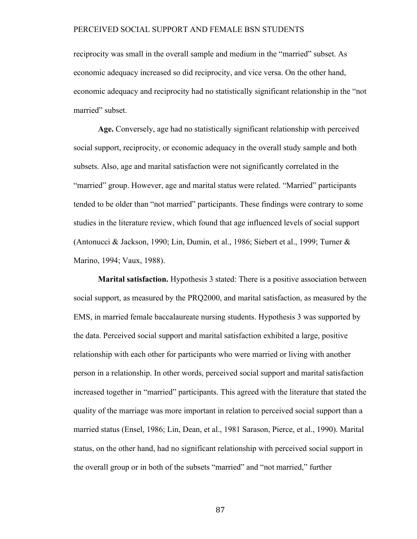reciprocity was small in the overall sample and medium in the "married" subset. As economic adequacy increased so did reciprocity, and vice versa. On the other hand, economic adequacy and reciprocity had no statistically significant relationship in the "not married" subset.

**Age.** Conversely, age had no statistically significant relationship with perceived social support, reciprocity, or economic adequacy in the overall study sample and both subsets. Also, age and marital satisfaction were not significantly correlated in the "married" group. However, age and marital status were related. "Married" participants tended to be older than "not married" participants. These findings were contrary to some studies in the literature review, which found that age influenced levels of social support (Antonucci & Jackson, 1990; Lin, Dumin, et al., 1986; Siebert et al., 1999; Turner & Marino, 1994; Vaux, 1988).

**Marital satisfaction.** Hypothesis 3 stated: There is a positive association between social support, as measured by the PRQ2000, and marital satisfaction, as measured by the EMS, in married female baccalaureate nursing students. Hypothesis 3 was supported by the data. Perceived social support and marital satisfaction exhibited a large, positive relationship with each other for participants who were married or living with another person in a relationship. In other words, perceived social support and marital satisfaction increased together in "married" participants. This agreed with the literature that stated the quality of the marriage was more important in relation to perceived social support than a married status (Ensel, 1986; Lin, Dean, et al., 1981 Sarason, Pierce, et al., 1990). Marital status, on the other hand, had no significant relationship with perceived social support in the overall group or in both of the subsets "married" and "not married," further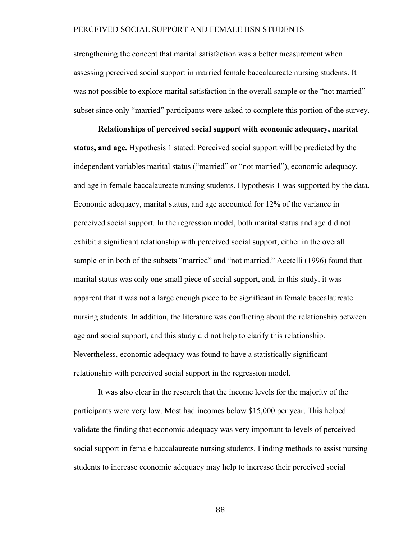strengthening the concept that marital satisfaction was a better measurement when assessing perceived social support in married female baccalaureate nursing students. It was not possible to explore marital satisfaction in the overall sample or the "not married" subset since only "married" participants were asked to complete this portion of the survey.

**Relationships of perceived social support with economic adequacy, marital status, and age.** Hypothesis 1 stated: Perceived social support will be predicted by the independent variables marital status ("married" or "not married"), economic adequacy, and age in female baccalaureate nursing students. Hypothesis 1 was supported by the data. Economic adequacy, marital status, and age accounted for 12% of the variance in perceived social support. In the regression model, both marital status and age did not exhibit a significant relationship with perceived social support, either in the overall sample or in both of the subsets "married" and "not married." Acetelli (1996) found that marital status was only one small piece of social support, and, in this study, it was apparent that it was not a large enough piece to be significant in female baccalaureate nursing students. In addition, the literature was conflicting about the relationship between age and social support, and this study did not help to clarify this relationship. Nevertheless, economic adequacy was found to have a statistically significant relationship with perceived social support in the regression model.

It was also clear in the research that the income levels for the majority of the participants were very low. Most had incomes below \$15,000 per year. This helped validate the finding that economic adequacy was very important to levels of perceived social support in female baccalaureate nursing students. Finding methods to assist nursing students to increase economic adequacy may help to increase their perceived social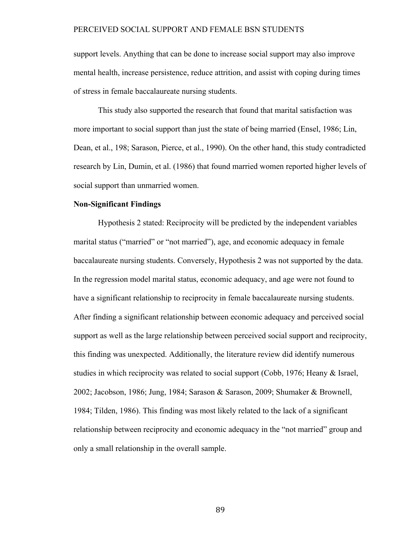support levels. Anything that can be done to increase social support may also improve mental health, increase persistence, reduce attrition, and assist with coping during times of stress in female baccalaureate nursing students.

This study also supported the research that found that marital satisfaction was more important to social support than just the state of being married (Ensel, 1986; Lin, Dean, et al., 198; Sarason, Pierce, et al., 1990). On the other hand, this study contradicted research by Lin, Dumin, et al. (1986) that found married women reported higher levels of social support than unmarried women.

#### **Non-Significant Findings**

Hypothesis 2 stated: Reciprocity will be predicted by the independent variables marital status ("married" or "not married"), age, and economic adequacy in female baccalaureate nursing students. Conversely, Hypothesis 2 was not supported by the data. In the regression model marital status, economic adequacy, and age were not found to have a significant relationship to reciprocity in female baccalaureate nursing students. After finding a significant relationship between economic adequacy and perceived social support as well as the large relationship between perceived social support and reciprocity, this finding was unexpected. Additionally, the literature review did identify numerous studies in which reciprocity was related to social support (Cobb, 1976; Heany & Israel, 2002; Jacobson, 1986; Jung, 1984; Sarason & Sarason, 2009; Shumaker & Brownell, 1984; Tilden, 1986). This finding was most likely related to the lack of a significant relationship between reciprocity and economic adequacy in the "not married" group and only a small relationship in the overall sample.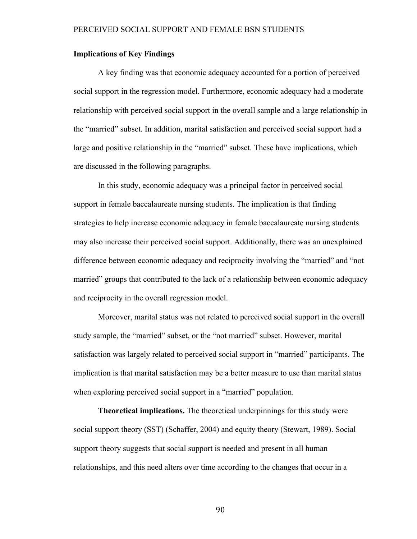#### **Implications of Key Findings**

A key finding was that economic adequacy accounted for a portion of perceived social support in the regression model. Furthermore, economic adequacy had a moderate relationship with perceived social support in the overall sample and a large relationship in the "married" subset. In addition, marital satisfaction and perceived social support had a large and positive relationship in the "married" subset. These have implications, which are discussed in the following paragraphs.

In this study, economic adequacy was a principal factor in perceived social support in female baccalaureate nursing students. The implication is that finding strategies to help increase economic adequacy in female baccalaureate nursing students may also increase their perceived social support. Additionally, there was an unexplained difference between economic adequacy and reciprocity involving the "married" and "not married" groups that contributed to the lack of a relationship between economic adequacy and reciprocity in the overall regression model.

Moreover, marital status was not related to perceived social support in the overall study sample, the "married" subset, or the "not married" subset. However, marital satisfaction was largely related to perceived social support in "married" participants. The implication is that marital satisfaction may be a better measure to use than marital status when exploring perceived social support in a "married" population.

**Theoretical implications.** The theoretical underpinnings for this study were social support theory (SST) (Schaffer, 2004) and equity theory (Stewart, 1989). Social support theory suggests that social support is needed and present in all human relationships, and this need alters over time according to the changes that occur in a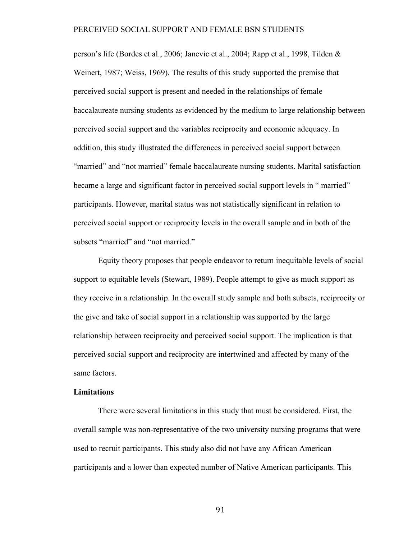person's life (Bordes et al., 2006; Janevic et al., 2004; Rapp et al., 1998, Tilden & Weinert, 1987; Weiss, 1969). The results of this study supported the premise that perceived social support is present and needed in the relationships of female baccalaureate nursing students as evidenced by the medium to large relationship between perceived social support and the variables reciprocity and economic adequacy. In addition, this study illustrated the differences in perceived social support between "married" and "not married" female baccalaureate nursing students. Marital satisfaction became a large and significant factor in perceived social support levels in " married" participants. However, marital status was not statistically significant in relation to perceived social support or reciprocity levels in the overall sample and in both of the subsets "married" and "not married."

Equity theory proposes that people endeavor to return inequitable levels of social support to equitable levels (Stewart, 1989). People attempt to give as much support as they receive in a relationship. In the overall study sample and both subsets, reciprocity or the give and take of social support in a relationship was supported by the large relationship between reciprocity and perceived social support. The implication is that perceived social support and reciprocity are intertwined and affected by many of the same factors.

#### **Limitations**

There were several limitations in this study that must be considered. First, the overall sample was non-representative of the two university nursing programs that were used to recruit participants. This study also did not have any African American participants and a lower than expected number of Native American participants. This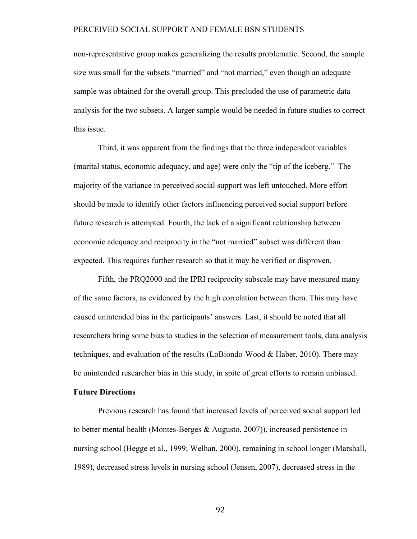non-representative group makes generalizing the results problematic. Second, the sample size was small for the subsets "married" and "not married," even though an adequate sample was obtained for the overall group. This precluded the use of parametric data analysis for the two subsets. A larger sample would be needed in future studies to correct this issue.

Third, it was apparent from the findings that the three independent variables (marital status, economic adequacy, and age) were only the "tip of the iceberg." The majority of the variance in perceived social support was left untouched. More effort should be made to identify other factors influencing perceived social support before future research is attempted. Fourth, the lack of a significant relationship between economic adequacy and reciprocity in the "not married" subset was different than expected. This requires further research so that it may be verified or disproven.

Fifth, the PRQ2000 and the IPRI reciprocity subscale may have measured many of the same factors, as evidenced by the high correlation between them. This may have caused unintended bias in the participants' answers. Last, it should be noted that all researchers bring some bias to studies in the selection of measurement tools, data analysis techniques, and evaluation of the results (LoBiondo-Wood & Haber, 2010). There may be unintended researcher bias in this study, in spite of great efforts to remain unbiased.

### **Future Directions**

Previous research has found that increased levels of perceived social support led to better mental health (Montes-Berges & Augusto, 2007)), increased persistence in nursing school (Hegge et al., 1999; Welhan, 2000), remaining in school longer (Marshall, 1989), decreased stress levels in nursing school (Jensen, 2007), decreased stress in the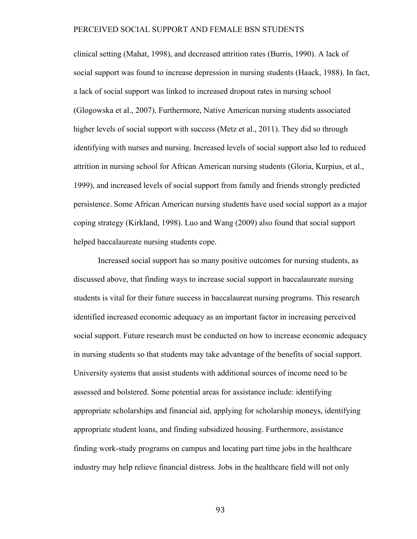clinical setting (Mahat, 1998), and decreased attrition rates (Burris, 1990). A lack of social support was found to increase depression in nursing students (Haack, 1988). In fact, a lack of social support was linked to increased dropout rates in nursing school (Glogowska et al., 2007). Furthermore, Native American nursing students associated higher levels of social support with success (Metz et al., 2011). They did so through identifying with nurses and nursing. Increased levels of social support also led to reduced attrition in nursing school for African American nursing students (Gloria, Kurpius, et al., 1999), and increased levels of social support from family and friends strongly predicted persistence. Some African American nursing students have used social support as a major coping strategy (Kirkland, 1998). Luo and Wang (2009) also found that social support helped baccalaureate nursing students cope.

Increased social support has so many positive outcomes for nursing students, as discussed above, that finding ways to increase social support in baccalaureate nursing students is vital for their future success in baccalaureat nursing programs. This research identified increased economic adequacy as an important factor in increasing perceived social support. Future research must be conducted on how to increase economic adequacy in nursing students so that students may take advantage of the benefits of social support. University systems that assist students with additional sources of income need to be assessed and bolstered. Some potential areas for assistance include: identifying appropriate scholarships and financial aid, applying for scholarship moneys, identifying appropriate student loans, and finding subsidized housing. Furthermore, assistance finding work-study programs on campus and locating part time jobs in the healthcare industry may help relieve financial distress. Jobs in the healthcare field will not only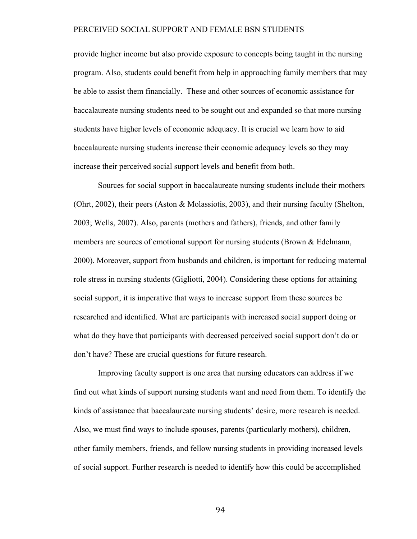provide higher income but also provide exposure to concepts being taught in the nursing program. Also, students could benefit from help in approaching family members that may be able to assist them financially. These and other sources of economic assistance for baccalaureate nursing students need to be sought out and expanded so that more nursing students have higher levels of economic adequacy. It is crucial we learn how to aid baccalaureate nursing students increase their economic adequacy levels so they may increase their perceived social support levels and benefit from both.

Sources for social support in baccalaureate nursing students include their mothers (Ohrt, 2002), their peers (Aston & Molassiotis, 2003), and their nursing faculty (Shelton, 2003; Wells, 2007). Also, parents (mothers and fathers), friends, and other family members are sources of emotional support for nursing students (Brown & Edelmann, 2000). Moreover, support from husbands and children, is important for reducing maternal role stress in nursing students (Gigliotti, 2004). Considering these options for attaining social support, it is imperative that ways to increase support from these sources be researched and identified. What are participants with increased social support doing or what do they have that participants with decreased perceived social support don't do or don't have? These are crucial questions for future research.

Improving faculty support is one area that nursing educators can address if we find out what kinds of support nursing students want and need from them. To identify the kinds of assistance that baccalaureate nursing students' desire, more research is needed. Also, we must find ways to include spouses, parents (particularly mothers), children, other family members, friends, and fellow nursing students in providing increased levels of social support. Further research is needed to identify how this could be accomplished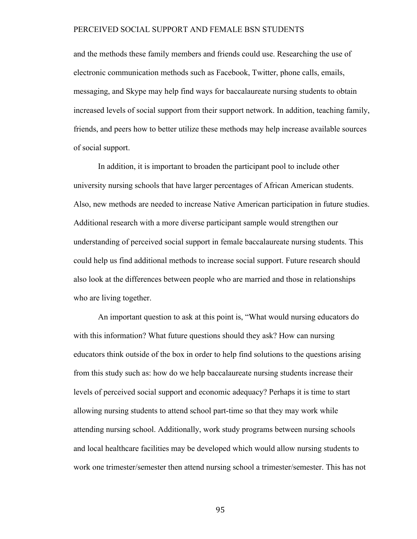and the methods these family members and friends could use. Researching the use of electronic communication methods such as Facebook, Twitter, phone calls, emails, messaging, and Skype may help find ways for baccalaureate nursing students to obtain increased levels of social support from their support network. In addition, teaching family, friends, and peers how to better utilize these methods may help increase available sources of social support.

In addition, it is important to broaden the participant pool to include other university nursing schools that have larger percentages of African American students. Also, new methods are needed to increase Native American participation in future studies. Additional research with a more diverse participant sample would strengthen our understanding of perceived social support in female baccalaureate nursing students. This could help us find additional methods to increase social support. Future research should also look at the differences between people who are married and those in relationships who are living together.

An important question to ask at this point is, "What would nursing educators do with this information? What future questions should they ask? How can nursing educators think outside of the box in order to help find solutions to the questions arising from this study such as: how do we help baccalaureate nursing students increase their levels of perceived social support and economic adequacy? Perhaps it is time to start allowing nursing students to attend school part-time so that they may work while attending nursing school. Additionally, work study programs between nursing schools and local healthcare facilities may be developed which would allow nursing students to work one trimester/semester then attend nursing school a trimester/semester. This has not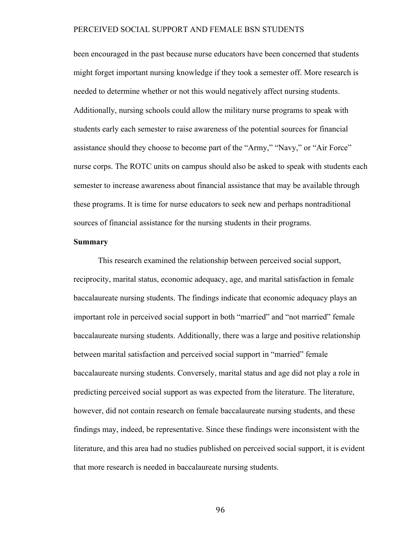been encouraged in the past because nurse educators have been concerned that students might forget important nursing knowledge if they took a semester off. More research is needed to determine whether or not this would negatively affect nursing students. Additionally, nursing schools could allow the military nurse programs to speak with students early each semester to raise awareness of the potential sources for financial assistance should they choose to become part of the "Army," "Navy," or "Air Force" nurse corps. The ROTC units on campus should also be asked to speak with students each semester to increase awareness about financial assistance that may be available through these programs. It is time for nurse educators to seek new and perhaps nontraditional sources of financial assistance for the nursing students in their programs.

### **Summary**

This research examined the relationship between perceived social support, reciprocity, marital status, economic adequacy, age, and marital satisfaction in female baccalaureate nursing students. The findings indicate that economic adequacy plays an important role in perceived social support in both "married" and "not married" female baccalaureate nursing students. Additionally, there was a large and positive relationship between marital satisfaction and perceived social support in "married" female baccalaureate nursing students. Conversely, marital status and age did not play a role in predicting perceived social support as was expected from the literature. The literature, however, did not contain research on female baccalaureate nursing students, and these findings may, indeed, be representative. Since these findings were inconsistent with the literature, and this area had no studies published on perceived social support, it is evident that more research is needed in baccalaureate nursing students.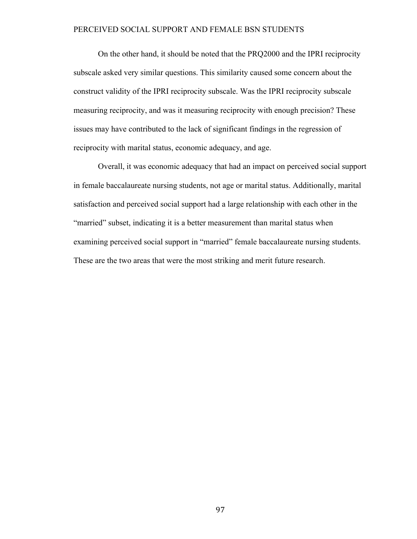On the other hand, it should be noted that the PRQ2000 and the IPRI reciprocity subscale asked very similar questions. This similarity caused some concern about the construct validity of the IPRI reciprocity subscale. Was the IPRI reciprocity subscale measuring reciprocity, and was it measuring reciprocity with enough precision? These issues may have contributed to the lack of significant findings in the regression of reciprocity with marital status, economic adequacy, and age.

Overall, it was economic adequacy that had an impact on perceived social support in female baccalaureate nursing students, not age or marital status. Additionally, marital satisfaction and perceived social support had a large relationship with each other in the "married" subset, indicating it is a better measurement than marital status when examining perceived social support in "married" female baccalaureate nursing students. These are the two areas that were the most striking and merit future research.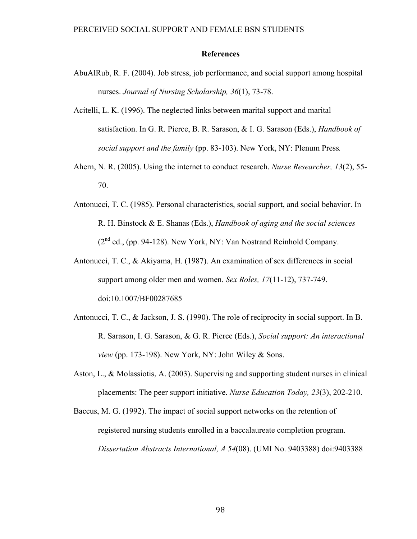#### **References**

- AbuAlRub, R. F. (2004). Job stress, job performance, and social support among hospital nurses. *Journal of Nursing Scholarship, 36*(1), 73-78.
- Acitelli, L. K. (1996). The neglected links between marital support and marital satisfaction. In G. R. Pierce, B. R. Sarason, & I. G. Sarason (Eds.), *Handbook of social support and the family* (pp. 83-103). New York, NY: Plenum Press*.*
- Ahern, N. R. (2005). Using the internet to conduct research. *Nurse Researcher, 13*(2), 55- 70.
- Antonucci, T. C. (1985). Personal characteristics, social support, and social behavior. In R. H. Binstock & E. Shanas (Eds.), *Handbook of aging and the social sciences*   $(2<sup>nd</sup>$  ed., (pp. 94-128). New York, NY: Van Nostrand Reinhold Company.
- Antonucci, T. C., & Akiyama, H. (1987). An examination of sex differences in social support among older men and women. *Sex Roles, 17*(11-12), 737-749. doi:10.1007/BF00287685
- Antonucci, T. C., & Jackson, J. S. (1990). The role of reciprocity in social support. In B. R. Sarason, I. G. Sarason, & G. R. Pierce (Eds.), *Social support: An interactional view* (pp. 173-198). New York, NY: John Wiley & Sons.
- Aston, L., & Molassiotis, A. (2003). Supervising and supporting student nurses in clinical placements: The peer support initiative. *Nurse Education Today, 23*(3), 202-210.
- Baccus, M. G. (1992). The impact of social support networks on the retention of registered nursing students enrolled in a baccalaureate completion program. *Dissertation Abstracts International, A 54*(08). (UMI No. 9403388) doi:9403388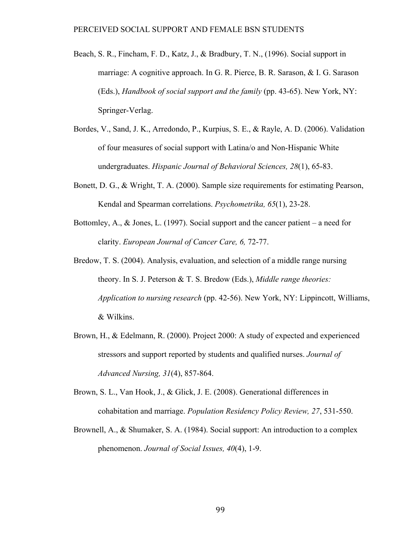- Beach, S. R., Fincham, F. D., Katz, J., & Bradbury, T. N., (1996). Social support in marriage: A cognitive approach. In G. R. Pierce, B. R. Sarason, & I. G. Sarason (Eds.), *Handbook of social support and the family* (pp. 43-65). New York, NY: Springer-Verlag.
- Bordes, V., Sand, J. K., Arredondo, P., Kurpius, S. E., & Rayle, A. D. (2006). Validation of four measures of social support with Latina/o and Non-Hispanic White undergraduates. *Hispanic Journal of Behavioral Sciences, 28*(1), 65-83.
- Bonett, D. G., & Wright, T. A. (2000). Sample size requirements for estimating Pearson, Kendal and Spearman correlations. *Psychometrika, 65*(1), 23-28.
- Bottomley, A., & Jones, L. (1997). Social support and the cancer patient a need for clarity. *European Journal of Cancer Care, 6,* 72-77.
- Bredow, T. S. (2004). Analysis, evaluation, and selection of a middle range nursing theory. In S. J. Peterson & T. S. Bredow (Eds.), *Middle range theories: Application to nursing research* (pp. 42-56). New York, NY: Lippincott, Williams, & Wilkins.
- Brown, H., & Edelmann, R. (2000). Project 2000: A study of expected and experienced stressors and support reported by students and qualified nurses. *Journal of Advanced Nursing, 31*(4), 857-864.
- Brown, S. L., Van Hook, J., & Glick, J. E. (2008). Generational differences in cohabitation and marriage. *Population Residency Policy Review, 27*, 531-550.
- Brownell, A., & Shumaker, S. A. (1984). Social support: An introduction to a complex phenomenon. *Journal of Social Issues, 40*(4), 1-9.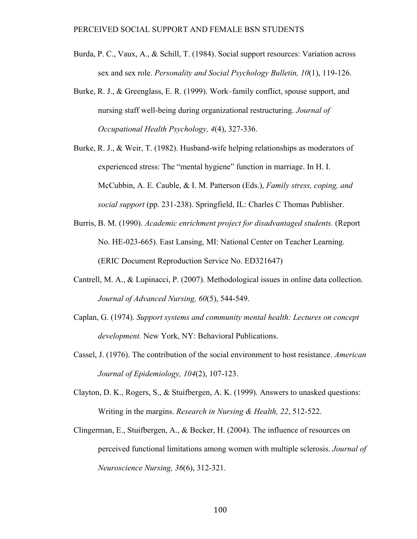- Burda, P. C., Vaux, A., & Schill, T. (1984). Social support resources: Variation across sex and sex role. *Personality and Social Psychology Bulletin, 10*(1), 119-126.
- Burke, R. J., & Greenglass, E. R. (1999). Work–family conflict, spouse support, and nursing staff well-being during organizational restructuring. *Journal of Occupational Health Psychology, 4*(4), 327-336.
- Burke, R. J., & Weir, T. (1982). Husband-wife helping relationships as moderators of experienced stress: The "mental hygiene" function in marriage. In H. I. McCubbin, A. E. Cauble, & I. M. Patterson (Eds.), *Family stress, coping, and social support* (pp. 231-238). Springfield, IL: Charles C Thomas Publisher.
- Burris, B. M. (1990). *Academic enrichment project for disadvantaged students.* (Report No. HE-023-665). East Lansing, MI: National Center on Teacher Learning. (ERIC Document Reproduction Service No. ED321647)
- Cantrell, M. A., & Lupinacci, P. (2007). Methodological issues in online data collection. *Journal of Advanced Nursing, 60*(5), 544-549.
- Caplan, G. (1974). *Support systems and community mental health: Lectures on concept development.* New York, NY: Behavioral Publications.
- Cassel, J. (1976). The contribution of the social environment to host resistance. *American Journal of Epidemiology, 104*(2), 107-123.
- Clayton, D. K., Rogers, S., & Stuifbergen, A. K. (1999). Answers to unasked questions: Writing in the margins. *Research in Nursing & Health, 22*, 512-522.
- Clingerman, E., Stuifbergen, A., & Becker, H. (2004). The influence of resources on perceived functional limitations among women with multiple sclerosis. *Journal of Neuroscience Nursing, 36*(6), 312-321.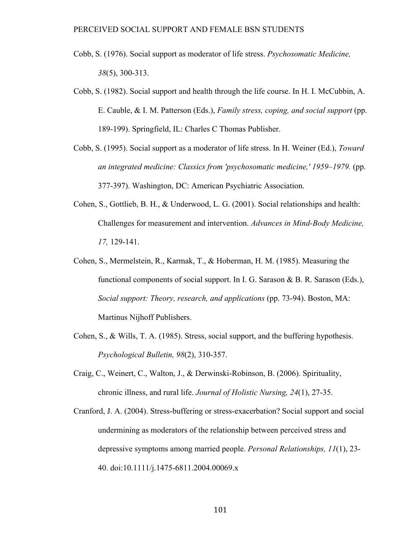- Cobb, S. (1976). Social support as moderator of life stress. *Psychosomatic Medicine, 38*(5), 300-313.
- Cobb, S. (1982). Social support and health through the life course. In H. I. McCubbin, A. E. Cauble, & I. M. Patterson (Eds.), *Family stress, coping, and social support* (pp. 189-199). Springfield, IL: Charles C Thomas Publisher.
- Cobb, S. (1995). Social support as a moderator of life stress. In H. Weiner (Ed.), *Toward an integrated medicine: Classics from 'psychosomatic medicine,' 1959–1979.* (pp. 377-397). Washington, DC: American Psychiatric Association.
- Cohen, S., Gottlieb, B. H., & Underwood, L. G. (2001). Social relationships and health: Challenges for measurement and intervention. *Advances in Mind-Body Medicine, 17,* 129-141.
- Cohen, S., Mermelstein, R., Karmak, T., & Hoberman, H. M. (1985). Measuring the functional components of social support. In I. G. Sarason  $\&$  B. R. Sarason (Eds.), *Social support: Theory, research, and applications* (pp. 73-94). Boston, MA: Martinus Nijhoff Publishers.
- Cohen, S., & Wills, T. A. (1985). Stress, social support, and the buffering hypothesis. *Psychological Bulletin, 98*(2), 310-357.
- Craig, C., Weinert, C., Walton, J., & Derwinski-Robinson, B. (2006). Spirituality, chronic illness, and rural life. *Journal of Holistic Nursing, 24*(1), 27-35.
- Cranford, J. A. (2004). Stress-buffering or stress-exacerbation? Social support and social undermining as moderators of the relationship between perceived stress and depressive symptoms among married people. *Personal Relationships, 11*(1), 23- 40. doi:10.1111/j.1475-6811.2004.00069.x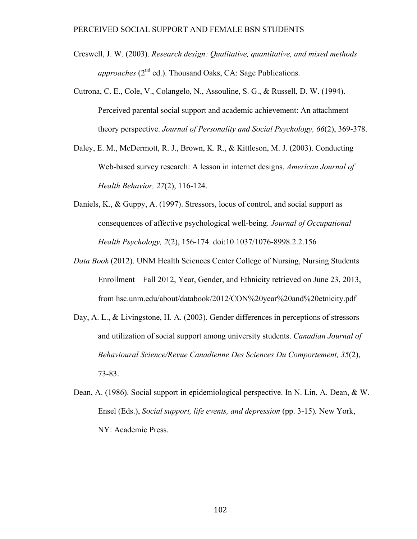- Creswell, J. W. (2003). *Research design: Qualitative, quantitative, and mixed methods approaches* (2<sup>nd</sup> ed.). Thousand Oaks, CA: Sage Publications.
- Cutrona, C. E., Cole, V., Colangelo, N., Assouline, S. G., & Russell, D. W. (1994). Perceived parental social support and academic achievement: An attachment theory perspective. *Journal of Personality and Social Psychology, 66*(2), 369-378.
- Daley, E. M., McDermott, R. J., Brown, K. R., & Kittleson, M. J. (2003). Conducting Web-based survey research: A lesson in internet designs. *American Journal of Health Behavior, 27*(2), 116-124.
- Daniels, K., & Guppy, A. (1997). Stressors, locus of control, and social support as consequences of affective psychological well-being. *Journal of Occupational Health Psychology, 2*(2), 156-174. doi:10.1037/1076-8998.2.2.156
- *Data Book* (2012). UNM Health Sciences Center College of Nursing, Nursing Students Enrollment – Fall 2012, Year, Gender, and Ethnicity retrieved on June 23, 2013, from hsc.unm.edu/about/databook/2012/CON%20year%20and%20etnicity.pdf
- Day, A. L., & Livingstone, H. A. (2003). Gender differences in perceptions of stressors and utilization of social support among university students. *Canadian Journal of Behavioural Science/Revue Canadienne Des Sciences Du Comportement, 35*(2), 73-83.
- Dean, A. (1986). Social support in epidemiological perspective. In N. Lin, A. Dean, & W. Ensel (Eds.), *Social support, life events, and depression* (pp. 3-15)*.* New York, NY: Academic Press.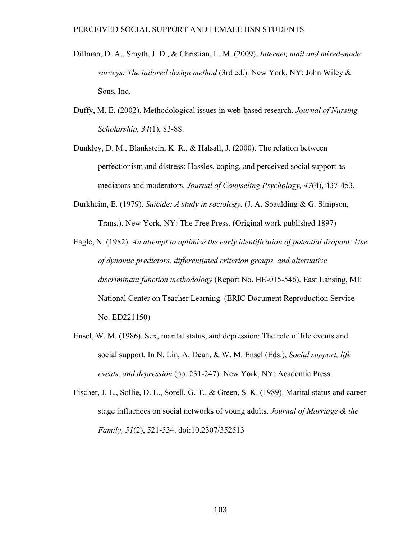- Dillman, D. A., Smyth, J. D., & Christian, L. M. (2009). *Internet, mail and mixed-mode surveys: The tailored design method* (3rd ed.). New York, NY: John Wiley & Sons, Inc.
- Duffy, M. E. (2002). Methodological issues in web-based research. *Journal of Nursing Scholarship, 34*(1), 83-88.
- Dunkley, D. M., Blankstein, K. R., & Halsall, J. (2000). The relation between perfectionism and distress: Hassles, coping, and perceived social support as mediators and moderators. *Journal of Counseling Psychology, 47*(4), 437-453.
- Durkheim, E. (1979). *Suicide: A study in sociology.* (J. A. Spaulding & G. Simpson, Trans.). New York, NY: The Free Press. (Original work published 1897)
- Eagle, N. (1982). *An attempt to optimize the early identification of potential dropout: Use of dynamic predictors, differentiated criterion groups, and alternative discriminant function methodology* (Report No. HE-015-546). East Lansing, MI: National Center on Teacher Learning. (ERIC Document Reproduction Service No. ED221150)
- Ensel, W. M. (1986). Sex, marital status, and depression: The role of life events and social support. In N. Lin, A. Dean, & W. M. Ensel (Eds.), *Social support, life events, and depression* (pp. 231-247). New York, NY: Academic Press.
- Fischer, J. L., Sollie, D. L., Sorell, G. T., & Green, S. K. (1989). Marital status and career stage influences on social networks of young adults. *Journal of Marriage & the Family, 51*(2), 521-534. doi:10.2307/352513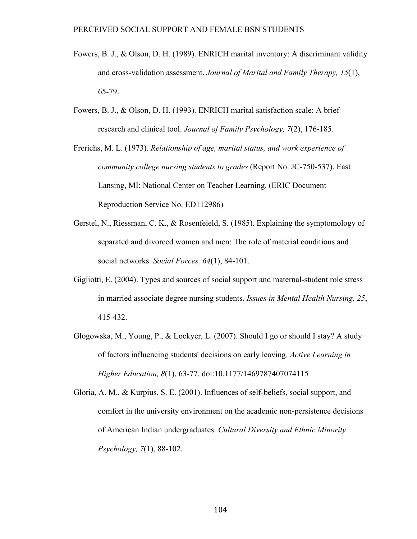- Fowers, B. J., & Olson, D. H. (1989). ENRICH marital inventory: A discriminant validity and cross-validation assessment. *Journal of Marital and Family Therapy, 15*(1), 65-79.
- Fowers, B. J., & Olson, D. H. (1993). ENRICH marital satisfaction scale: A brief research and clinical tool. *Journal of Family Psychology, 7*(2), 176-185.
- Frerichs, M. L. (1973). *Relationship of age, marital status, and work experience of community college nursing students to grades* (Report No. JC-750-537). East Lansing, MI: National Center on Teacher Learning. (ERIC Document Reproduction Service No. ED112986)
- Gerstel, N., Riessman, C. K., & Rosenfeield, S. (1985). Explaining the symptomology of separated and divorced women and men: The role of material conditions and social networks. *Social Forces, 64*(1), 84-101.
- Gigliotti, E. (2004). Types and sources of social support and maternal-student role stress in married associate degree nursing students. *Issues in Mental Health Nursing, 25*, 415-432.
- Glogowska, M., Young, P., & Lockyer, L. (2007). Should I go or should I stay? A study of factors influencing students' decisions on early leaving. *Active Learning in Higher Education, 8*(1), 63-77. doi:10.1177/1469787407074115

Gloria, A. M., & Kurpius, S. E. (2001). Influences of self-beliefs, social support, and comfort in the university environment on the academic non-persistence decisions of American Indian undergraduates. *Cultural Diversity and Ethnic Minority Psychology, 7*(1), 88-102.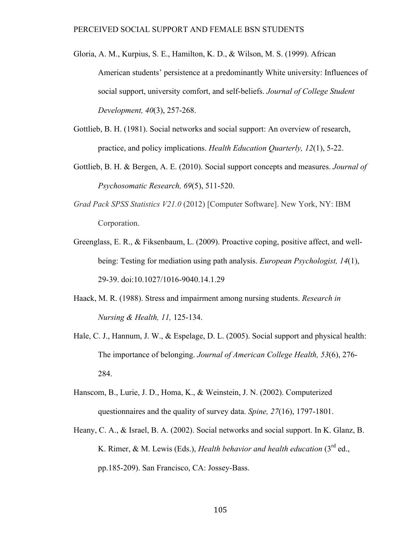- Gloria, A. M., Kurpius, S. E., Hamilton, K. D., & Wilson, M. S. (1999). African American students' persistence at a predominantly White university: Influences of social support, university comfort, and self-beliefs. *Journal of College Student Development, 40*(3), 257-268.
- Gottlieb, B. H. (1981). Social networks and social support: An overview of research, practice, and policy implications. *Health Education Quarterly, 12*(1), 5-22.
- Gottlieb, B. H. & Bergen, A. E. (2010). Social support concepts and measures. *Journal of Psychosomatic Research, 69*(5), 511-520.
- *Grad Pack SPSS Statistics V21.0* (2012) [Computer Software]. New York, NY: IBM Corporation.
- Greenglass, E. R., & Fiksenbaum, L. (2009). Proactive coping, positive affect, and wellbeing: Testing for mediation using path analysis. *European Psychologist, 14*(1), 29-39. doi:10.1027/1016-9040.14.1.29
- Haack, M. R. (1988). Stress and impairment among nursing students. *Research in Nursing & Health, 11,* 125-134.
- Hale, C. J., Hannum, J. W., & Espelage, D. L. (2005). Social support and physical health: The importance of belonging. *Journal of American College Health, 53*(6), 276- 284.
- Hanscom, B., Lurie, J. D., Homa, K., & Weinstein, J. N. (2002). Computerized questionnaires and the quality of survey data. *Spine, 27*(16), 1797-1801.
- Heany, C. A., & Israel, B. A. (2002). Social networks and social support. In K. Glanz, B. K. Rimer, & M. Lewis (Eds.), *Health behavior and health education* (3<sup>rd</sup> ed., pp.185-209). San Francisco, CA: Jossey-Bass.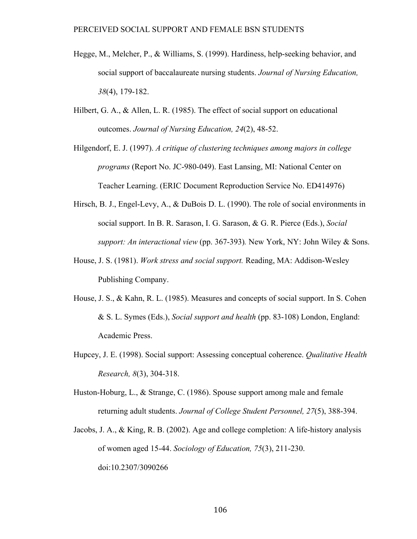- Hegge, M., Melcher, P., & Williams, S. (1999). Hardiness, help-seeking behavior, and social support of baccalaureate nursing students. *Journal of Nursing Education, 38*(4), 179-182.
- Hilbert, G. A., & Allen, L. R. (1985). The effect of social support on educational outcomes. *Journal of Nursing Education, 24*(2), 48-52.
- Hilgendorf, E. J. (1997). *A critique of clustering techniques among majors in college programs* (Report No. JC-980-049). East Lansing, MI: National Center on Teacher Learning. (ERIC Document Reproduction Service No. ED414976)
- Hirsch, B. J., Engel-Levy, A., & DuBois D. L. (1990). The role of social environments in social support. In B. R. Sarason, I. G. Sarason, & G. R. Pierce (Eds.), *Social support: An interactional view* (pp. 367-393)*.* New York, NY: John Wiley & Sons.
- House, J. S. (1981). *Work stress and social support.* Reading, MA: Addison-Wesley Publishing Company.
- House, J. S., & Kahn, R. L. (1985). Measures and concepts of social support. In S. Cohen & S. L. Symes (Eds.), *Social support and health* (pp. 83-108) London, England: Academic Press.
- Hupcey, J. E. (1998). Social support: Assessing conceptual coherence. *Qualitative Health Research, 8*(3), 304-318.
- Huston-Hoburg, L., & Strange, C. (1986). Spouse support among male and female returning adult students. *Journal of College Student Personnel, 27*(5), 388-394.
- Jacobs, J. A., & King, R. B. (2002). Age and college completion: A life-history analysis of women aged 15-44. *Sociology of Education, 75*(3), 211-230. doi:10.2307/3090266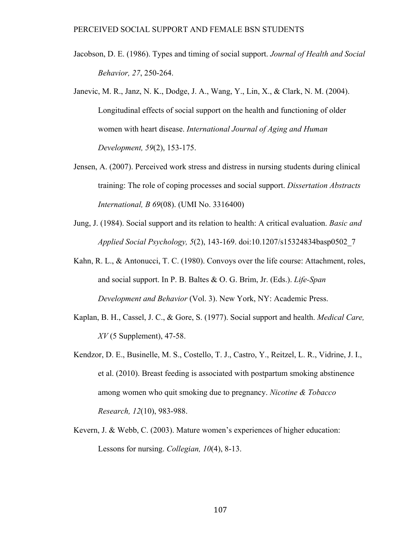- Jacobson, D. E. (1986). Types and timing of social support. *Journal of Health and Social Behavior, 27*, 250-264.
- Janevic, M. R., Janz, N. K., Dodge, J. A., Wang, Y., Lin, X., & Clark, N. M. (2004). Longitudinal effects of social support on the health and functioning of older women with heart disease. *International Journal of Aging and Human Development, 59*(2), 153-175.
- Jensen, A. (2007). Perceived work stress and distress in nursing students during clinical training: The role of coping processes and social support. *Dissertation Abstracts International, B 69*(08). (UMI No. 3316400)
- Jung, J. (1984). Social support and its relation to health: A critical evaluation. *Basic and Applied Social Psychology, 5*(2), 143-169. doi:10.1207/s15324834basp0502\_7
- Kahn, R. L., & Antonucci, T. C. (1980). Convoys over the life course: Attachment, roles, and social support. In P. B. Baltes & O. G. Brim, Jr. (Eds.). *Life-Span Development and Behavior* (Vol. 3). New York, NY: Academic Press.
- Kaplan, B. H., Cassel, J. C., & Gore, S. (1977). Social support and health. *Medical Care, XV* (5 Supplement), 47-58.
- Kendzor, D. E., Businelle, M. S., Costello, T. J., Castro, Y., Reitzel, L. R., Vidrine, J. I., et al. (2010). Breast feeding is associated with postpartum smoking abstinence among women who quit smoking due to pregnancy. *Nicotine & Tobacco Research, 12*(10), 983-988.
- Kevern, J. & Webb, C. (2003). Mature women's experiences of higher education: Lessons for nursing. *Collegian, 10*(4), 8-13.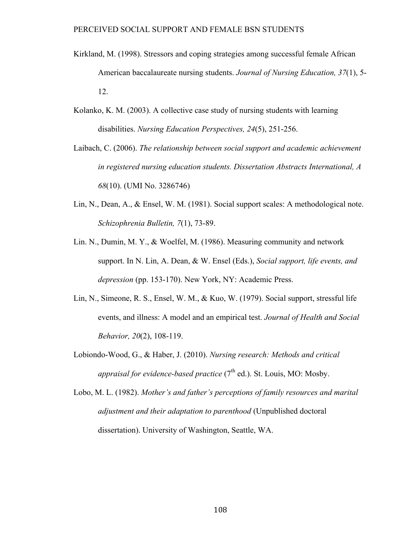- Kirkland, M. (1998). Stressors and coping strategies among successful female African American baccalaureate nursing students. *Journal of Nursing Education, 37*(1), 5- 12.
- Kolanko, K. M. (2003). A collective case study of nursing students with learning disabilities. *Nursing Education Perspectives, 24*(5), 251-256.
- Laibach, C. (2006). *The relationship between social support and academic achievement in registered nursing education students. Dissertation Abstracts International, A 68*(10). (UMI No. 3286746)
- Lin, N., Dean, A., & Ensel, W. M. (1981). Social support scales: A methodological note. *Schizophrenia Bulletin, 7*(1), 73-89.
- Lin. N., Dumin, M. Y., & Woelfel, M. (1986). Measuring community and network support. In N. Lin, A. Dean, & W. Ensel (Eds.), *Social support, life events, and depression* (pp. 153-170). New York, NY: Academic Press.
- Lin, N., Simeone, R. S., Ensel, W. M., & Kuo, W. (1979). Social support, stressful life events, and illness: A model and an empirical test. *Journal of Health and Social Behavior, 20*(2), 108-119.
- Lobiondo-Wood, G., & Haber, J. (2010). *Nursing research: Methods and critical appraisal for evidence-based practice*  $(7<sup>th</sup>$  ed.). St. Louis, MO: Mosby.
- Lobo, M. L. (1982). *Mother's and father's perceptions of family resources and marital adjustment and their adaptation to parenthood* (Unpublished doctoral dissertation). University of Washington, Seattle, WA.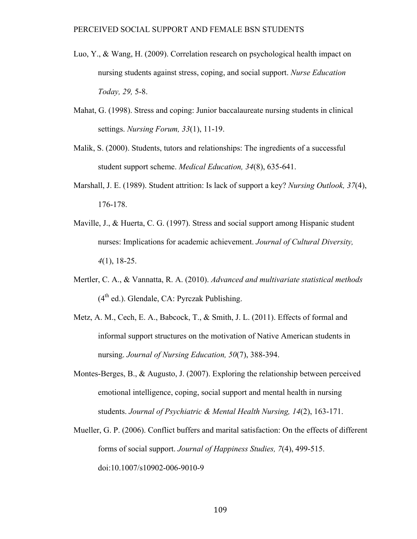- Luo, Y., & Wang, H. (2009). Correlation research on psychological health impact on nursing students against stress, coping, and social support. *Nurse Education Today, 29,* 5-8.
- Mahat, G. (1998). Stress and coping: Junior baccalaureate nursing students in clinical settings. *Nursing Forum, 33*(1), 11-19.
- Malik, S. (2000). Students, tutors and relationships: The ingredients of a successful student support scheme. *Medical Education, 34*(8), 635-641.
- Marshall, J. E. (1989). Student attrition: Is lack of support a key? *Nursing Outlook, 37*(4), 176-178.
- Maville, J., & Huerta, C. G. (1997). Stress and social support among Hispanic student nurses: Implications for academic achievement. *Journal of Cultural Diversity, 4*(1), 18-25.
- Mertler, C. A., & Vannatta, R. A. (2010). *Advanced and multivariate statistical methods*   $(4<sup>th</sup>$  ed.). Glendale, CA: Pyrczak Publishing.
- Metz, A. M., Cech, E. A., Babcock, T., & Smith, J. L. (2011). Effects of formal and informal support structures on the motivation of Native American students in nursing. *Journal of Nursing Education, 50*(7), 388-394.
- Montes-Berges, B., & Augusto, J. (2007). Exploring the relationship between perceived emotional intelligence, coping, social support and mental health in nursing students. *Journal of Psychiatric & Mental Health Nursing, 14*(2), 163-171.
- Mueller, G. P. (2006). Conflict buffers and marital satisfaction: On the effects of different forms of social support. *Journal of Happiness Studies, 7*(4), 499-515. doi:10.1007/s10902-006-9010-9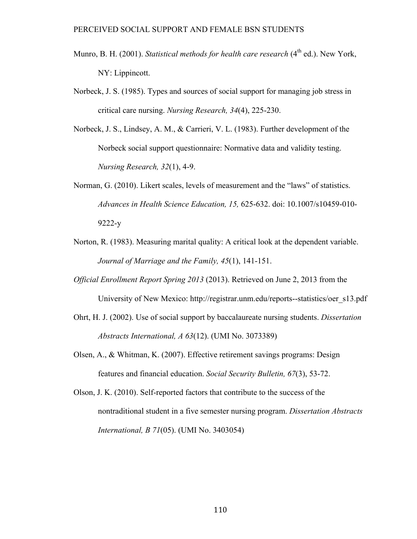- Munro, B. H. (2001). *Statistical methods for health care research* (4<sup>th</sup> ed.). New York, NY: Lippincott.
- Norbeck, J. S. (1985). Types and sources of social support for managing job stress in critical care nursing. *Nursing Research, 34*(4), 225-230.
- Norbeck, J. S., Lindsey, A. M., & Carrieri, V. L. (1983). Further development of the Norbeck social support questionnaire: Normative data and validity testing. *Nursing Research, 32*(1), 4-9.
- Norman, G. (2010). Likert scales, levels of measurement and the "laws" of statistics. *Advances in Health Science Education, 15,* 625-632. doi: 10.1007/s10459-010- 9222-y
- Norton, R. (1983). Measuring marital quality: A critical look at the dependent variable. *Journal of Marriage and the Family, 45*(1), 141-151.
- *Official Enrollment Report Spring 2013* (2013). Retrieved on June 2, 2013 from the University of New Mexico: http://registrar.unm.edu/reports--statistics/oer\_s13.pdf
- Ohrt, H. J. (2002). Use of social support by baccalaureate nursing students. *Dissertation Abstracts International, A 63*(12). (UMI No. 3073389)
- Olsen, A., & Whitman, K. (2007). Effective retirement savings programs: Design features and financial education. *Social Security Bulletin, 67*(3), 53-72.
- Olson, J. K. (2010). Self-reported factors that contribute to the success of the nontraditional student in a five semester nursing program. *Dissertation Abstracts International, B 71*(05). (UMI No. 3403054)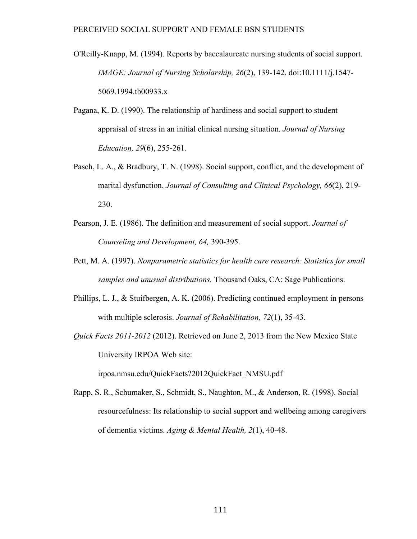- O'Reilly-Knapp, M. (1994). Reports by baccalaureate nursing students of social support. *IMAGE: Journal of Nursing Scholarship, 26*(2), 139-142. doi:10.1111/j.1547- 5069.1994.tb00933.x
- Pagana, K. D. (1990). The relationship of hardiness and social support to student appraisal of stress in an initial clinical nursing situation. *Journal of Nursing Education, 29*(6), 255-261.
- Pasch, L. A., & Bradbury, T. N. (1998). Social support, conflict, and the development of marital dysfunction. *Journal of Consulting and Clinical Psychology, 66*(2), 219- 230.
- Pearson, J. E. (1986). The definition and measurement of social support. *Journal of Counseling and Development, 64,* 390-395.
- Pett, M. A. (1997). *Nonparametric statistics for health care research: Statistics for small samples and unusual distributions.* Thousand Oaks, CA: Sage Publications.
- Phillips, L. J., & Stuifbergen, A. K. (2006). Predicting continued employment in persons with multiple sclerosis. *Journal of Rehabilitation, 72*(1), 35-43.
- *Quick Facts 2011-2012* (2012). Retrieved on June 2, 2013 from the New Mexico State University IRPOA Web site:

irpoa.nmsu.edu/QuickFacts?2012QuickFact\_NMSU.pdf

Rapp, S. R., Schumaker, S., Schmidt, S., Naughton, M., & Anderson, R. (1998). Social resourcefulness: Its relationship to social support and wellbeing among caregivers of dementia victims. *Aging & Mental Health, 2*(1), 40-48.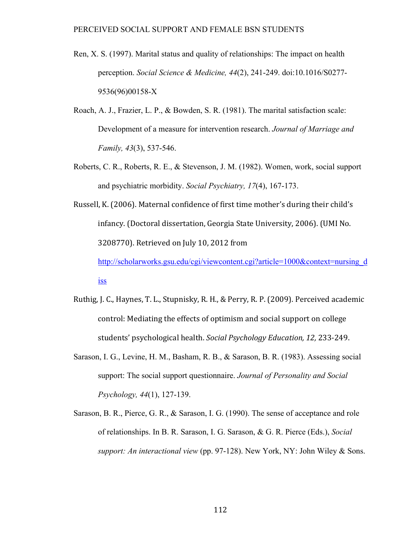- Ren, X. S. (1997). Marital status and quality of relationships: The impact on health perception. *Social Science & Medicine, 44*(2), 241-249. doi:10.1016/S0277- 9536(96)00158-X
- Roach, A. J., Frazier, L. P., & Bowden, S. R. (1981). The marital satisfaction scale: Development of a measure for intervention research. *Journal of Marriage and Family, 43*(3), 537-546.
- Roberts, C. R., Roberts, R. E., & Stevenson, J. M. (1982). Women, work, social support and psychiatric morbidity. *Social Psychiatry, 17*(4), 167-173.

Russell, K. (2006). Maternal confidence of first time mother's during their child's infancy. (Doctoral dissertation, Georgia State University, 2006). (UMI No. 3208770). Retrieved on July 10, 2012 from http://scholarworks.gsu.edu/cgi/viewcontent.cgi?article=1000&context=nursing\_d

iss

- Ruthig, J. C., Haynes, T. L., Stupnisky, R. H., & Perry, R. P. (2009). Perceived academic control: Mediating the effects of optimism and social support on college students' psychological health. *Social Psychology Education, 12, 233-249.*
- Sarason, I. G., Levine, H. M., Basham, R. B., & Sarason, B. R. (1983). Assessing social support: The social support questionnaire. *Journal of Personality and Social Psychology, 44*(1), 127-139.
- Sarason, B. R., Pierce, G. R., & Sarason, I. G. (1990). The sense of acceptance and role of relationships. In B. R. Sarason, I. G. Sarason, & G. R. Pierce (Eds.), *Social support: An interactional view* (pp. 97-128). New York, NY: John Wiley & Sons.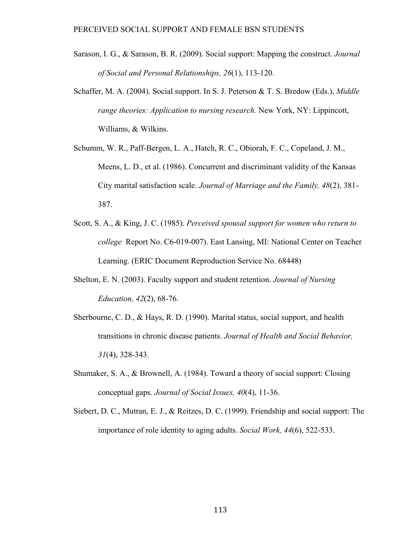- Sarason, I. G., & Sarason, B. R. (2009). Social support: Mapping the construct. *Journal of Social and Personal Relationships, 26*(1), 113-120.
- Schaffer, M. A. (2004). Social support. In S. J. Peterson & T. S. Bredow (Eds.), *Middle range theories: Application to nursing research.* New York, NY: Lippincott, Williams, & Wilkins.
- Schumm, W. R., Paff-Bergen, L. A., Hatch, R. C., Obiorah, F. C., Copeland, J. M., Meens, L. D., et al. (1986). Concurrent and discriminant validity of the Kansas City marital satisfaction scale. *Journal of Marriage and the Family, 48*(2), 381- 387.
- Scott, S. A., & King, J. C. (1985). *Perceived spousal support for women who return to college* Report No. C6-019-007). East Lansing, MI: National Center on Teacher Learning. (ERIC Document Reproduction Service No. 68448)
- Shelton, E. N. (2003). Faculty support and student retention. *Journal of Nursing Education, 42*(2), 68-76.
- Sherbourne, C. D., & Hays, R. D. (1990). Marital status, social support, and health transitions in chronic disease patients. *Journal of Health and Social Behavior, 31*(4), 328-343.
- Shumaker, S. A., & Brownell, A. (1984). Toward a theory of social support: Closing conceptual gaps. *Journal of Social Issues, 40*(4), 11-36.
- Siebert, D. C., Mutran, E. J., & Reitzes, D. C. (1999). Friendship and social support: The importance of role identity to aging adults. *Social Work, 44*(6), 522-533.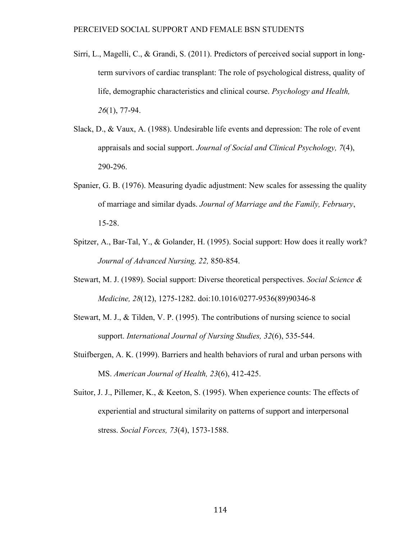- Sirri, L., Magelli, C., & Grandi, S. (2011). Predictors of perceived social support in longterm survivors of cardiac transplant: The role of psychological distress, quality of life, demographic characteristics and clinical course. *Psychology and Health, 26*(1), 77-94.
- Slack, D., & Vaux, A. (1988). Undesirable life events and depression: The role of event appraisals and social support. *Journal of Social and Clinical Psychology, 7*(4), 290-296.
- Spanier, G. B. (1976). Measuring dyadic adjustment: New scales for assessing the quality of marriage and similar dyads. *Journal of Marriage and the Family, February*, 15-28.
- Spitzer, A., Bar-Tal, Y., & Golander, H. (1995). Social support: How does it really work? *Journal of Advanced Nursing, 22,* 850-854.
- Stewart, M. J. (1989). Social support: Diverse theoretical perspectives. *Social Science & Medicine, 28*(12), 1275-1282. doi:10.1016/0277-9536(89)90346-8
- Stewart, M. J., & Tilden, V. P. (1995). The contributions of nursing science to social support. *International Journal of Nursing Studies, 32*(6), 535-544.
- Stuifbergen, A. K. (1999). Barriers and health behaviors of rural and urban persons with MS. *American Journal of Health, 23*(6), 412-425.
- Suitor, J. J., Pillemer, K., & Keeton, S. (1995). When experience counts: The effects of experiential and structural similarity on patterns of support and interpersonal stress. *Social Forces, 73*(4), 1573-1588.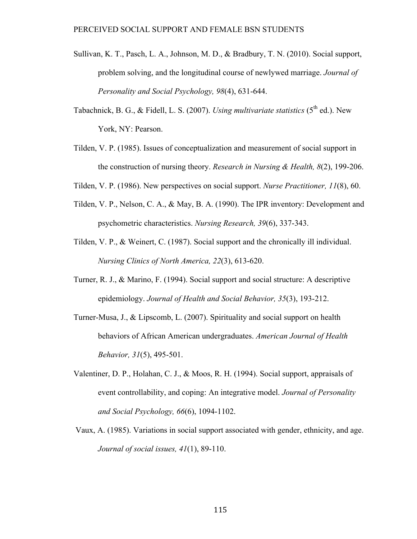- Sullivan, K. T., Pasch, L. A., Johnson, M. D., & Bradbury, T. N. (2010). Social support, problem solving, and the longitudinal course of newlywed marriage. *Journal of Personality and Social Psychology, 98*(4), 631-644.
- Tabachnick, B. G., & Fidell, L. S. (2007). *Using multivariate statistics* (5<sup>th</sup> ed.). New York, NY: Pearson.
- Tilden, V. P. (1985). Issues of conceptualization and measurement of social support in the construction of nursing theory. *Research in Nursing & Health, 8*(2), 199-206.
- Tilden, V. P. (1986). New perspectives on social support. *Nurse Practitioner, 11*(8), 60.
- Tilden, V. P., Nelson, C. A., & May, B. A. (1990). The IPR inventory: Development and psychometric characteristics. *Nursing Research, 39*(6), 337-343.
- Tilden, V. P., & Weinert, C. (1987). Social support and the chronically ill individual. *Nursing Clinics of North America, 22*(3), 613-620.
- Turner, R. J., & Marino, F. (1994). Social support and social structure: A descriptive epidemiology. *Journal of Health and Social Behavior, 35*(3), 193-212.
- Turner-Musa, J., & Lipscomb, L. (2007). Spirituality and social support on health behaviors of African American undergraduates. *American Journal of Health Behavior, 31*(5), 495-501.
- Valentiner, D. P., Holahan, C. J., & Moos, R. H. (1994). Social support, appraisals of event controllability, and coping: An integrative model. *Journal of Personality and Social Psychology, 66*(6), 1094-1102.
- Vaux, A. (1985). Variations in social support associated with gender, ethnicity, and age. *Journal of social issues, 41*(1), 89-110.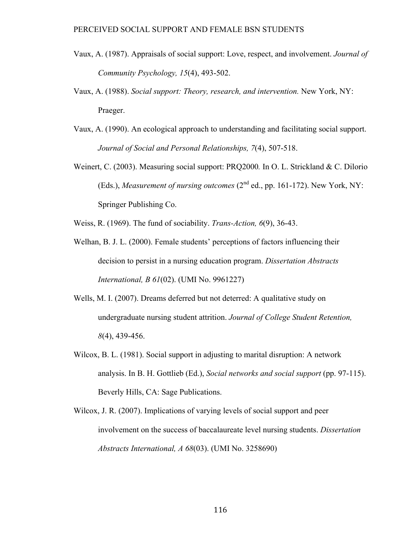- Vaux, A. (1987). Appraisals of social support: Love, respect, and involvement. *Journal of Community Psychology, 15*(4), 493-502.
- Vaux, A. (1988). *Social support: Theory, research, and intervention.* New York, NY: Praeger.
- Vaux, A. (1990). An ecological approach to understanding and facilitating social support. *Journal of Social and Personal Relationships, 7*(4), 507-518.
- Weinert, C. (2003). Measuring social support: PRQ2000*.* In O. L. Strickland & C. Dilorio (Eds.), *Measurement of nursing outcomes* (2<sup>nd</sup> ed., pp. 161-172). New York, NY: Springer Publishing Co.
- Weiss, R. (1969). The fund of sociability. *Trans-Action, 6*(9), 36-43.
- Welhan, B. J. L. (2000). Female students' perceptions of factors influencing their decision to persist in a nursing education program. *Dissertation Abstracts International, B 61*(02). (UMI No. 9961227)
- Wells, M. I. (2007). Dreams deferred but not deterred: A qualitative study on undergraduate nursing student attrition. *Journal of College Student Retention, 8*(4), 439-456.
- Wilcox, B. L. (1981). Social support in adjusting to marital disruption: A network analysis. In B. H. Gottlieb (Ed.), *Social networks and social support* (pp. 97-115). Beverly Hills, CA: Sage Publications.
- Wilcox, J. R. (2007). Implications of varying levels of social support and peer involvement on the success of baccalaureate level nursing students. *Dissertation Abstracts International, A 68*(03). (UMI No. 3258690)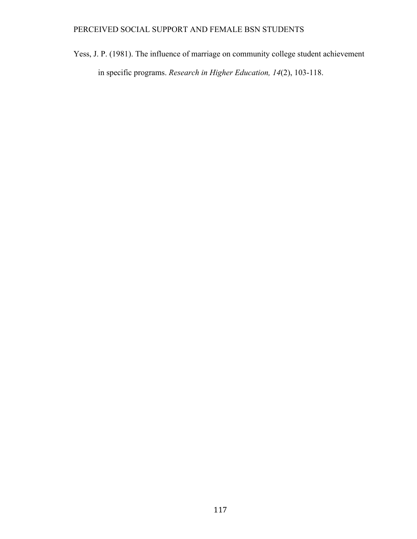Yess, J. P. (1981). The influence of marriage on community college student achievement in specific programs. *Research in Higher Education, 14*(2), 103-118.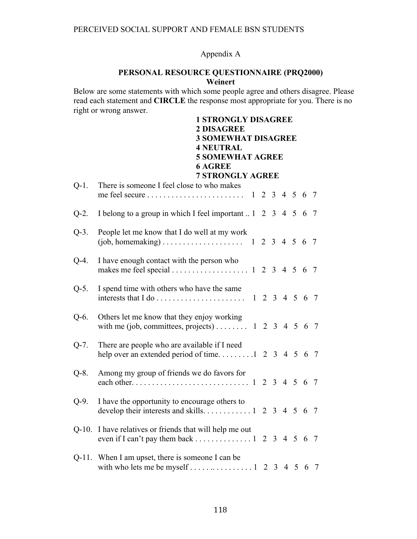# Appendix A

## **PERSONAL RESOURCE QUESTIONNAIRE (PRQ2000) Weinert**

Below are some statements with which some people agree and others disagree. Please read each statement and **CIRCLE** the response most appropriate for you. There is no right or wrong answer.

|          | <b>1 STRONGLY DISAGREE</b><br><b>2 DISAGREE</b><br><b>3 SOMEWHAT DISAGREE</b><br><b>4 NEUTRAL</b><br><b>5 SOMEWHAT AGREE</b><br><b>6 AGREE</b><br><b>7 STRONGLY AGREE</b> |  |  |  |  |  |  |  |  |  |
|----------|---------------------------------------------------------------------------------------------------------------------------------------------------------------------------|--|--|--|--|--|--|--|--|--|
| $Q-1$ .  | There is someone I feel close to who makes                                                                                                                                |  |  |  |  |  |  |  |  |  |
|          |                                                                                                                                                                           |  |  |  |  |  |  |  |  |  |
| $Q-2$ .  | I belong to a group in which I feel important  1 2 3 4 5 6 7                                                                                                              |  |  |  |  |  |  |  |  |  |
| $Q-3$ .  | People let me know that I do well at my work                                                                                                                              |  |  |  |  |  |  |  |  |  |
| $Q-4$ .  | I have enough contact with the person who                                                                                                                                 |  |  |  |  |  |  |  |  |  |
| $Q-5.$   | I spend time with others who have the same                                                                                                                                |  |  |  |  |  |  |  |  |  |
| $Q-6$ .  | Others let me know that they enjoy working<br>with me (job, committees, projects) 1 2 3 4 5 6 7                                                                           |  |  |  |  |  |  |  |  |  |
| $Q-7.$   | There are people who are available if I need<br>help over an extended period of time 2 3 4 5 6 7                                                                          |  |  |  |  |  |  |  |  |  |
| $Q-8$ .  | Among my group of friends we do favors for                                                                                                                                |  |  |  |  |  |  |  |  |  |
| $Q-9.$   | I have the opportunity to encourage others to                                                                                                                             |  |  |  |  |  |  |  |  |  |
| $Q-10$ . | I have relatives or friends that will help me out                                                                                                                         |  |  |  |  |  |  |  |  |  |
|          | Q-11. When I am upset, there is someone I can be<br>with who lets me be myself 1 2 3 4 5 6 7                                                                              |  |  |  |  |  |  |  |  |  |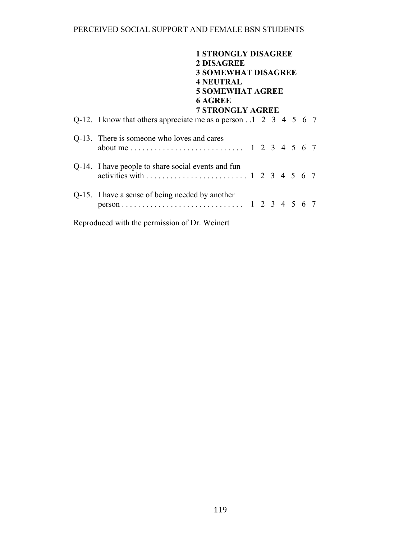| <b>1 STRONGLY DISAGREE</b>                                           |  |  |  |  |  |  |
|----------------------------------------------------------------------|--|--|--|--|--|--|
| 2 DISAGREE<br><b>3 SOMEWHAT DISAGREE</b><br><b>4 NEUTRAL</b>         |  |  |  |  |  |  |
| <b>5 SOMEWHAT AGREE</b><br><b>6 AGREE</b><br><b>7 STRONGLY AGREE</b> |  |  |  |  |  |  |
| Q-12. I know that others appreciate me as a person1 2 3 4 5 6 7      |  |  |  |  |  |  |
| Q-13. There is someone who loves and cares                           |  |  |  |  |  |  |
| Q-14. I have people to share social events and fun                   |  |  |  |  |  |  |
| Q-15. I have a sense of being needed by another                      |  |  |  |  |  |  |
| Reproduced with the permission of Dr. Weinert                        |  |  |  |  |  |  |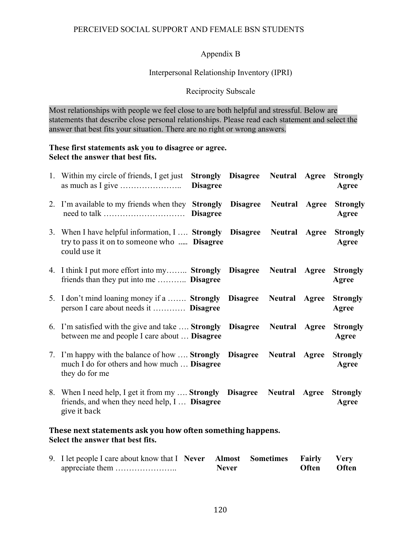## Appendix B

## Interpersonal Relationship Inventory (IPRI)

## Reciprocity Subscale

Most relationships with people we feel close to are both helpful and stressful. Below are statements that describe close personal relationships. Please read each statement and select the answer that best fits your situation. There are no right or wrong answers.

### **These first statements ask you to disagree or agree. Select the answer that best fits.**

|                                                            | 1. Within my circle of friends, I get just <b>Strongly Disagree Neutral Agree</b><br>as much as I give $\dots \dots \dots \dots \dots \dots$ | <b>Disagree</b> |                  |                      |       | <b>Strongly</b><br>Agree |  |  |
|------------------------------------------------------------|----------------------------------------------------------------------------------------------------------------------------------------------|-----------------|------------------|----------------------|-------|--------------------------|--|--|
|                                                            | 2. I'm available to my friends when they <b>Strongly Disagree</b>                                                                            |                 |                  | <b>Neutral Agree</b> |       | <b>Strongly</b><br>Agree |  |  |
|                                                            | 3. When I have helpful information, I  Strongly Disagree<br>try to pass it on to someone who  Disagree<br>could use it                       |                 |                  | <b>Neutral Agree</b> |       | <b>Strongly</b><br>Agree |  |  |
|                                                            | 4. I think I put more effort into my Strongly Disagree<br>friends than they put into me  Disagree                                            |                 |                  | Neutral              | Agree | <b>Strongly</b><br>Agree |  |  |
|                                                            | 5. I don't mind loaning money if a  Strongly Disagree Neutral<br>person I care about needs it  Disagree                                      |                 |                  |                      | Agree | <b>Strongly</b><br>Agree |  |  |
|                                                            | 6. I'm satisfied with the give and take  Strongly<br>between me and people I care about <b>Disagree</b>                                      |                 | <b>Disagree</b>  | <b>Neutral</b>       | Agree | <b>Strongly</b><br>Agree |  |  |
|                                                            | 7. I'm happy with the balance of how <b>Strongly</b><br>much I do for others and how much  Disagree<br>they do for me                        |                 | Disagree Neutral |                      | Agree | <b>Strongly</b><br>Agree |  |  |
|                                                            | 8. When I need help, I get it from my  Strongly Disagree<br>friends, and when they need help, I  Disagree<br>give it back                    |                 |                  | Neutral              | Agree | <b>Strongly</b><br>Agree |  |  |
| These next statements ask you how often something happens. |                                                                                                                                              |                 |                  |                      |       |                          |  |  |

## **Select the answer that best fits.**

| 9. I let people I care about know that I Never Almost Sometimes Fairly Very |              |              |       |
|-----------------------------------------------------------------------------|--------------|--------------|-------|
|                                                                             | <b>Never</b> | <b>Often</b> | Often |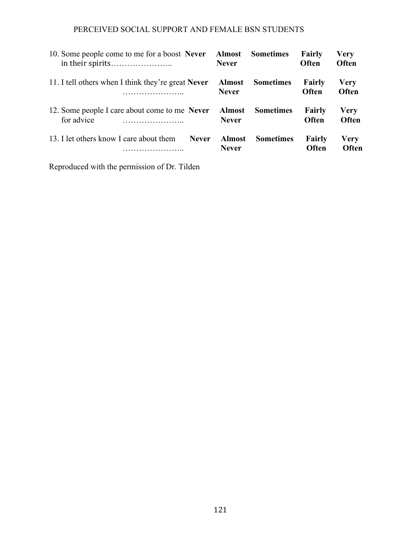| 10. Some people come to me for a boost Never                | <b>Almost</b>                 | <b>Sometimes</b> | <b>Fairly</b>   | <b>Very</b>          |
|-------------------------------------------------------------|-------------------------------|------------------|-----------------|----------------------|
|                                                             | <b>Never</b>                  |                  | <b>Often</b>    | Often                |
| 11. I tell others when I think they're great Never          | <b>Almost</b>                 | <b>Sometimes</b> | Fairly          | <b>Very</b>          |
| .                                                           | <b>Never</b>                  |                  | <b>Often</b>    | Often                |
| 12. Some people I care about come to me Never<br>for advice | <b>Almost</b><br><b>Never</b> | <b>Sometimes</b> | Fairly<br>Often | Very<br><b>Often</b> |
| 13. I let others know I care about them                     | <b>Almost</b>                 | <b>Sometimes</b> | <b>Fairly</b>   | <b>Very</b>          |
| <b>Never</b>                                                | <b>Never</b>                  |                  | <b>Often</b>    | Often                |

Reproduced with the permission of Dr. Tilden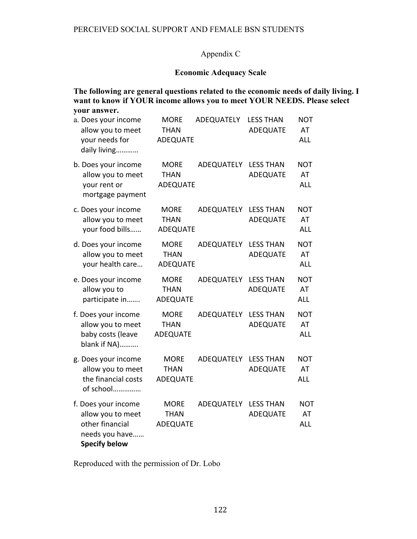# Appendix C

## **Economic Adequacy Scale**

**The following are general questions related to the economic needs of daily living. I want to know if YOUR income allows you to meet YOUR NEEDS. Please select your answer.**

| your needs for                          | a. Does your income<br>allow you to meet<br>daily living                      | <b>MORE</b><br><b>THAN</b><br><b>ADEQUATE</b> | ADEQUATELY        | <b>LESS THAN</b><br><b>ADEQUATE</b> | <b>NOT</b><br>AT<br><b>ALL</b> |
|-----------------------------------------|-------------------------------------------------------------------------------|-----------------------------------------------|-------------------|-------------------------------------|--------------------------------|
| your rent or                            | b. Does your income<br>allow you to meet<br>mortgage payment                  | <b>MORE</b><br><b>THAN</b><br><b>ADEQUATE</b> | ADEQUATELY        | <b>LESS THAN</b><br><b>ADEQUATE</b> | <b>NOT</b><br>AT<br><b>ALL</b> |
|                                         | c. Does your income<br>allow you to meet<br>your food bills                   | <b>MORE</b><br><b>THAN</b><br><b>ADEQUATE</b> | ADEQUATELY        | <b>LESS THAN</b><br><b>ADEQUATE</b> | <b>NOT</b><br>AT<br><b>ALL</b> |
|                                         | d. Does your income<br>allow you to meet<br>your health care                  | <b>MORE</b><br><b>THAN</b><br><b>ADEQUATE</b> | ADEQUATELY        | <b>LESS THAN</b><br><b>ADEQUATE</b> | <b>NOT</b><br>AT<br><b>ALL</b> |
| allow you to                            | e. Does your income<br>participate in                                         | <b>MORE</b><br><b>THAN</b><br><b>ADEQUATE</b> | ADEQUATELY        | <b>LESS THAN</b><br><b>ADEQUATE</b> | <b>NOT</b><br>AT<br><b>ALL</b> |
|                                         | f. Does your income<br>allow you to meet<br>baby costs (leave<br>blank if NA) | <b>MORE</b><br><b>THAN</b><br><b>ADEQUATE</b> | ADEQUATELY        | <b>LESS THAN</b><br><b>ADEQUATE</b> | <b>NOT</b><br>AT<br><b>ALL</b> |
|                                         | g. Does your income<br>allow you to meet<br>the financial costs<br>of school  | <b>MORE</b><br><b>THAN</b><br>ADEQUATE        | ADEQUATELY        | <b>LESS THAN</b><br><b>ADEQUATE</b> | <b>NOT</b><br>AT<br><b>ALL</b> |
| other financial<br><b>Specify below</b> | f. Does your income<br>allow you to meet<br>needs you have                    | <b>MORE</b><br><b>THAN</b><br><b>ADEQUATE</b> | <b>ADEQUATELY</b> | <b>LESS THAN</b><br><b>ADEQUATE</b> | <b>NOT</b><br>AT<br><b>ALL</b> |

Reproduced with the permission of Dr. Lobo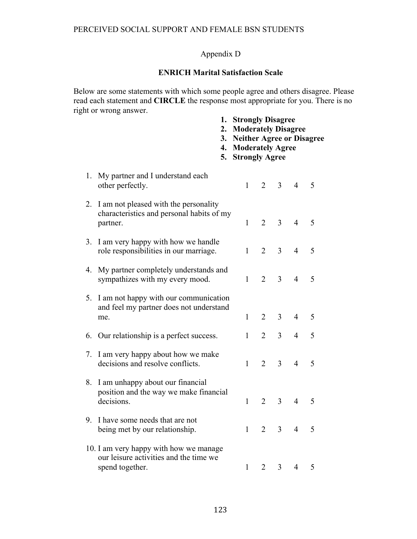# Appendix D

# **ENRICH Marital Satisfaction Scale**

Below are some statements with which some people agree and others disagree. Please read each statement and **CIRCLE** the response most appropriate for you. There is no right or wrong answer. **1. Strongly Disagree**

|    |                                                                                                     | I.<br>2.<br>3.<br>4.<br>5. | <b>Strongly Disagree</b><br><b>Moderately Disagree</b><br><b>Neither Agree or Disagree</b><br><b>Moderately Agree</b><br><b>Strongly Agree</b> |                |                |                |   |  |
|----|-----------------------------------------------------------------------------------------------------|----------------------------|------------------------------------------------------------------------------------------------------------------------------------------------|----------------|----------------|----------------|---|--|
| 1. | My partner and I understand each<br>other perfectly.                                                |                            | 1                                                                                                                                              | 2              | $\overline{3}$ | $\overline{4}$ | 5 |  |
| 2. | I am not pleased with the personality<br>characteristics and personal habits of my<br>partner.      |                            | $\mathbf{1}$                                                                                                                                   | $\overline{2}$ | $\overline{3}$ | $\overline{4}$ | 5 |  |
| 3. | I am very happy with how we handle<br>role responsibilities in our marriage.                        |                            | $\mathbf{1}$                                                                                                                                   | $\overline{2}$ | $\overline{3}$ | $\overline{4}$ | 5 |  |
| 4. | My partner completely understands and<br>sympathizes with my every mood.                            |                            | $\mathbf{1}$                                                                                                                                   | $\overline{2}$ | $\overline{3}$ | $\overline{4}$ | 5 |  |
| 5. | I am not happy with our communication<br>and feel my partner does not understand<br>me.             |                            | $\mathbf{1}$                                                                                                                                   | $\overline{2}$ | $\overline{3}$ | $\overline{4}$ | 5 |  |
|    | 6. Our relationship is a perfect success.                                                           |                            | $\mathbf{1}$                                                                                                                                   | $\overline{2}$ | $\overline{3}$ | $\overline{4}$ | 5 |  |
| 7. | I am very happy about how we make<br>decisions and resolve conflicts.                               |                            | $\mathbf{1}$                                                                                                                                   | $\overline{2}$ | 3              | $\overline{4}$ | 5 |  |
| 8. | I am unhappy about our financial<br>position and the way we make financial<br>decisions.            |                            | $\mathbf{1}$                                                                                                                                   | $\overline{2}$ | $\overline{3}$ | $\overline{4}$ | 5 |  |
| 9. | I have some needs that are not<br>being met by our relationship.                                    |                            | $\mathbf{1}$                                                                                                                                   | $\overline{2}$ | $\overline{3}$ | $\overline{4}$ | 5 |  |
|    | 10. I am very happy with how we manage<br>our leisure activities and the time we<br>spend together. |                            | $\mathbf{1}$                                                                                                                                   | $\overline{2}$ | 3              | $\overline{4}$ | 5 |  |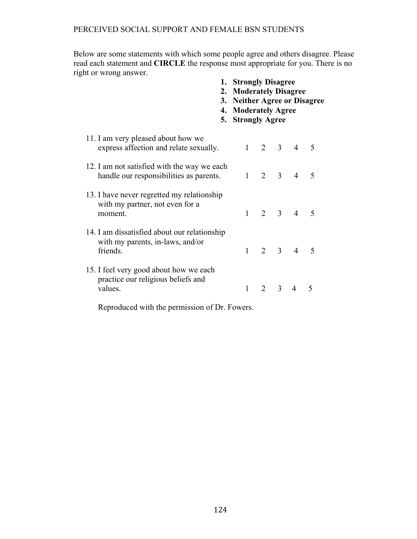Below are some statements with which some people agree and others disagree. Please read each statement and **CIRCLE** the response most appropriate for you. There is no right or wrong answer.

| 5.                                                                                           | 1. Strongly Disagree<br>2. Moderately Disagree<br>3. Neither Agree or Disagree<br>4. Moderately Agree<br><b>Strongly Agree</b> |                 |             |                     |             |  |
|----------------------------------------------------------------------------------------------|--------------------------------------------------------------------------------------------------------------------------------|-----------------|-------------|---------------------|-------------|--|
| 11. I am very pleased about how we<br>express affection and relate sexually.                 |                                                                                                                                |                 |             | $1 \t2 \t3 \t4 \t5$ |             |  |
| 12. I am not satisfied with the way we each<br>handle our responsibilities as parents.       |                                                                                                                                | $1 \t2 \t3 \t4$ |             |                     | 5           |  |
| 13. I have never regretted my relationship<br>with my partner, not even for a<br>moment.     |                                                                                                                                |                 |             | $1 \t2 \t3 \t4 \t5$ |             |  |
| 14. I am dissatisfied about our relationship<br>with my parents, in-laws, and/or<br>friends. |                                                                                                                                |                 |             | $1 \t2 \t3 \t4 \t5$ |             |  |
| 15. I feel very good about how we each<br>practice our religious beliefs and<br>values.      |                                                                                                                                |                 | $2 \quad 3$ | $\overline{4}$      | $\varsigma$ |  |

Reproduced with the permission of Dr. Fowers.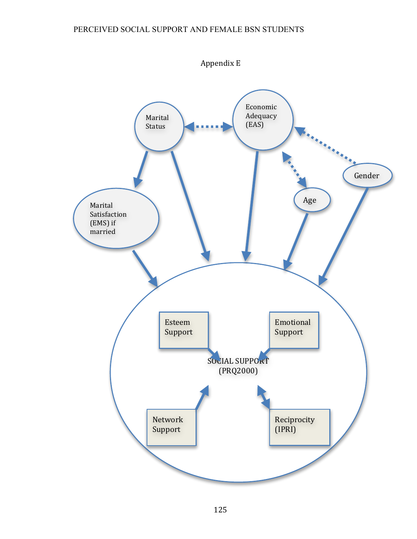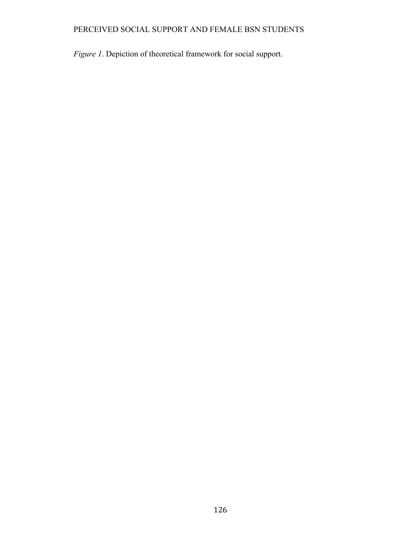*Figure 1*. Depiction of theoretical framework for social support.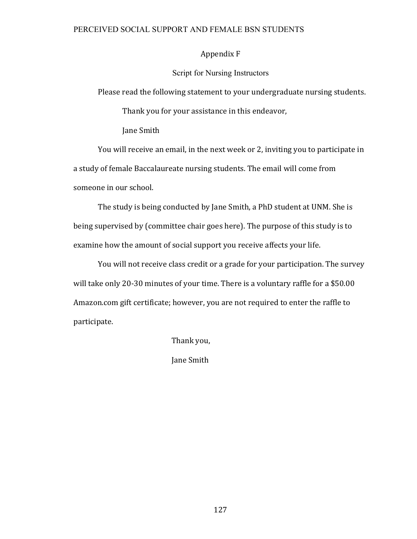### Appendix F

### Script for Nursing Instructors

Please read the following statement to your undergraduate nursing students.

Thank you for your assistance in this endeavor,

Jane Smith

You will receive an email, in the next week or 2, inviting you to participate in a study of female Baccalaureate nursing students. The email will come from someone in our school.

The study is being conducted by Jane Smith, a PhD student at UNM. She is being supervised by (committee chair goes here). The purpose of this study is to examine how the amount of social support you receive affects your life.

You will not receive class credit or a grade for your participation. The survey will take only 20-30 minutes of your time. There is a voluntary raffle for a \$50.00 Amazon.com gift certificate; however, you are not required to enter the raffle to participate.

Thank you,

Jane Smith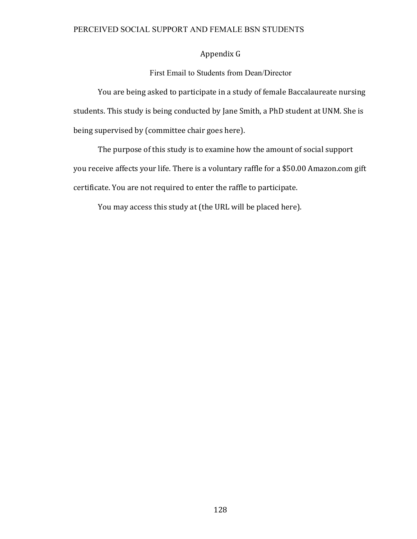# Appendix G

First Email to Students from Dean/Director

You are being asked to participate in a study of female Baccalaureate nursing students. This study is being conducted by Jane Smith, a PhD student at UNM. She is being supervised by (committee chair goes here).

The purpose of this study is to examine how the amount of social support you receive affects your life. There is a voluntary raffle for a \$50.00 Amazon.com gift certificate. You are not required to enter the raffle to participate.

You may access this study at (the URL will be placed here).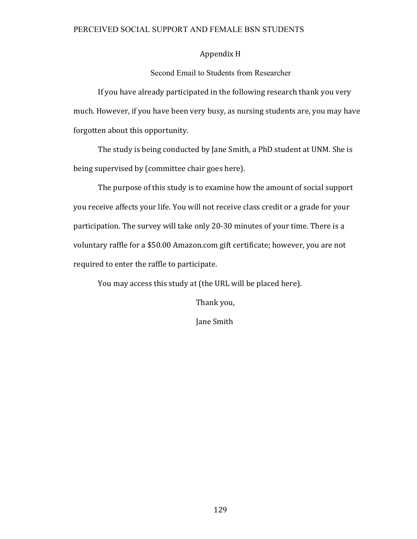#### Appendix H

Second Email to Students from Researcher

If you have already participated in the following research thank you very much. However, if you have been very busy, as nursing students are, you may have forgotten about this opportunity.

The study is being conducted by Jane Smith, a PhD student at UNM. She is being supervised by (committee chair goes here).

The purpose of this study is to examine how the amount of social support you receive affects your life. You will not receive class credit or a grade for your participation. The survey will take only 20-30 minutes of your time. There is a voluntary raffle for a \$50.00 Amazon.com gift certificate; however, you are not required to enter the raffle to participate.

You may access this study at (the URL will be placed here).

Thank you,

Jane Smith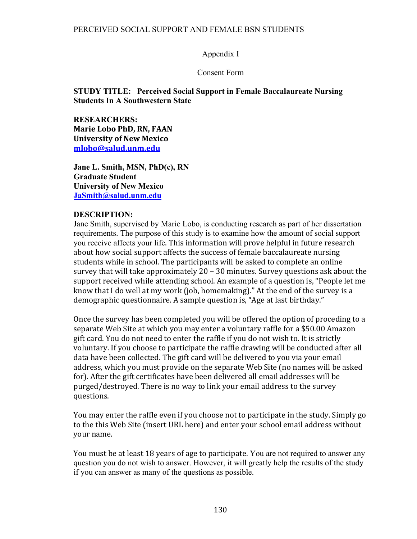#### Appendix I

#### Consent Form

### **STUDY TITLE: Perceived Social Support in Female Baccalaureate Nursing Students In A Southwestern State**

**RESEARCHERS: Marie Lobo PhD, RN, FAAN University of New Mexico mlobo@salud.unm.edu**

**Jane L. Smith, MSN, PhD(c), RN Graduate Student University of New Mexico JaSmith@salud.unm.edu**

#### **DESCRIPTION:**

Jane Smith, supervised by Marie Lobo, is conducting research as part of her dissertation requirements. The purpose of this study is to examine how the amount of social support you receive affects your life. This information will prove helpful in future research about how social support affects the success of female baccalaureate nursing students while in school. The participants will be asked to complete an online survey that will take approximately  $20 - 30$  minutes. Survey questions ask about the support received while attending school. An example of a question is, "People let me know that I do well at my work (job, homemaking)." At the end of the survey is a demographic questionnaire. A sample question is, "Age at last birthday."

Once the survey has been completed you will be offered the option of proceding to a separate Web Site at which you may enter a voluntary raffle for a \$50.00 Amazon gift card. You do not need to enter the raffle if you do not wish to. It is strictly voluntary. If you choose to participate the raffle drawing will be conducted after all data have been collected. The gift card will be delivered to you via your email address, which you must provide on the separate Web Site (no names will be asked for). After the gift certificates have been delivered all email addresses will be purged/destroyed. There is no way to link your email address to the survey questions. 

You may enter the raffle even if you choose not to participate in the study. Simply go to the this Web Site (insert URL here) and enter your school email address without your name.

You must be at least 18 years of age to participate. You are not required to answer any question you do not wish to answer. However, it will greatly help the results of the study if you can answer as many of the questions as possible.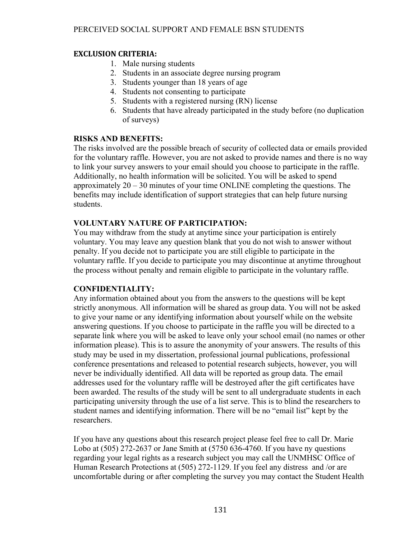### **EXCLUSION CRITERIA:**

- 1. Male nursing students
- 2. Students in an associate degree nursing program
- 3. Students younger than 18 years of age
- 4. Students not consenting to participate
- 5. Students with a registered nursing (RN) license
- 6. Students that have already participated in the study before (no duplication of surveys)

## **RISKS AND BENEFITS:**

The risks involved are the possible breach of security of collected data or emails provided for the voluntary raffle. However, you are not asked to provide names and there is no way to link your survey answers to your email should you choose to participate in the raffle. Additionally, no health information will be solicited. You will be asked to spend approximately 20 – 30 minutes of your time ONLINE completing the questions. The benefits may include identification of support strategies that can help future nursing students.

## **VOLUNTARY NATURE OF PARTICIPATION:**

You may withdraw from the study at anytime since your participation is entirely voluntary. You may leave any question blank that you do not wish to answer without penalty. If you decide not to participate you are still eligible to participate in the voluntary raffle. If you decide to participate you may discontinue at anytime throughout the process without penalty and remain eligible to participate in the voluntary raffle.

## **CONFIDENTIALITY:**

Any information obtained about you from the answers to the questions will be kept strictly anonymous. All information will be shared as group data. You will not be asked to give your name or any identifying information about yourself while on the website answering questions. If you choose to participate in the raffle you will be directed to a separate link where you will be asked to leave only your school email (no names or other information please). This is to assure the anonymity of your answers. The results of this study may be used in my dissertation, professional journal publications, professional conference presentations and released to potential research subjects, however, you will never be individually identified. All data will be reported as group data. The email addresses used for the voluntary raffle will be destroyed after the gift certificates have been awarded. The results of the study will be sent to all undergraduate students in each participating university through the use of a list serve. This is to blind the researchers to student names and identifying information. There will be no "email list" kept by the researchers.

If you have any questions about this research project please feel free to call Dr. Marie Lobo at (505) 272-2637 or Jane Smith at (5750 636-4760. If you have ny questions regarding your legal rights as a research subject you may call the UNMHSC Office of Human Research Protections at (505) 272-1129. If you feel any distress and /or are uncomfortable during or after completing the survey you may contact the Student Health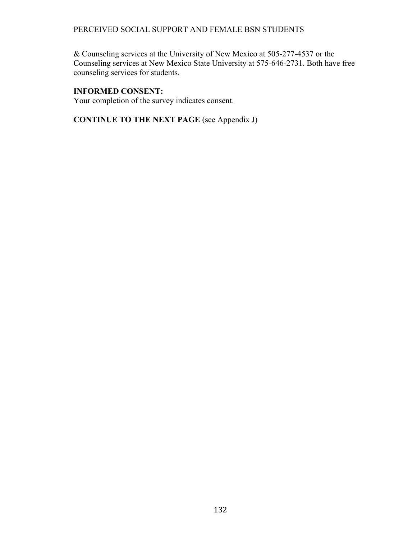& Counseling services at the University of New Mexico at 505-277-4537 or the Counseling services at New Mexico State University at 575-646-2731. Both have free counseling services for students.

## **INFORMED CONSENT:**

Your completion of the survey indicates consent.

**CONTINUE TO THE NEXT PAGE** (see Appendix J)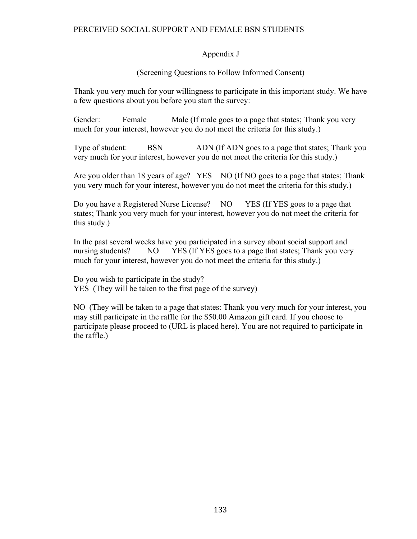## Appendix J

## (Screening Questions to Follow Informed Consent)

Thank you very much for your willingness to participate in this important study. We have a few questions about you before you start the survey:

Gender: Female Male (If male goes to a page that states; Thank you very much for your interest, however you do not meet the criteria for this study.)

Type of student: BSN ADN (If ADN goes to a page that states; Thank you very much for your interest, however you do not meet the criteria for this study.)

Are you older than 18 years of age? YES NO (If NO goes to a page that states; Thank you very much for your interest, however you do not meet the criteria for this study.)

Do you have a Registered Nurse License? NO YES (If YES goes to a page that states; Thank you very much for your interest, however you do not meet the criteria for this study.)

In the past several weeks have you participated in a survey about social support and nursing students? NO YES (If YES goes to a page that states; Thank you very much for your interest, however you do not meet the criteria for this study.)

Do you wish to participate in the study? YES (They will be taken to the first page of the survey)

NO (They will be taken to a page that states: Thank you very much for your interest, you may still participate in the raffle for the \$50.00 Amazon gift card. If you choose to participate please proceed to (URL is placed here). You are not required to participate in the raffle.)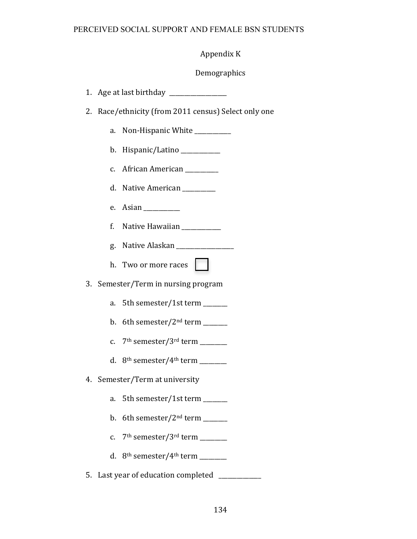# Appendix K

# Demographics

| 2. | Race/ethnicity (from 2011 census) Select only one |                                                                                                         |
|----|---------------------------------------------------|---------------------------------------------------------------------------------------------------------|
|    | a.                                                | Non-Hispanic White                                                                                      |
|    |                                                   | b. Hispanic/Latino $\frac{1}{\sqrt{1-\frac{1}{2}}}\left\vert \frac{1}{\sqrt{1-\frac{1}{2}}}\right\vert$ |
|    |                                                   | c. African American                                                                                     |
|    |                                                   | d. Native American _________                                                                            |
|    |                                                   | e. Asian $\qquad \qquad$                                                                                |
|    | f.                                                | Native Hawaiian __________                                                                              |
|    |                                                   | g. Native Alaskan ________________                                                                      |
|    |                                                   | h. Two or more races                                                                                    |
| 3. |                                                   | Semester/Term in nursing program                                                                        |
|    |                                                   | a. 5th semester/1st term _______                                                                        |
|    |                                                   | b. 6th semester/ $2nd$ term _______                                                                     |
|    |                                                   | c. $7th$ semester/3 <sup>rd</sup> term ________                                                         |
|    |                                                   | d. $8th$ semester/4 <sup>th</sup> term ________                                                         |
|    |                                                   | 4. Semester/Term at university                                                                          |
|    | a.                                                | 5th semester/1st term ______                                                                            |
|    | b.                                                |                                                                                                         |
|    | c.                                                | 7 <sup>th</sup> semester/3 <sup>rd</sup> term ______                                                    |
|    | d.                                                | 8 <sup>th</sup> semester/4 <sup>th</sup> term ______                                                    |
|    |                                                   |                                                                                                         |

5. Last year of education completed \_\_\_\_\_\_\_\_\_\_\_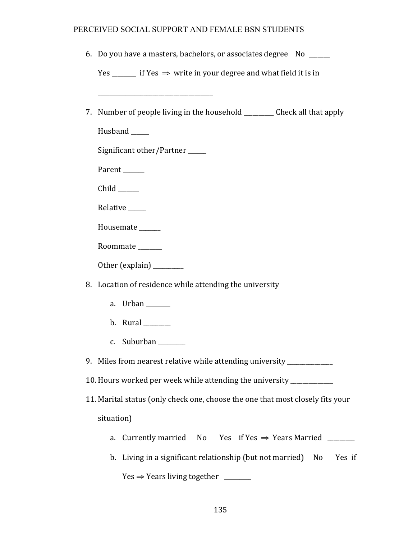|                                                                                | 6. Do you have a masters, bachelors, or associates degree No ______           |  |  |
|--------------------------------------------------------------------------------|-------------------------------------------------------------------------------|--|--|
|                                                                                | Yes _______ if Yes $\Rightarrow$ write in your degree and what field it is in |  |  |
|                                                                                |                                                                               |  |  |
| 7.                                                                             | Number of people living in the household ___________ Check all that apply     |  |  |
|                                                                                | Husband                                                                       |  |  |
|                                                                                | Significant other/Partner _____                                               |  |  |
|                                                                                | Parent                                                                        |  |  |
|                                                                                | $Child$ <sub>_______</sub>                                                    |  |  |
|                                                                                | Relative _____                                                                |  |  |
|                                                                                | Housemate _____                                                               |  |  |
|                                                                                | Roommate <u>manual</u>                                                        |  |  |
|                                                                                | Other (explain) _______                                                       |  |  |
|                                                                                | 8. Location of residence while attending the university                       |  |  |
|                                                                                | a. Urban _______                                                              |  |  |
|                                                                                | b. Rural $\_\_\_\_\_\_\_\$                                                    |  |  |
|                                                                                | c. Suburban $\frac{1}{2}$                                                     |  |  |
|                                                                                | 9. Miles from nearest relative while attending university                     |  |  |
|                                                                                | 10. Hours worked per week while attending the university ________             |  |  |
| 11. Marital status (only check one, choose the one that most closely fits your |                                                                               |  |  |
|                                                                                | situation)                                                                    |  |  |
|                                                                                | Currently married No Yes if Yes $\Rightarrow$ Years Married<br>a.             |  |  |
|                                                                                | Living in a significant relationship (but not married)<br>No<br>Yes if<br>b.  |  |  |

 $Yes \Rightarrow Years living together$